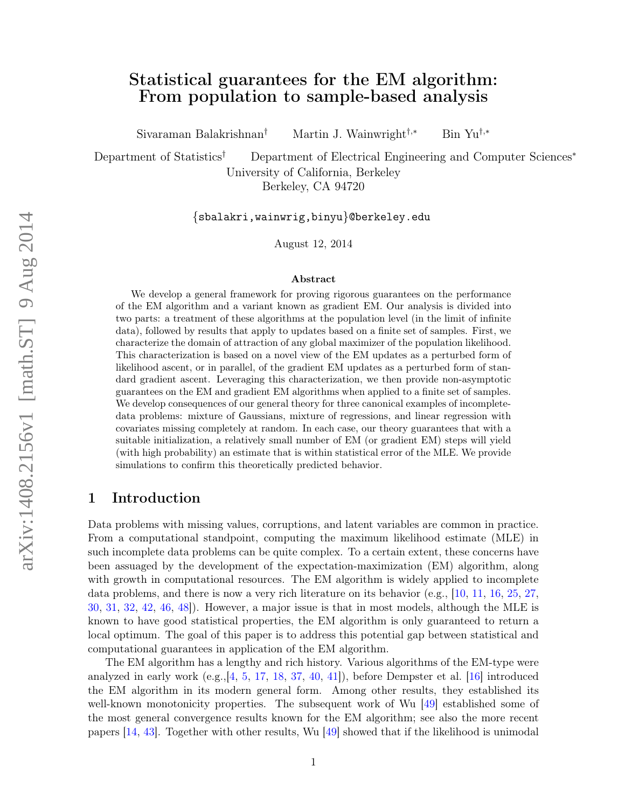# Statistical guarantees for the EM algorithm: From population to sample-based analysis

Sivaraman Balakrishnan† Martin J. Wainwright†,<sup>∗</sup> Bin Yu†,<sup>∗</sup>

Department of Statistics† Department of Electrical Engineering and Computer Sciences<sup>∗</sup> University of California, Berkeley Berkeley, CA 94720

{sbalakri,wainwrig,binyu}@berkeley.edu

August 12, 2014

#### Abstract

We develop a general framework for proving rigorous guarantees on the performance of the EM algorithm and a variant known as gradient EM. Our analysis is divided into two parts: a treatment of these algorithms at the population level (in the limit of infinite data), followed by results that apply to updates based on a finite set of samples. First, we characterize the domain of attraction of any global maximizer of the population likelihood. This characterization is based on a novel view of the EM updates as a perturbed form of likelihood ascent, or in parallel, of the gradient EM updates as a perturbed form of standard gradient ascent. Leveraging this characterization, we then provide non-asymptotic guarantees on the EM and gradient EM algorithms when applied to a finite set of samples. We develop consequences of our general theory for three canonical examples of incompletedata problems: mixture of Gaussians, mixture of regressions, and linear regression with covariates missing completely at random. In each case, our theory guarantees that with a suitable initialization, a relatively small number of EM (or gradient EM) steps will yield (with high probability) an estimate that is within statistical error of the MLE. We provide simulations to confirm this theoretically predicted behavior.

# 1 Introduction

Data problems with missing values, corruptions, and latent variables are common in practice. From a computational standpoint, computing the maximum likelihood estimate (MLE) in such incomplete data problems can be quite complex. To a certain extent, these concerns have been assuaged by the development of the expectation-maximization (EM) algorithm, along with growth in computational resources. The EM algorithm is widely applied to incomplete data problems, and there is now a very rich literature on its behavior (e.g., [\[10,](#page-50-0) [11,](#page-50-1) [16,](#page-51-0) [25,](#page-51-1) [27,](#page-51-2) [30,](#page-52-0) [31,](#page-52-1) [32,](#page-52-2) [42,](#page-52-3) [46,](#page-52-4) [48\]](#page-53-0)). However, a major issue is that in most models, although the MLE is known to have good statistical properties, the EM algorithm is only guaranteed to return a local optimum. The goal of this paper is to address this potential gap between statistical and computational guarantees in application of the EM algorithm.

The EM algorithm has a lengthy and rich history. Various algorithms of the EM-type were analyzed in early work  $(e.g., [4, 5, 17, 18, 37, 40, 41])$  $(e.g., [4, 5, 17, 18, 37, 40, 41])$  $(e.g., [4, 5, 17, 18, 37, 40, 41])$  $(e.g., [4, 5, 17, 18, 37, 40, 41])$  $(e.g., [4, 5, 17, 18, 37, 40, 41])$  $(e.g., [4, 5, 17, 18, 37, 40, 41])$  $(e.g., [4, 5, 17, 18, 37, 40, 41])$  $(e.g., [4, 5, 17, 18, 37, 40, 41])$  $(e.g., [4, 5, 17, 18, 37, 40, 41])$  $(e.g., [4, 5, 17, 18, 37, 40, 41])$  $(e.g., [4, 5, 17, 18, 37, 40, 41])$  $(e.g., [4, 5, 17, 18, 37, 40, 41])$  $(e.g., [4, 5, 17, 18, 37, 40, 41])$  $(e.g., [4, 5, 17, 18, 37, 40, 41])$  $(e.g., [4, 5, 17, 18, 37, 40, 41])$ , before Dempster et al.  $|16|$  introduced the EM algorithm in its modern general form. Among other results, they established its well-known monotonicity properties. The subsequent work of Wu [\[49\]](#page-53-1) established some of the most general convergence results known for the EM algorithm; see also the more recent papers [\[14,](#page-51-5) [43\]](#page-52-8). Together with other results, Wu [\[49\]](#page-53-1) showed that if the likelihood is unimodal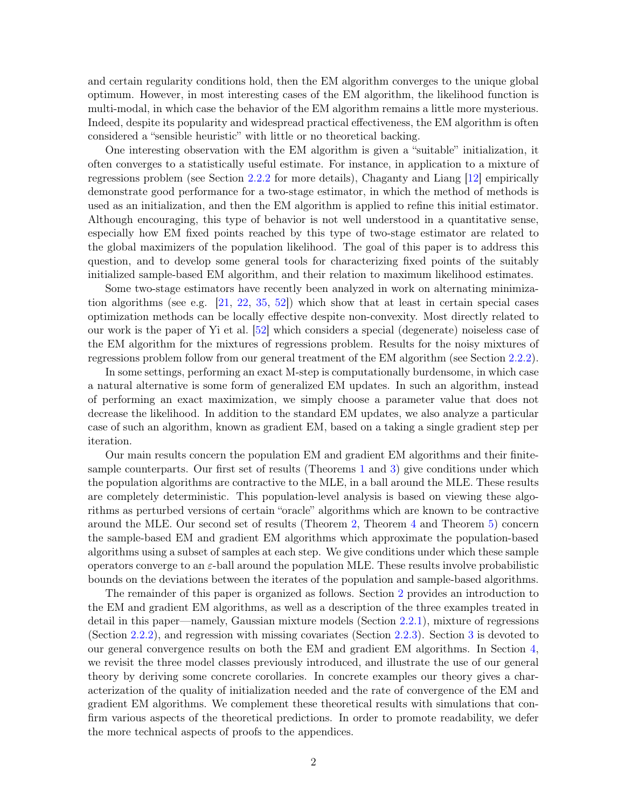and certain regularity conditions hold, then the EM algorithm converges to the unique global optimum. However, in most interesting cases of the EM algorithm, the likelihood function is multi-modal, in which case the behavior of the EM algorithm remains a little more mysterious. Indeed, despite its popularity and widespread practical effectiveness, the EM algorithm is often considered a "sensible heuristic" with little or no theoretical backing.

One interesting observation with the EM algorithm is given a "suitable" initialization, it often converges to a statistically useful estimate. For instance, in application to a mixture of regressions problem (see Section [2.2.2](#page-5-0) for more details), Chaganty and Liang [\[12\]](#page-50-4) empirically demonstrate good performance for a two-stage estimator, in which the method of methods is used as an initialization, and then the EM algorithm is applied to refine this initial estimator. Although encouraging, this type of behavior is not well understood in a quantitative sense, especially how EM fixed points reached by this type of two-stage estimator are related to the global maximizers of the population likelihood. The goal of this paper is to address this question, and to develop some general tools for characterizing fixed points of the suitably initialized sample-based EM algorithm, and their relation to maximum likelihood estimates.

Some two-stage estimators have recently been analyzed in work on alternating minimization algorithms (see e.g.  $[21, 22, 35, 52]$  $[21, 22, 35, 52]$  $[21, 22, 35, 52]$  $[21, 22, 35, 52]$  $[21, 22, 35, 52]$  $[21, 22, 35, 52]$ ) which show that at least in certain special cases optimization methods can be locally effective despite non-convexity. Most directly related to our work is the paper of Yi et al. [\[52\]](#page-53-2) which considers a special (degenerate) noiseless case of the EM algorithm for the mixtures of regressions problem. Results for the noisy mixtures of regressions problem follow from our general treatment of the EM algorithm (see Section [2.2.2\)](#page-5-0).

In some settings, performing an exact M-step is computationally burdensome, in which case a natural alternative is some form of generalized EM updates. In such an algorithm, instead of performing an exact maximization, we simply choose a parameter value that does not decrease the likelihood. In addition to the standard EM updates, we also analyze a particular case of such an algorithm, known as gradient EM, based on a taking a single gradient step per iteration.

Our main results concern the population EM and gradient EM algorithms and their finitesample counterparts. Our first set of results (Theorems [1](#page-9-0) and [3\)](#page-13-0) give conditions under which the population algorithms are contractive to the MLE, in a ball around the MLE. These results are completely deterministic. This population-level analysis is based on viewing these algorithms as perturbed versions of certain "oracle" algorithms which are known to be contractive around the MLE. Our second set of results (Theorem [2,](#page-10-0) Theorem [4](#page-15-0) and Theorem [5\)](#page-16-0) concern the sample-based EM and gradient EM algorithms which approximate the population-based algorithms using a subset of samples at each step. We give conditions under which these sample operators converge to an  $\varepsilon$ -ball around the population MLE. These results involve probabilistic bounds on the deviations between the iterates of the population and sample-based algorithms.

The remainder of this paper is organized as follows. Section [2](#page-2-0) provides an introduction to the EM and gradient EM algorithms, as well as a description of the three examples treated in detail in this paper—namely, Gaussian mixture models (Section [2.2.1\)](#page-4-0), mixture of regressions (Section [2.2.2\)](#page-5-0), and regression with missing covariates (Section [2.2.3\)](#page-6-0). Section [3](#page-7-0) is devoted to our general convergence results on both the EM and gradient EM algorithms. In Section [4,](#page-17-0) we revisit the three model classes previously introduced, and illustrate the use of our general theory by deriving some concrete corollaries. In concrete examples our theory gives a characterization of the quality of initialization needed and the rate of convergence of the EM and gradient EM algorithms. We complement these theoretical results with simulations that confirm various aspects of the theoretical predictions. In order to promote readability, we defer the more technical aspects of proofs to the appendices.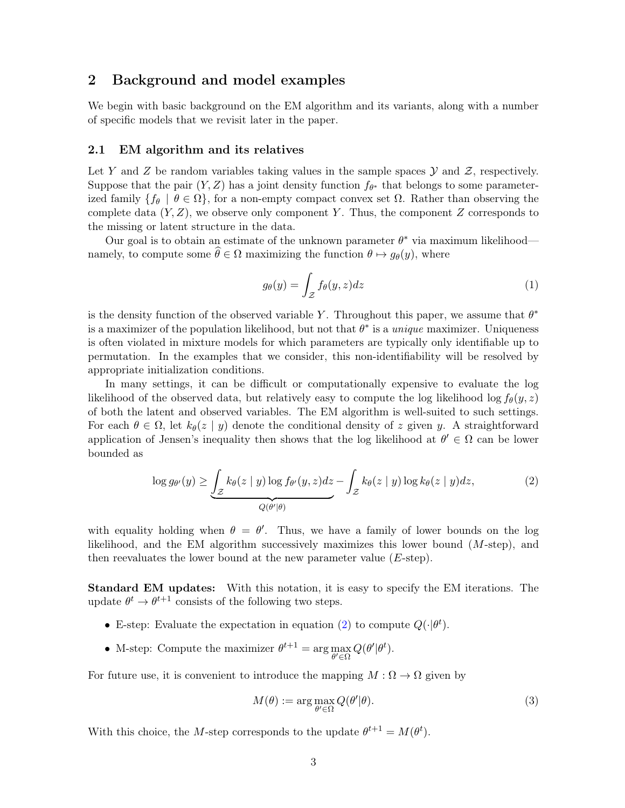# <span id="page-2-0"></span>2 Background and model examples

We begin with basic background on the EM algorithm and its variants, along with a number of specific models that we revisit later in the paper.

### 2.1 EM algorithm and its relatives

Let Y and Z be random variables taking values in the sample spaces  $\mathcal Y$  and  $\mathcal Z$ , respectively. Suppose that the pair  $(Y, Z)$  has a joint density function  $f_{\theta^*}$  that belongs to some parameterized family  $\{f_{\theta} \mid \theta \in \Omega\}$ , for a non-empty compact convex set  $\Omega$ . Rather than observing the complete data  $(Y, Z)$ , we observe only component Y. Thus, the component Z corresponds to the missing or latent structure in the data.

Our goal is to obtain an estimate of the unknown parameter  $\theta^*$  via maximum likelihood namely, to compute some  $\widehat{\theta} \in \Omega$  maximizing the function  $\theta \mapsto q_{\theta}(y)$ , where

<span id="page-2-3"></span><span id="page-2-1"></span>
$$
g_{\theta}(y) = \int_{\mathcal{Z}} f_{\theta}(y, z) dz
$$
 (1)

is the density function of the observed variable Y. Throughout this paper, we assume that  $\theta^*$ is a maximizer of the population likelihood, but not that  $\theta^*$  is a *unique* maximizer. Uniqueness is often violated in mixture models for which parameters are typically only identifiable up to permutation. In the examples that we consider, this non-identifiability will be resolved by appropriate initialization conditions.

In many settings, it can be difficult or computationally expensive to evaluate the log likelihood of the observed data, but relatively easy to compute the log likelihood log  $f_{\theta}(y, z)$ of both the latent and observed variables. The EM algorithm is well-suited to such settings. For each  $\theta \in \Omega$ , let  $k_{\theta}(z \mid y)$  denote the conditional density of z given y. A straightforward application of Jensen's inequality then shows that the log likelihood at  $\theta' \in \Omega$  can be lower bounded as

$$
\log g_{\theta'}(y) \ge \underbrace{\int_{\mathcal{Z}} k_{\theta}(z \mid y) \log f_{\theta'}(y, z) dz}_{Q(\theta' \mid \theta)} - \underbrace{\int_{\mathcal{Z}} k_{\theta}(z \mid y) \log k_{\theta}(z \mid y) dz}_{Q(\theta' \mid \theta)},
$$
\n(2)

with equality holding when  $\theta = \theta'$ . Thus, we have a family of lower bounds on the log likelihood, and the EM algorithm successively maximizes this lower bound  $(M\text{-step})$ , and then reevaluates the lower bound at the new parameter value  $(E\text{-step})$ .

Standard EM updates: With this notation, it is easy to specify the EM iterations. The update  $\theta^t \to \theta^{t+1}$  consists of the following two steps.

- E-step: Evaluate the expectation in equation [\(2\)](#page-2-1) to compute  $Q(\cdot|\theta^t)$ .
- M-step: Compute the maximizer  $\theta^{t+1} = \arg \max_{\theta' \in \Omega}$  $Q(\theta'|\theta^t)$ .

For future use, it is convenient to introduce the mapping  $M : \Omega \to \Omega$  given by

<span id="page-2-2"></span>
$$
M(\theta) := \arg \max_{\theta' \in \Omega} Q(\theta'|\theta). \tag{3}
$$

With this choice, the M-step corresponds to the update  $\theta^{t+1} = M(\theta^t)$ .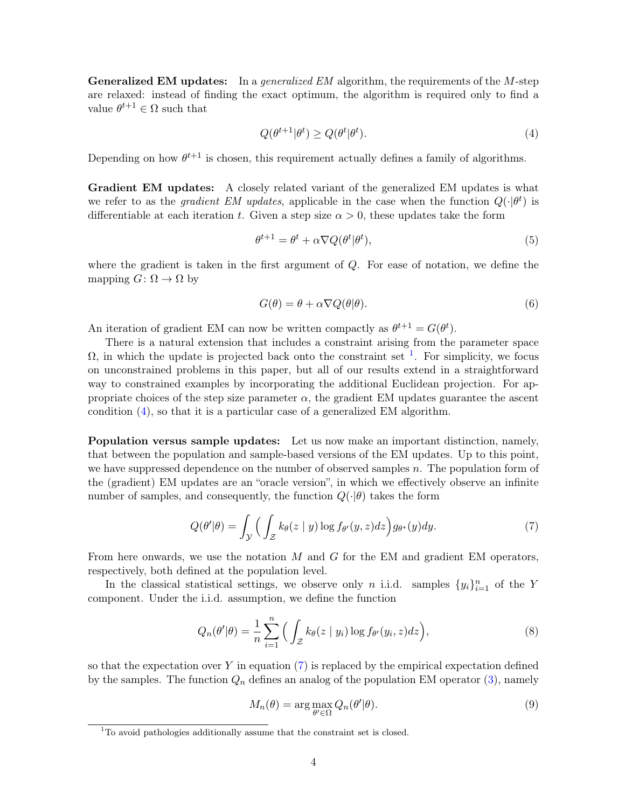**Generalized EM updates:** In a *generalized EM* algorithm, the requirements of the  $M$ -step are relaxed: instead of finding the exact optimum, the algorithm is required only to find a value  $\theta^{t+1} \in \Omega$  such that

<span id="page-3-1"></span>
$$
Q(\theta^{t+1}|\theta^t) \ge Q(\theta^t|\theta^t). \tag{4}
$$

Depending on how  $\theta^{t+1}$  is chosen, this requirement actually defines a family of algorithms.

Gradient EM updates: A closely related variant of the generalized EM updates is what we refer to as the *gradient EM updates*, applicable in the case when the function  $Q(\cdot|\theta^t)$  is differentiable at each iteration t. Given a step size  $\alpha > 0$ , these updates take the form

$$
\theta^{t+1} = \theta^t + \alpha \nabla Q(\theta^t | \theta^t), \tag{5}
$$

where the gradient is taken in the first argument of Q. For ease of notation, we define the mapping  $G: \Omega \to \Omega$  by

<span id="page-3-3"></span>
$$
G(\theta) = \theta + \alpha \nabla Q(\theta|\theta). \tag{6}
$$

An iteration of gradient EM can now be written compactly as  $\theta^{t+1} = G(\theta^t)$ .

There is a natural extension that includes a constraint arising from the parameter space  $\Omega$ , in which the update is projected back onto the constraint set <sup>[1](#page-3-0)</sup>. For simplicity, we focus on unconstrained problems in this paper, but all of our results extend in a straightforward way to constrained examples by incorporating the additional Euclidean projection. For appropriate choices of the step size parameter  $\alpha$ , the gradient EM updates guarantee the ascent condition [\(4\)](#page-3-1), so that it is a particular case of a generalized EM algorithm.

Population versus sample updates: Let us now make an important distinction, namely, that between the population and sample-based versions of the EM updates. Up to this point, we have suppressed dependence on the number of observed samples  $n$ . The population form of the (gradient) EM updates are an "oracle version", in which we effectively observe an infinite number of samples, and consequently, the function  $Q(\cdot|\theta)$  takes the form

$$
Q(\theta'|\theta) = \int_{\mathcal{Y}} \Big( \int_{\mathcal{Z}} k_{\theta}(z \mid y) \log f_{\theta'}(y, z) dz \Big) g_{\theta^*}(y) dy. \tag{7}
$$

From here onwards, we use the notation  $M$  and  $G$  for the EM and gradient EM operators, respectively, both defined at the population level.

In the classical statistical settings, we observe only n i.i.d. samples  $\{y_i\}_{i=1}^n$  of the Y component. Under the i.i.d. assumption, we define the function

$$
Q_n(\theta'|\theta) = \frac{1}{n} \sum_{i=1}^n \Big( \int_{\mathcal{Z}} k_{\theta}(z \mid y_i) \log f_{\theta'}(y_i, z) dz \Big), \tag{8}
$$

so that the expectation over  $Y$  in equation  $(7)$  is replaced by the empirical expectation defined by the samples. The function  $Q_n$  defines an analog of the population EM operator [\(3\)](#page-2-2), namely

<span id="page-3-4"></span><span id="page-3-2"></span>
$$
M_n(\theta) = \arg \max_{\theta' \in \Omega} Q_n(\theta'|\theta).
$$
\n(9)

<span id="page-3-0"></span> $1$ <sup>1</sup>To avoid pathologies additionally assume that the constraint set is closed.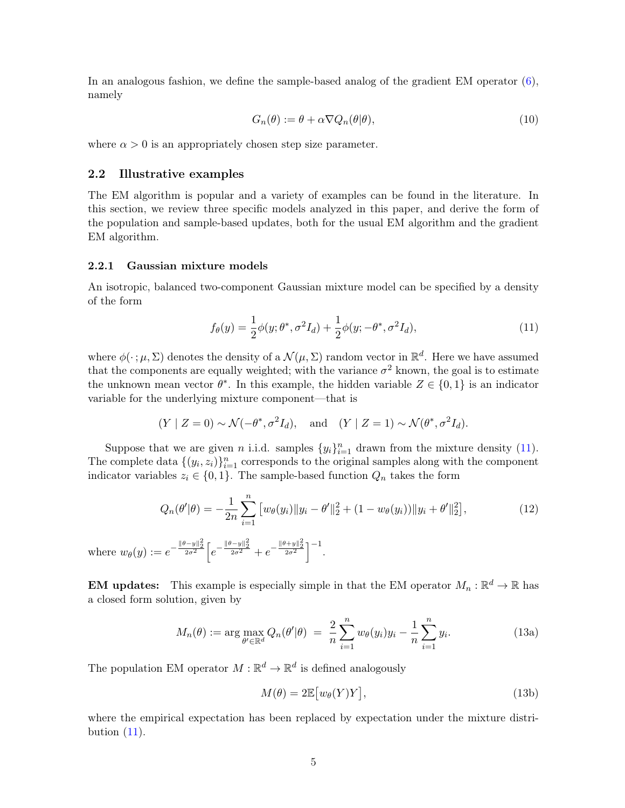In an analogous fashion, we define the sample-based analog of the gradient EM operator [\(6\)](#page-3-3), namely

$$
G_n(\theta) := \theta + \alpha \nabla Q_n(\theta | \theta), \tag{10}
$$

where  $\alpha > 0$  is an appropriately chosen step size parameter.

## <span id="page-4-3"></span>2.2 Illustrative examples

The EM algorithm is popular and a variety of examples can be found in the literature. In this section, we review three specific models analyzed in this paper, and derive the form of the population and sample-based updates, both for the usual EM algorithm and the gradient EM algorithm.

### <span id="page-4-0"></span>2.2.1 Gaussian mixture models

An isotropic, balanced two-component Gaussian mixture model can be specified by a density of the form

<span id="page-4-1"></span>
$$
f_{\theta}(y) = \frac{1}{2}\phi(y;\theta^*,\sigma^2 I_d) + \frac{1}{2}\phi(y;\theta^*,\sigma^2 I_d),
$$
\n(11)

where  $\phi(\cdot;\mu,\Sigma)$  denotes the density of a  $\mathcal{N}(\mu,\Sigma)$  random vector in  $\mathbb{R}^d$ . Here we have assumed that the components are equally weighted; with the variance  $\sigma^2$  known, the goal is to estimate the unknown mean vector  $\theta^*$ . In this example, the hidden variable  $Z \in \{0,1\}$  is an indicator variable for the underlying mixture component—that is

$$
(Y \mid Z = 0) \sim \mathcal{N}(-\theta^*, \sigma^2 I_d),
$$
 and  $(Y \mid Z = 1) \sim \mathcal{N}(\theta^*, \sigma^2 I_d).$ 

Suppose that we are given *n* i.i.d. samples  $\{y_i\}_{i=1}^n$  drawn from the mixture density [\(11\)](#page-4-1). The complete data  $\{(y_i, z_i)\}_{i=1}^n$  corresponds to the original samples along with the component indicator variables  $z_i \in \{0,1\}$ . The sample-based function  $Q_n$  takes the form

$$
Q_n(\theta'|\theta) = -\frac{1}{2n} \sum_{i=1}^n \left[ w_\theta(y_i) \| y_i - \theta' \|_2^2 + (1 - w_\theta(y_i)) \| y_i + \theta' \|_2^2 \right],\tag{12}
$$

where  $w_{\theta}(y) := e^{-\frac{\|\theta-y\|_2^2}{2\sigma^2}} \left[ e^{-\frac{\|\theta-y\|_2^2}{2\sigma^2}} + e^{-\frac{\|\theta+y\|_2^2}{2\sigma^2}} \right]^{-1}$ .

**EM updates:** This example is especially simple in that the EM operator  $M_n : \mathbb{R}^d \to \mathbb{R}$  has a closed form solution, given by

$$
M_n(\theta) := \arg \max_{\theta' \in \mathbb{R}^d} Q_n(\theta'|\theta) = \frac{2}{n} \sum_{i=1}^n w_\theta(y_i) y_i - \frac{1}{n} \sum_{i=1}^n y_i.
$$
 (13a)

The population EM operator  $M : \mathbb{R}^d \to \mathbb{R}^d$  is defined analogously

<span id="page-4-2"></span>
$$
M(\theta) = 2\mathbb{E}\big[w_{\theta}(Y)Y\big],\tag{13b}
$$

where the empirical expectation has been replaced by expectation under the mixture distribution  $(11)$ .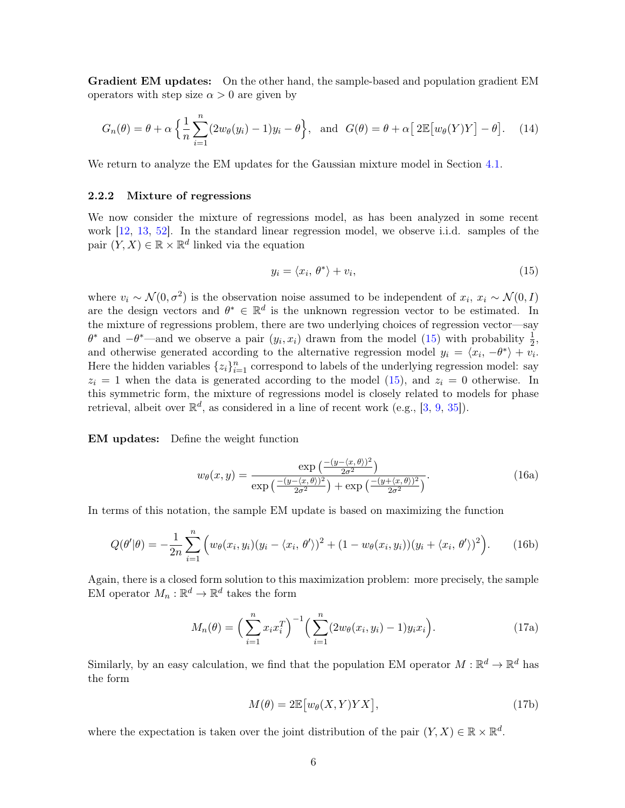Gradient EM updates: On the other hand, the sample-based and population gradient EM operators with step size  $\alpha > 0$  are given by

$$
G_n(\theta) = \theta + \alpha \left\{ \frac{1}{n} \sum_{i=1}^n (2w_\theta(y_i) - 1)y_i - \theta \right\}, \text{ and } G(\theta) = \theta + \alpha \left[ 2\mathbb{E} \left[ w_\theta(Y)Y \right] - \theta \right]. \tag{14}
$$

We return to analyze the EM updates for the Gaussian mixture model in Section [4.1.](#page-17-1)

### <span id="page-5-0"></span>2.2.2 Mixture of regressions

We now consider the mixture of regressions model, as has been analyzed in some recent work [\[12,](#page-50-4) [13,](#page-51-8) [52\]](#page-53-2). In the standard linear regression model, we observe i.i.d. samples of the pair  $(Y, X) \in \mathbb{R} \times \mathbb{R}^d$  linked via the equation

<span id="page-5-1"></span>
$$
y_i = \langle x_i, \theta^* \rangle + v_i,\tag{15}
$$

where  $v_i \sim \mathcal{N}(0, \sigma^2)$  is the observation noise assumed to be independent of  $x_i, x_i \sim \mathcal{N}(0, I)$ are the design vectors and  $\theta^* \in \mathbb{R}^d$  is the unknown regression vector to be estimated. In the mixture of regressions problem, there are two underlying choices of regression vector—say  $\theta^*$  and  $-\theta^*$ —and we observe a pair  $(y_i, x_i)$  drawn from the model [\(15\)](#page-5-1) with probability  $\frac{1}{2}$ , and otherwise generated according to the alternative regression model  $y_i = \langle x_i, -\theta^* \rangle + v_i$ . Here the hidden variables  $\{z_i\}_{i=1}^n$  correspond to labels of the underlying regression model: say  $z_i = 1$  when the data is generated according to the model [\(15\)](#page-5-1), and  $z_i = 0$  otherwise. In this symmetric form, the mixture of regressions model is closely related to models for phase retrieval, albeit over  $\mathbb{R}^d$ , as considered in a line of recent work (e.g., [\[3,](#page-50-5) [9,](#page-50-6) [35\]](#page-52-9)).

EM updates: Define the weight function

$$
w_{\theta}(x,y) = \frac{\exp\left(\frac{-(y-\langle x,\theta\rangle)^2}{2\sigma^2}\right)}{\exp\left(\frac{-(y-\langle x,\theta\rangle)^2}{2\sigma^2}\right) + \exp\left(\frac{-(y+\langle x,\theta\rangle)^2}{2\sigma^2}\right)}.
$$
(16a)

In terms of this notation, the sample EM update is based on maximizing the function

$$
Q(\theta'|\theta) = -\frac{1}{2n} \sum_{i=1}^{n} \left( w_{\theta}(x_i, y_i)(y_i - \langle x_i, \theta' \rangle)^2 + (1 - w_{\theta}(x_i, y_i))(y_i + \langle x_i, \theta' \rangle)^2 \right).
$$
 (16b)

Again, there is a closed form solution to this maximization problem: more precisely, the sample EM operator  $M_n : \mathbb{R}^d \to \mathbb{R}^d$  takes the form

$$
M_n(\theta) = \left(\sum_{i=1}^n x_i x_i^T\right)^{-1} \left(\sum_{i=1}^n (2w_\theta(x_i, y_i) - 1)y_i x_i\right).
$$
 (17a)

Similarly, by an easy calculation, we find that the population EM operator  $M : \mathbb{R}^d \to \mathbb{R}^d$  has the form

$$
M(\theta) = 2\mathbb{E}\big[w_{\theta}(X,Y)YX\big],\tag{17b}
$$

where the expectation is taken over the joint distribution of the pair  $(Y, X) \in \mathbb{R} \times \mathbb{R}^d$ .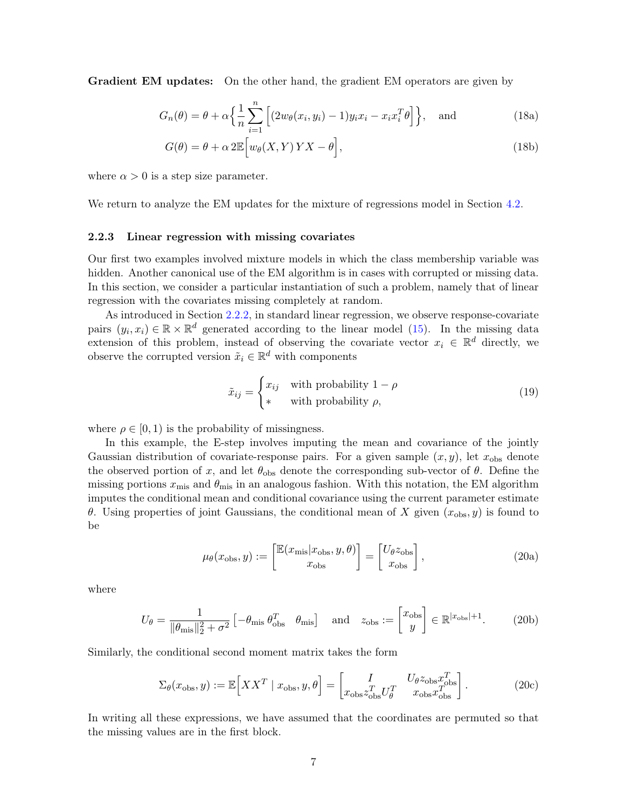Gradient EM updates: On the other hand, the gradient EM operators are given by

$$
G_n(\theta) = \theta + \alpha \left\{ \frac{1}{n} \sum_{i=1}^n \left[ (2w_\theta(x_i, y_i) - 1) y_i x_i - x_i x_i^T \theta \right] \right\}, \text{ and } (18a)
$$

$$
G(\theta) = \theta + \alpha 2\mathbb{E}\Big[w_{\theta}(X, Y) \, YX - \theta\Big],\tag{18b}
$$

where  $\alpha > 0$  is a step size parameter.

We return to analyze the EM updates for the mixture of regressions model in Section [4.2.](#page-20-0)

### <span id="page-6-0"></span>2.2.3 Linear regression with missing covariates

Our first two examples involved mixture models in which the class membership variable was hidden. Another canonical use of the EM algorithm is in cases with corrupted or missing data. In this section, we consider a particular instantiation of such a problem, namely that of linear regression with the covariates missing completely at random.

As introduced in Section [2.2.2,](#page-5-0) in standard linear regression, we observe response-covariate pairs  $(y_i, x_i) \in \mathbb{R} \times \mathbb{R}^d$  generated according to the linear model [\(15\)](#page-5-1). In the missing data extension of this problem, instead of observing the covariate vector  $x_i \in \mathbb{R}^d$  directly, we observe the corrupted version  $\tilde{x}_i \in \mathbb{R}^d$  with components

$$
\tilde{x}_{ij} = \begin{cases} x_{ij} & \text{with probability } 1 - \rho \\ * & \text{with probability } \rho, \end{cases}
$$
\n(19)

where  $\rho \in [0, 1)$  is the probability of missingness.

In this example, the E-step involves imputing the mean and covariance of the jointly Gaussian distribution of covariate-response pairs. For a given sample  $(x, y)$ , let  $x_{obs}$  denote the observed portion of x, and let  $\theta_{obs}$  denote the corresponding sub-vector of  $\theta$ . Define the missing portions  $x_{\text{mis}}$  and  $\theta_{\text{mis}}$  in an analogous fashion. With this notation, the EM algorithm imputes the conditional mean and conditional covariance using the current parameter estimate θ. Using properties of joint Gaussians, the conditional mean of X given  $(x<sub>obs</sub>, y)$  is found to be

$$
\mu_{\theta}(x_{\text{obs}}, y) := \begin{bmatrix} \mathbb{E}(x_{\text{mis}} | x_{\text{obs}}, y, \theta) \\ x_{\text{obs}} \end{bmatrix} = \begin{bmatrix} U_{\theta} z_{\text{obs}} \\ x_{\text{obs}} \end{bmatrix},
$$
\n(20a)

where

$$
U_{\theta} = \frac{1}{\|\theta_{\text{mis}}\|_{2}^{2} + \sigma^{2}} \left[ -\theta_{\text{mis}} \, \theta_{\text{obs}}^{T} \, \theta_{\text{mis}} \right] \quad \text{and} \quad z_{\text{obs}} := \begin{bmatrix} x_{\text{obs}} \\ y \end{bmatrix} \in \mathbb{R}^{|x_{\text{obs}}|+1}.
$$
 (20b)

Similarly, the conditional second moment matrix takes the form

$$
\Sigma_{\theta}(x_{\text{obs}}, y) := \mathbb{E}\Big[X X^T \mid x_{\text{obs}}, y, \theta\Big] = \begin{bmatrix} I & U_{\theta} z_{\text{obs}} x_{\text{obs}}^T \\ x_{\text{obs}} z_{\text{obs}}^T U_{\theta}^T & x_{\text{obs}} x_{\text{obs}}^T \end{bmatrix}.
$$
(20c)

In writing all these expressions, we have assumed that the coordinates are permuted so that the missing values are in the first block.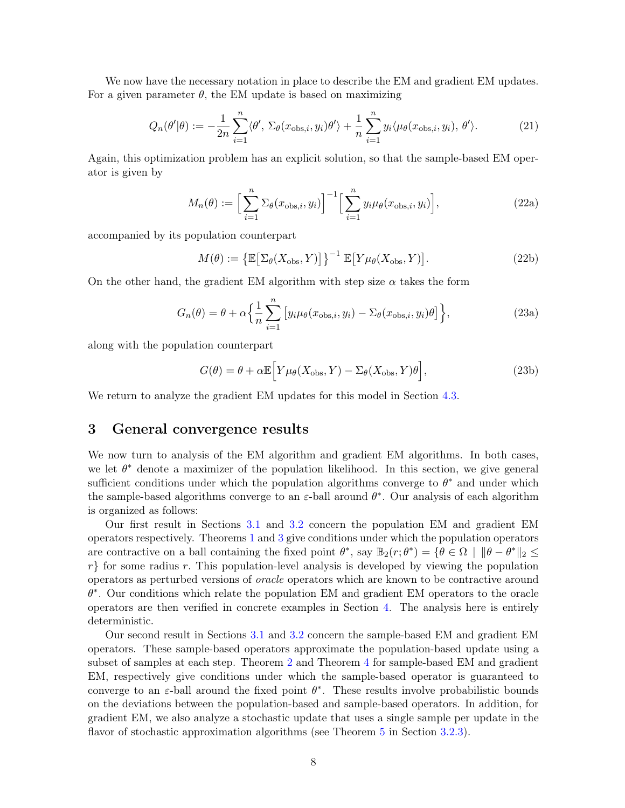We now have the necessary notation in place to describe the EM and gradient EM updates. For a given parameter  $\theta$ , the EM update is based on maximizing

$$
Q_n(\theta'|\theta) := -\frac{1}{2n} \sum_{i=1}^n \langle \theta', \Sigma_{\theta}(x_{\text{obs},i}, y_i)\theta' \rangle + \frac{1}{n} \sum_{i=1}^n y_i \langle \mu_{\theta}(x_{\text{obs},i}, y_i), \theta' \rangle.
$$
 (21)

Again, this optimization problem has an explicit solution, so that the sample-based EM operator is given by

<span id="page-7-1"></span>
$$
M_n(\theta) := \left[\sum_{i=1}^n \Sigma_{\theta}(x_{\text{obs},i}, y_i)\right]^{-1} \left[\sum_{i=1}^n y_i \mu_{\theta}(x_{\text{obs},i}, y_i)\right],\tag{22a}
$$

accompanied by its population counterpart

$$
M(\theta) := \left\{ \mathbb{E} \left[ \Sigma_{\theta} (X_{\text{obs}}, Y) \right] \right\}^{-1} \mathbb{E} \left[ Y \mu_{\theta} (X_{\text{obs}}, Y) \right]. \tag{22b}
$$

On the other hand, the gradient EM algorithm with step size  $\alpha$  takes the form

$$
G_n(\theta) = \theta + \alpha \left\{ \frac{1}{n} \sum_{i=1}^n \left[ y_i \mu_{\theta}(x_{\text{obs},i}, y_i) - \Sigma_{\theta}(x_{\text{obs},i}, y_i) \theta \right] \right\},\tag{23a}
$$

along with the population counterpart

$$
G(\theta) = \theta + \alpha \mathbb{E} \Big[ Y \mu_{\theta} (X_{\text{obs}}, Y) - \Sigma_{\theta} (X_{\text{obs}}, Y) \theta \Big], \tag{23b}
$$

We return to analyze the gradient EM updates for this model in Section [4.3.](#page-22-0)

# <span id="page-7-0"></span>3 General convergence results

We now turn to analysis of the EM algorithm and gradient EM algorithms. In both cases, we let  $\theta^*$  denote a maximizer of the population likelihood. In this section, we give general sufficient conditions under which the population algorithms converge to  $\theta^*$  and under which the sample-based algorithms converge to an  $\varepsilon$ -ball around  $\theta^*$ . Our analysis of each algorithm is organized as follows:

Our first result in Sections [3.1](#page-8-0) and [3.2](#page-12-0) concern the population EM and gradient EM operators respectively. Theorems [1](#page-9-0) and [3](#page-13-0) give conditions under which the population operators are contractive on a ball containing the fixed point  $\theta^*$ , say  $\mathbb{B}_2(r;\theta^*) = {\theta \in \Omega \mid \|\theta - \theta^*\|_2 \leq \theta^*}$  $r$  for some radius r. This population-level analysis is developed by viewing the population operators as perturbed versions of oracle operators which are known to be contractive around θ ∗ . Our conditions which relate the population EM and gradient EM operators to the oracle operators are then verified in concrete examples in Section [4.](#page-17-0) The analysis here is entirely deterministic.

Our second result in Sections [3.1](#page-8-0) and [3.2](#page-12-0) concern the sample-based EM and gradient EM operators. These sample-based operators approximate the population-based update using a subset of samples at each step. Theorem [2](#page-10-0) and Theorem [4](#page-15-0) for sample-based EM and gradient EM, respectively give conditions under which the sample-based operator is guaranteed to converge to an  $\varepsilon$ -ball around the fixed point  $\theta^*$ . These results involve probabilistic bounds on the deviations between the population-based and sample-based operators. In addition, for gradient EM, we also analyze a stochastic update that uses a single sample per update in the flavor of stochastic approximation algorithms (see Theorem [5](#page-16-0) in Section [3.2.3\)](#page-15-1).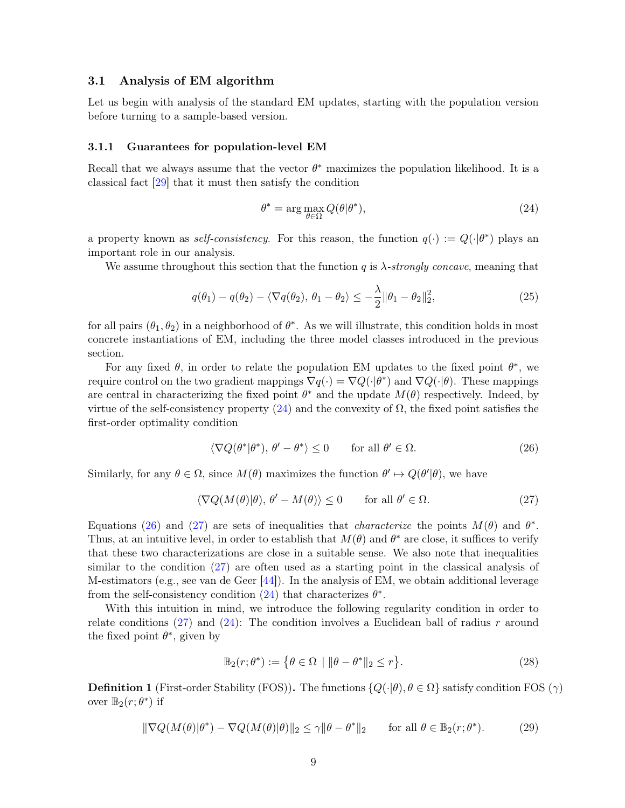# <span id="page-8-0"></span>3.1 Analysis of EM algorithm

Let us begin with analysis of the standard EM updates, starting with the population version before turning to a sample-based version.

#### 3.1.1 Guarantees for population-level EM

Recall that we always assume that the vector  $\theta^*$  maximizes the population likelihood. It is a classical fact [\[29\]](#page-51-9) that it must then satisfy the condition

<span id="page-8-5"></span><span id="page-8-1"></span>
$$
\theta^* = \arg\max_{\theta \in \Omega} Q(\theta | \theta^*),\tag{24}
$$

a property known as *self-consistency*. For this reason, the function  $q(\cdot) := Q(\cdot | \theta^*)$  plays an important role in our analysis.

We assume throughout this section that the function q is  $\lambda$ -strongly concave, meaning that

$$
q(\theta_1) - q(\theta_2) - \langle \nabla q(\theta_2), \theta_1 - \theta_2 \rangle \le -\frac{\lambda}{2} \|\theta_1 - \theta_2\|_2^2, \tag{25}
$$

for all pairs  $(\theta_1, \theta_2)$  in a neighborhood of  $\theta^*$ . As we will illustrate, this condition holds in most concrete instantiations of EM, including the three model classes introduced in the previous section.

For any fixed  $\theta$ , in order to relate the population EM updates to the fixed point  $\theta^*$ , we require control on the two gradient mappings  $\nabla q(\cdot) = \nabla Q(\cdot|\theta^*)$  and  $\nabla Q(\cdot|\theta)$ . These mappings are central in characterizing the fixed point  $\theta^*$  and the update  $M(\theta)$  respectively. Indeed, by virtue of the self-consistency property  $(24)$  and the convexity of  $\Omega$ , the fixed point satisfies the first-order optimality condition

<span id="page-8-3"></span><span id="page-8-2"></span>
$$
\langle \nabla Q(\theta^* | \theta^*), \theta' - \theta^* \rangle \le 0 \qquad \text{for all } \theta' \in \Omega. \tag{26}
$$

Similarly, for any  $\theta \in \Omega$ , since  $M(\theta)$  maximizes the function  $\theta' \mapsto Q(\theta'|\theta)$ , we have

$$
\langle \nabla Q(M(\theta)|\theta), \theta' - M(\theta) \rangle \le 0 \quad \text{for all } \theta' \in \Omega.
$$
 (27)

Equations [\(26\)](#page-8-2) and [\(27\)](#page-8-3) are sets of inequalities that *characterize* the points  $M(\theta)$  and  $\theta^*$ . Thus, at an intuitive level, in order to establish that  $M(\theta)$  and  $\theta^*$  are close, it suffices to verify that these two characterizations are close in a suitable sense. We also note that inequalities similar to the condition [\(27\)](#page-8-3) are often used as a starting point in the classical analysis of M-estimators (e.g., see van de Geer  $[44]$ ). In the analysis of EM, we obtain additional leverage from the self-consistency condition  $(24)$  that characterizes  $\theta^*$ .

With this intuition in mind, we introduce the following regularity condition in order to relate conditions [\(27\)](#page-8-3) and [\(24\)](#page-8-1): The condition involves a Euclidean ball of radius r around the fixed point  $\theta^*$ , given by

<span id="page-8-4"></span>
$$
\mathbb{B}_2(r;\theta^*) := \left\{ \theta \in \Omega \, \mid \|\theta - \theta^*\|_2 \le r \right\}.
$$
\n(28)

**Definition 1** (First-order Stability (FOS)). The functions  $\{Q(\cdot|\theta), \theta \in \Omega\}$  satisfy condition FOS  $(\gamma)$ over  $\mathbb{B}_2(r; \theta^*)$  if

$$
\|\nabla Q(M(\theta)|\theta^*) - \nabla Q(M(\theta)|\theta)\|_2 \le \gamma \|\theta - \theta^*\|_2 \quad \text{for all } \theta \in \mathbb{B}_2(r;\theta^*). \tag{29}
$$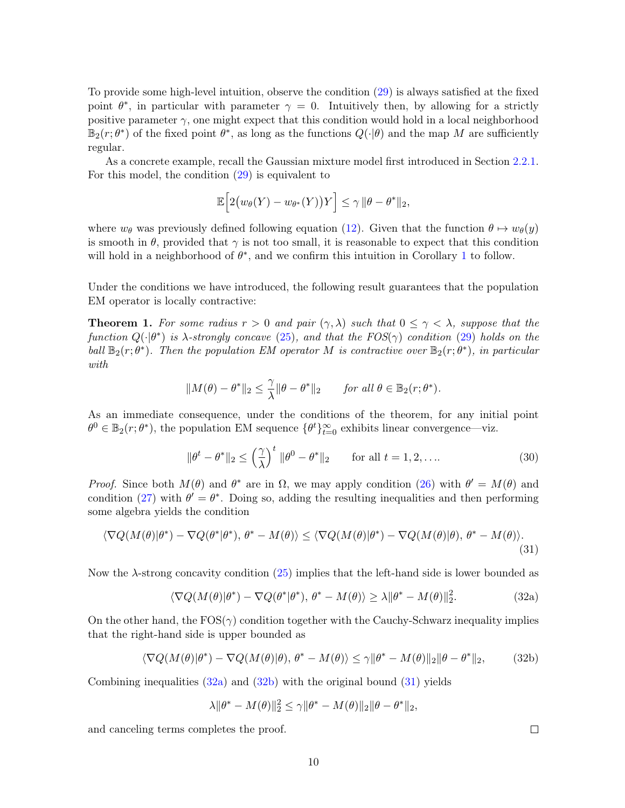To provide some high-level intuition, observe the condition [\(29\)](#page-8-4) is always satisfied at the fixed point  $\theta^*$ , in particular with parameter  $\gamma = 0$ . Intuitively then, by allowing for a strictly positive parameter  $\gamma$ , one might expect that this condition would hold in a local neighborhood  $\mathbb{B}_2(r;\theta^*)$  of the fixed point  $\theta^*$ , as long as the functions  $Q(\cdot|\theta)$  and the map M are sufficiently regular.

As a concrete example, recall the Gaussian mixture model first introduced in Section [2.2.1.](#page-4-0) For this model, the condition [\(29\)](#page-8-4) is equivalent to

$$
\mathbb{E}\Big[2\big(w_{\theta}(Y) - w_{\theta^*}(Y)\big)Y\Big] \leq \gamma \|\theta - \theta^*\|_2,
$$

where  $w_{\theta}$  was previously defined following equation [\(12\)](#page-4-2). Given that the function  $\theta \mapsto w_{\theta}(y)$ is smooth in  $\theta$ , provided that  $\gamma$  is not too small, it is reasonable to expect that this condition will hold in a neighborhood of  $\theta^*$ , and we confirm this intuition in Corollary [1](#page-18-0) to follow.

Under the conditions we have introduced, the following result guarantees that the population EM operator is locally contractive:

<span id="page-9-0"></span>**Theorem 1.** For some radius  $r > 0$  and pair  $(\gamma, \lambda)$  such that  $0 \leq \gamma < \lambda$ , suppose that the function  $Q(\cdot|\theta^*)$  is  $\lambda$ -strongly concave [\(25\)](#page-8-5), and that the  $FOS(\gamma)$  condition [\(29\)](#page-8-4) holds on the ball  $\mathbb{B}_2(r;\theta^*)$ . Then the population EM operator M is contractive over  $\mathbb{B}_2(r;\theta^*)$ , in particular with

$$
||M(\theta) - \theta^*||_2 \le \frac{\gamma}{\lambda} ||\theta - \theta^*||_2 \quad \text{for all } \theta \in \mathbb{B}_2(r; \theta^*).
$$

As an immediate consequence, under the conditions of the theorem, for any initial point  $\theta^0 \in \mathbb{B}_2(r;\theta^*)$ , the population EM sequence  $\{\theta^t\}_{t=0}^{\infty}$  exhibits linear convergence—viz.

$$
\|\theta^t - \theta^*\|_2 \le \left(\frac{\gamma}{\lambda}\right)^t \|\theta^0 - \theta^*\|_2 \qquad \text{for all } t = 1, 2, \dots \tag{30}
$$

*Proof.* Since both  $M(\theta)$  and  $\theta^*$  are in  $\Omega$ , we may apply condition [\(26\)](#page-8-2) with  $\theta' = M(\theta)$  and condition [\(27\)](#page-8-3) with  $\theta' = \theta^*$ . Doing so, adding the resulting inequalities and then performing some algebra yields the condition

$$
\langle \nabla Q(M(\theta)|\theta^*) - \nabla Q(\theta^*|\theta^*), \theta^* - M(\theta) \rangle \le \langle \nabla Q(M(\theta)|\theta^*) - \nabla Q(M(\theta)|\theta), \theta^* - M(\theta) \rangle. \tag{31}
$$

Now the  $\lambda$ -strong concavity condition [\(25\)](#page-8-5) implies that the left-hand side is lower bounded as

$$
\langle \nabla Q(M(\theta)|\theta^*) - \nabla Q(\theta^*|\theta^*), \theta^* - M(\theta) \rangle \ge \lambda \|\theta^* - M(\theta)\|_2^2.
$$
 (32a)

On the other hand, the  $FOS(\gamma)$  condition together with the Cauchy-Schwarz inequality implies that the right-hand side is upper bounded as

$$
\langle \nabla Q(M(\theta)|\theta^*) - \nabla Q(M(\theta)|\theta), \theta^* - M(\theta) \rangle \le \gamma \|\theta^* - M(\theta)\|_2 \|\theta - \theta^*\|_2,\tag{32b}
$$

Combining inequalities  $(32a)$  and  $(32b)$  with the original bound  $(31)$  yields

$$
\lambda \|\theta^* - M(\theta)\|_2^2 \le \gamma \|\theta^* - M(\theta)\|_2 \|\theta - \theta^*\|_2,
$$

and canceling terms completes the proof.

<span id="page-9-3"></span><span id="page-9-2"></span><span id="page-9-1"></span> $\Box$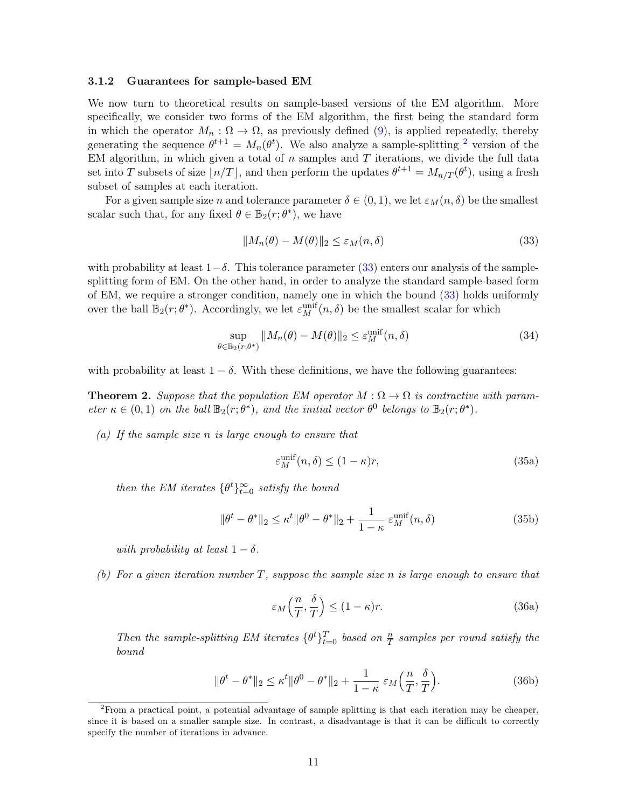### 3.1.2 Guarantees for sample-based EM

We now turn to theoretical results on sample-based versions of the EM algorithm. More specifically, we consider two forms of the EM algorithm, the first being the standard form in which the operator  $M_n : \Omega \to \Omega$ , as previously defined [\(9\)](#page-3-4), is applied repeatedly, thereby generating the sequence  $\theta^{t+1} = M_n(\theta^t)$ . We also analyze a sample-splitting <sup>[2](#page-10-1)</sup> version of the EM algorithm, in which given a total of  $n$  samples and  $T$  iterations, we divide the full data set into T subsets of size  $\lfloor n/T \rfloor$ , and then perform the updates  $\theta^{t+1} = M_{n/T}(\theta^t)$ , using a fresh subset of samples at each iteration.

For a given sample size n and tolerance parameter  $\delta \in (0,1)$ , we let  $\varepsilon_M(n,\delta)$  be the smallest scalar such that, for any fixed  $\theta \in \mathbb{B}_2(r; \theta^*)$ , we have

<span id="page-10-2"></span>
$$
||M_n(\theta) - M(\theta)||_2 \le \varepsilon_M(n, \delta)
$$
\n(33)

with probability at least  $1-\delta$ . This tolerance parameter [\(33\)](#page-10-2) enters our analysis of the samplesplitting form of EM. On the other hand, in order to analyze the standard sample-based form of EM, we require a stronger condition, namely one in which the bound [\(33\)](#page-10-2) holds uniformly over the ball  $\mathbb{B}_2(r;\theta^*)$ . Accordingly, we let  $\varepsilon_M^{\text{unif}}(n,\delta)$  be the smallest scalar for which

$$
\sup_{\theta \in \mathbb{B}_2(r;\theta^*)} \|M_n(\theta) - M(\theta)\|_2 \le \varepsilon_M^{\text{unif}}(n,\delta)
$$
\n(34)

<span id="page-10-0"></span>with probability at least  $1 - \delta$ . With these definitions, we have the following guarantees:

**Theorem 2.** Suppose that the population EM operator  $M : \Omega \to \Omega$  is contractive with parameter  $\kappa \in (0,1)$  on the ball  $\mathbb{B}_2(r;\theta^*)$ , and the initial vector  $\theta^0$  belongs to  $\mathbb{B}_2(r;\theta^*)$ .

(a) If the sample size n is large enough to ensure that

<span id="page-10-3"></span>
$$
\varepsilon_M^{\text{unif}}(n,\delta) \le (1 - \kappa)r,\tag{35a}
$$

then the EM iterates  $\{\theta^t\}_{t=0}^{\infty}$  satisfy the bound

$$
\|\theta^t - \theta^*\|_2 \le \kappa^t \|\theta^0 - \theta^*\|_2 + \frac{1}{1 - \kappa} \varepsilon_M^{\text{unif}}(n, \delta)
$$
\n(35b)

with probability at least  $1 - \delta$ .

(b) For a given iteration number T, suppose the sample size n is large enough to ensure that

$$
\varepsilon_M\left(\frac{n}{T}, \frac{\delta}{T}\right) \le (1 - \kappa)r. \tag{36a}
$$

Then the sample-splitting EM iterates  $\{\theta^t\}_{t=0}^T$  based on  $\frac{n}{T}$  samples per round satisfy the bound

$$
\|\theta^t - \theta^*\|_2 \le \kappa^t \|\theta^0 - \theta^*\|_2 + \frac{1}{1 - \kappa} \varepsilon_M \left(\frac{n}{T}, \frac{\delta}{T}\right). \tag{36b}
$$

<span id="page-10-1"></span><sup>2</sup>From a practical point, a potential advantage of sample splitting is that each iteration may be cheaper, since it is based on a smaller sample size. In contrast, a disadvantage is that it can be difficult to correctly specify the number of iterations in advance.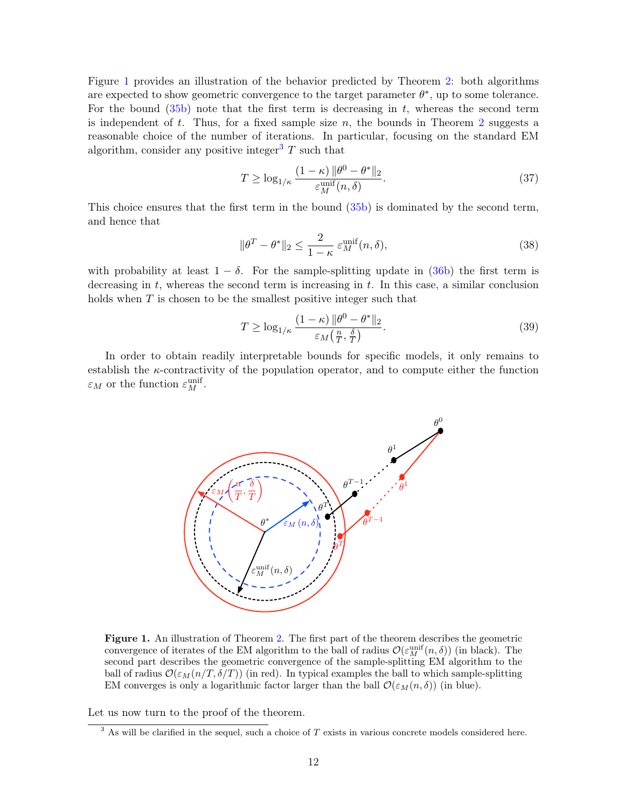Figure [1](#page-11-0) provides an illustration of the behavior predicted by Theorem [2:](#page-10-0) both algorithms are expected to show geometric convergence to the target parameter  $\theta^*$ , up to some tolerance. For the bound  $(35b)$  note that the first term is decreasing in t, whereas the second term is independent of  $t$ . Thus, for a fixed sample size  $n$ , the bounds in Theorem [2](#page-10-0) suggests a reasonable choice of the number of iterations. In particular, focusing on the standard EM algorithm, consider any positive integer<sup>[3](#page-11-1)</sup>  $T$  such that

$$
T \ge \log_{1/\kappa} \frac{(1-\kappa) \|\theta^0 - \theta^*\|_2}{\varepsilon_M^{\text{unif}}(n,\delta)}.
$$
\n(37)

This choice ensures that the first term in the bound [\(35b\)](#page-9-2) is dominated by the second term, and hence that

$$
\|\theta^T - \theta^*\|_2 \le \frac{2}{1 - \kappa} \varepsilon_M^{\text{unif}}(n, \delta),\tag{38}
$$

with probability at least  $1 - \delta$ . For the sample-splitting update in [\(36b\)](#page-9-2) the first term is decreasing in  $t$ , whereas the second term is increasing in  $t$ . In this case, a similar conclusion holds when  $T$  is chosen to be the smallest positive integer such that

$$
T \ge \log_{1/\kappa} \frac{(1-\kappa) \|\theta^0 - \theta^*\|_2}{\varepsilon_M(\frac{n}{T}, \frac{\delta}{T})}.
$$
\n(39)

In order to obtain readily interpretable bounds for specific models, it only remains to establish the  $\kappa$ -contractivity of the population operator, and to compute either the function  $\varepsilon_M$  or the function  $\varepsilon_M^{\text{unif}}$ .



<span id="page-11-0"></span>Figure 1. An illustration of Theorem [2.](#page-10-0) The first part of the theorem describes the geometric convergence of iterates of the EM algorithm to the ball of radius  $\mathcal{O}(\varepsilon_M^{\text{unif}}(n,\delta))$  (in black). The second part describes the geometric convergence of the sample-splitting EM algorithm to the ball of radius  $\mathcal{O}(\varepsilon_M(n/T, \delta/T))$  (in red). In typical examples the ball to which sample-splitting EM converges is only a logarithmic factor larger than the ball  $\mathcal{O}(\varepsilon_M(n,\delta))$  (in blue).

Let us now turn to the proof of the theorem.

<span id="page-11-1"></span> $\overline{3}$  As will be clarified in the sequel, such a choice of T exists in various concrete models considered here.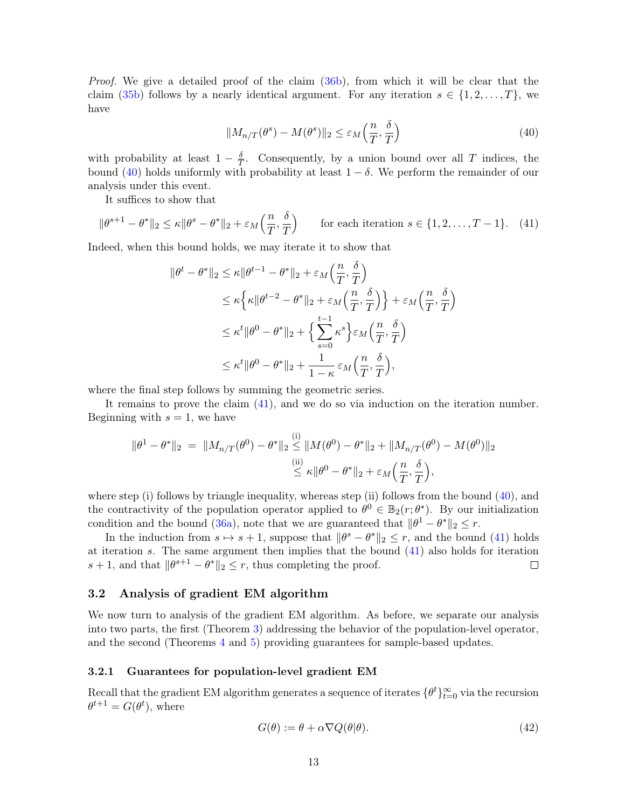Proof. We give a detailed proof of the claim [\(36b\)](#page-9-2), from which it will be clear that the claim [\(35b\)](#page-9-2) follows by a nearly identical argument. For any iteration  $s \in \{1, 2, ..., T\}$ , we have

<span id="page-12-2"></span><span id="page-12-1"></span>
$$
||M_{n/T}(\theta^s) - M(\theta^s)||_2 \le \varepsilon_M\left(\frac{n}{T}, \frac{\delta}{T}\right)
$$
\n(40)

with probability at least  $1 - \frac{\delta}{T}$  $\frac{\delta}{T}$ . Consequently, by a union bound over all T indices, the bound [\(40\)](#page-12-1) holds uniformly with probability at least  $1 - \delta$ . We perform the remainder of our analysis under this event.

It suffices to show that

$$
\|\theta^{s+1} - \theta^*\|_2 \le \kappa \|\theta^s - \theta^*\|_2 + \varepsilon_M\left(\frac{n}{T}, \frac{\delta}{T}\right) \qquad \text{for each iteration } s \in \{1, 2, \dots, T - 1\}. \tag{41}
$$

Indeed, when this bound holds, we may iterate it to show that

$$
\begin{split} \|\theta^{t} - \theta^{*}\|_{2} &\leq \kappa \|\theta^{t-1} - \theta^{*}\|_{2} + \varepsilon_{M} \left(\frac{n}{T}, \frac{\delta}{T}\right) \\ &\leq \kappa \Big\{ \kappa \|\theta^{t-2} - \theta^{*}\|_{2} + \varepsilon_{M} \left(\frac{n}{T}, \frac{\delta}{T}\right) \Big\} + \varepsilon_{M} \left(\frac{n}{T}, \frac{\delta}{T}\right) \\ &\leq \kappa^{t} \|\theta^{0} - \theta^{*}\|_{2} + \Big\{ \sum_{s=0}^{t-1} \kappa^{s} \Big\} \varepsilon_{M} \left(\frac{n}{T}, \frac{\delta}{T}\right) \\ &\leq \kappa^{t} \|\theta^{0} - \theta^{*}\|_{2} + \frac{1}{1 - \kappa} \varepsilon_{M} \left(\frac{n}{T}, \frac{\delta}{T}\right), \end{split}
$$

where the final step follows by summing the geometric series.

It remains to prove the claim [\(41\)](#page-12-2), and we do so via induction on the iteration number. Beginning with  $s = 1$ , we have

$$
\|\theta^1 - \theta^*\|_2 = \|M_{n/T}(\theta^0) - \theta^*\|_2 \le \|M(\theta^0) - \theta^*\|_2 + \|M_{n/T}(\theta^0) - M(\theta^0)\|_2
$$
  

$$
\le \kappa \|\theta^0 - \theta^*\|_2 + \varepsilon_M \left(\frac{n}{T}, \frac{\delta}{T}\right),
$$

where step (i) follows by triangle inequality, whereas step (ii) follows from the bound [\(40\)](#page-12-1), and the contractivity of the population operator applied to  $\theta^0 \in \mathbb{B}_2(r;\theta^*)$ . By our initialization condition and the bound [\(36a\)](#page-9-1), note that we are guaranteed that  $\|\theta^1 - \theta^*\|_2 \leq r$ .

In the induction from  $s \mapsto s + 1$ , suppose that  $\|\theta^s - \theta^*\|_2 \leq r$ , and the bound [\(41\)](#page-12-2) holds at iteration s. The same argument then implies that the bound [\(41\)](#page-12-2) also holds for iteration  $s + 1$ , and that  $\|\theta^{s+1} - \theta^*\|_2 \leq r$ , thus completing the proof.  $\Box$ 

# <span id="page-12-0"></span>3.2 Analysis of gradient EM algorithm

We now turn to analysis of the gradient EM algorithm. As before, we separate our analysis into two parts, the first (Theorem [3\)](#page-13-0) addressing the behavior of the population-level operator, and the second (Theorems [4](#page-15-0) and [5\)](#page-16-0) providing guarantees for sample-based updates.

### 3.2.1 Guarantees for population-level gradient EM

Recall that the gradient EM algorithm generates a sequence of iterates  $\{\theta^t\}_{t=0}^{\infty}$  via the recursion  $\theta^{t+1} = G(\theta^t)$ , where

<span id="page-12-3"></span>
$$
G(\theta) := \theta + \alpha \nabla Q(\theta|\theta). \tag{42}
$$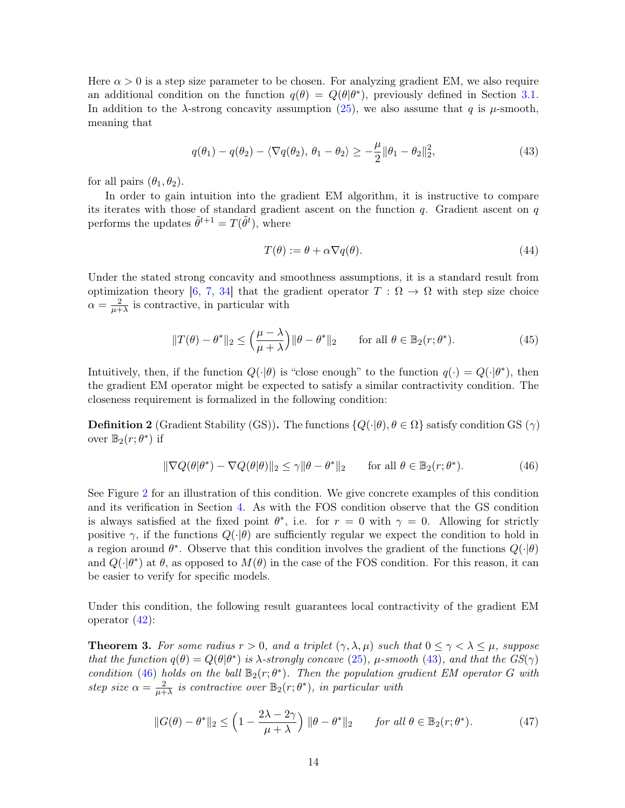Here  $\alpha > 0$  is a step size parameter to be chosen. For analyzing gradient EM, we also require an additional condition on the function  $q(\theta) = Q(\theta | \theta^*)$ , previously defined in Section [3.1.](#page-8-0) In addition to the  $\lambda$ -strong concavity assumption [\(25\)](#page-8-5), we also assume that q is  $\mu$ -smooth, meaning that

$$
q(\theta_1) - q(\theta_2) - \langle \nabla q(\theta_2), \theta_1 - \theta_2 \rangle \ge -\frac{\mu}{2} ||\theta_1 - \theta_2||_2^2,
$$
\n(43)

for all pairs  $(\theta_1, \theta_2)$ .

In order to gain intuition into the gradient EM algorithm, it is instructive to compare its iterates with those of standard gradient ascent on the function  $q$ . Gradient ascent on  $q$ performs the updates  $\tilde{\theta}^{t+1} = T(\tilde{\theta}^t)$ , where

<span id="page-13-3"></span><span id="page-13-2"></span><span id="page-13-1"></span>
$$
T(\theta) := \theta + \alpha \nabla q(\theta). \tag{44}
$$

Under the stated strong concavity and smoothness assumptions, it is a standard result from optimization theory [\[6,](#page-50-7) [7,](#page-50-8) [34\]](#page-52-11) that the gradient operator  $T : \Omega \to \Omega$  with step size choice  $\alpha = \frac{2}{\mu +}$  $\frac{2}{\mu+\lambda}$  is contractive, in particular with

$$
||T(\theta) - \theta^*||_2 \le \left(\frac{\mu - \lambda}{\mu + \lambda}\right) ||\theta - \theta^*||_2 \quad \text{for all } \theta \in \mathbb{B}_2(r; \theta^*).
$$
 (45)

Intuitively, then, if the function  $Q(\cdot|\theta)$  is "close enough" to the function  $q(\cdot) = Q(\cdot|\theta^*)$ , then the gradient EM operator might be expected to satisfy a similar contractivity condition. The closeness requirement is formalized in the following condition:

**Definition 2** (Gradient Stability (GS)). The functions  $\{Q(\cdot|\theta), \theta \in \Omega\}$  satisfy condition GS  $(\gamma)$ over  $\mathbb{B}_2(r; \theta^*)$  if

$$
\|\nabla Q(\theta|\theta^*) - \nabla Q(\theta|\theta)\|_2 \le \gamma \|\theta - \theta^*\|_2 \quad \text{for all } \theta \in \mathbb{B}_2(r;\theta^*). \tag{46}
$$

See Figure [2](#page-14-0) for an illustration of this condition. We give concrete examples of this condition and its verification in Section [4.](#page-17-0) As with the FOS condition observe that the GS condition is always satisfied at the fixed point  $\theta^*$ , i.e. for  $r = 0$  with  $\gamma = 0$ . Allowing for strictly positive  $\gamma$ , if the functions  $Q(\cdot|\theta)$  are sufficiently regular we expect the condition to hold in a region around  $\theta^*$ . Observe that this condition involves the gradient of the functions  $Q(\cdot|\theta)$ and  $Q(\cdot|\theta^*)$  at  $\theta$ , as opposed to  $M(\theta)$  in the case of the FOS condition. For this reason, it can be easier to verify for specific models.

Under this condition, the following result guarantees local contractivity of the gradient EM operator [\(42\)](#page-12-3):

<span id="page-13-0"></span>**Theorem 3.** For some radius  $r > 0$ , and a triplet  $(\gamma, \lambda, \mu)$  such that  $0 \leq \gamma < \lambda \leq \mu$ , suppose that the function  $q(\theta) = Q(\theta | \theta^*)$  is  $\lambda$ -strongly concave [\(25\)](#page-8-5),  $\mu$ -smooth [\(43\)](#page-13-1), and that the  $GS(\gamma)$ condition [\(46\)](#page-13-2) holds on the ball  $\mathbb{B}_2(r;\theta^*)$ . Then the population gradient EM operator G with step size  $\alpha = \frac{2}{\mu +}$  $\frac{2}{\mu+\lambda}$  is contractive over  $\mathbb{B}_2(r;\theta^*)$ , in particular with

$$
||G(\theta) - \theta^*||_2 \le \left(1 - \frac{2\lambda - 2\gamma}{\mu + \lambda}\right) ||\theta - \theta^*||_2 \quad \text{for all } \theta \in \mathbb{B}_2(r; \theta^*). \tag{47}
$$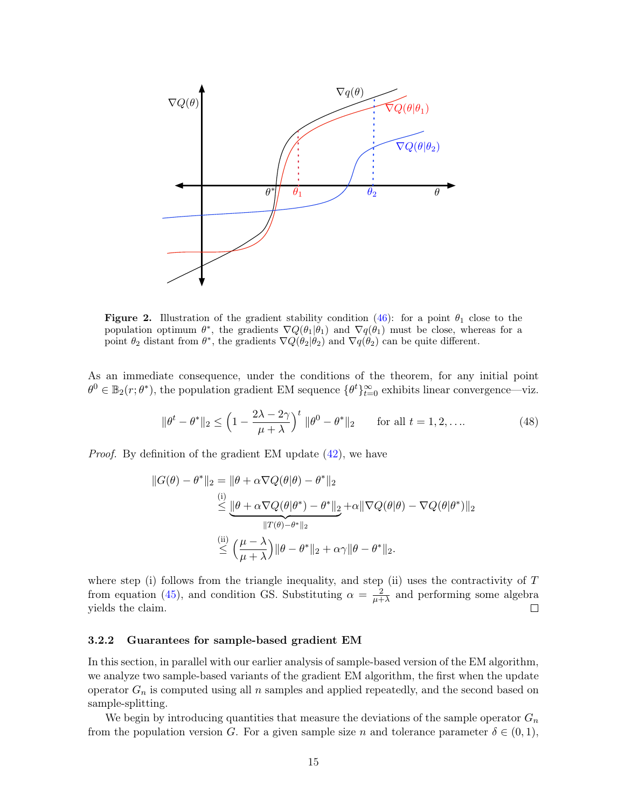

<span id="page-14-0"></span>**Figure 2.** Illustration of the gradient stability condition [\(46\)](#page-13-2): for a point  $\theta_1$  close to the population optimum  $\theta^*$ , the gradients  $\nabla Q(\theta_1|\theta_1)$  and  $\nabla q(\theta_1)$  must be close, whereas for a point  $\theta_2$  distant from  $\theta^*$ , the gradients  $\nabla Q(\theta_2|\theta_2)$  and  $\nabla q(\theta_2)$  can be quite different.

As an immediate consequence, under the conditions of the theorem, for any initial point  $\theta^0 \in \mathbb{B}_2(r;\theta^*)$ , the population gradient EM sequence  $\{\theta^t\}_{t=0}^{\infty}$  exhibits linear convergence—viz.

$$
\|\theta^t - \theta^*\|_2 \le \left(1 - \frac{2\lambda - 2\gamma}{\mu + \lambda}\right)^t \|\theta^0 - \theta^*\|_2 \quad \text{for all } t = 1, 2, \dots
$$
 (48)

Proof. By definition of the gradient EM update [\(42\)](#page-12-3), we have

$$
||G(\theta) - \theta^*||_2 = ||\theta + \alpha \nabla Q(\theta|\theta) - \theta^*||_2
$$
  
\n
$$
\leq ||\theta + \alpha \nabla Q(\theta|\theta^*) - \theta^*||_2 + \alpha ||\nabla Q(\theta|\theta) - \nabla Q(\theta|\theta^*)||_2
$$
  
\n
$$
||T(\theta) - \theta^*||_2
$$
  
\n
$$
\leq \left(\frac{\mu - \lambda}{\mu + \lambda}\right) ||\theta - \theta^*||_2 + \alpha \gamma ||\theta - \theta^*||_2.
$$

where step (i) follows from the triangle inequality, and step (ii) uses the contractivity of  $T$ from equation [\(45\)](#page-13-3), and condition GS. Substituting  $\alpha = \frac{2}{n+1}$  $\frac{2}{\mu + \lambda}$  and performing some algebra yields the claim.  $\Box$ 

### 3.2.2 Guarantees for sample-based gradient EM

In this section, in parallel with our earlier analysis of sample-based version of the EM algorithm, we analyze two sample-based variants of the gradient EM algorithm, the first when the update operator  $G_n$  is computed using all n samples and applied repeatedly, and the second based on sample-splitting.

We begin by introducing quantities that measure the deviations of the sample operator  $G_n$ from the population version G. For a given sample size n and tolerance parameter  $\delta \in (0,1)$ ,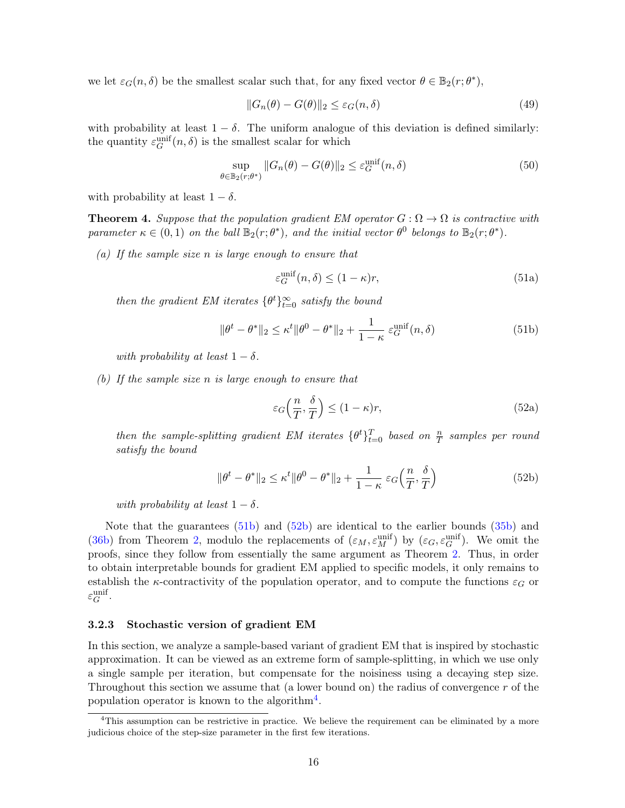we let  $\varepsilon_G(n,\delta)$  be the smallest scalar such that, for any fixed vector  $\theta \in \mathbb{B}_2(r;\theta^*),$ 

<span id="page-15-3"></span>
$$
||G_n(\theta) - G(\theta)||_2 \le \varepsilon_G(n,\delta)
$$
\n(49)

with probability at least  $1 - \delta$ . The uniform analogue of this deviation is defined similarly: the quantity  $\varepsilon_G^{\text{unif}}(n, \delta)$  is the smallest scalar for which

$$
\sup_{\theta \in \mathbb{B}_2(r;\theta^*)} \|G_n(\theta) - G(\theta)\|_2 \le \varepsilon_G^{\text{unif}}(n,\delta)
$$
\n(50)

with probability at least  $1 - \delta$ .

<span id="page-15-0"></span>**Theorem 4.** Suppose that the population gradient EM operator  $G : \Omega \to \Omega$  is contractive with parameter  $\kappa \in (0,1)$  on the ball  $\mathbb{B}_2(r;\theta^*)$ , and the initial vector  $\theta^0$  belongs to  $\mathbb{B}_2(r;\theta^*)$ .

(a) If the sample size  $n$  is large enough to ensure that

$$
\varepsilon_G^{\text{unif}}(n,\delta) \le (1 - \kappa)r,\tag{51a}
$$

then the gradient EM iterates  $\{\theta^t\}_{t=0}^{\infty}$  satisfy the bound

$$
\|\theta^t - \theta^*\|_2 \le \kappa^t \|\theta^0 - \theta^*\|_2 + \frac{1}{1 - \kappa} \varepsilon_G^{\text{unif}}(n, \delta)
$$
\n(51b)

with probability at least  $1 - \delta$ .

(b) If the sample size n is large enough to ensure that

$$
\varepsilon_G\left(\frac{n}{T}, \frac{\delta}{T}\right) \le (1 - \kappa)r,\tag{52a}
$$

then the sample-splitting gradient EM iterates  $\{\theta^t\}_{t=0}^T$  based on  $\frac{n}{T}$  samples per round satisfy the bound

$$
\|\theta^t - \theta^*\|_2 \le \kappa^t \|\theta^0 - \theta^*\|_2 + \frac{1}{1 - \kappa} \varepsilon_G\left(\frac{n}{T}, \frac{\delta}{T}\right)
$$
(52b)

with probability at least  $1 - \delta$ .

Note that the guarantees [\(51b\)](#page-9-2) and [\(52b\)](#page-9-2) are identical to the earlier bounds [\(35b\)](#page-9-2) and [\(36b\)](#page-9-2) from Theorem [2,](#page-10-0) modulo the replacements of  $(\varepsilon_M, \varepsilon_M^{\text{unif}})$  by  $(\varepsilon_G, \varepsilon_G^{\text{unif}})$ . We omit the proofs, since they follow from essentially the same argument as Theorem [2.](#page-10-0) Thus, in order to obtain interpretable bounds for gradient EM applied to specific models, it only remains to establish the  $\kappa$ -contractivity of the population operator, and to compute the functions  $\varepsilon_G$  or  $\varepsilon^{\mathrm{unif}}_G.$ 

### <span id="page-15-1"></span>3.2.3 Stochastic version of gradient EM

In this section, we analyze a sample-based variant of gradient EM that is inspired by stochastic approximation. It can be viewed as an extreme form of sample-splitting, in which we use only a single sample per iteration, but compensate for the noisiness using a decaying step size. Throughout this section we assume that (a lower bound on) the radius of convergence r of the population operator is known to the algorithm<sup>[4](#page-15-2)</sup>.

<span id="page-15-2"></span><sup>&</sup>lt;sup>4</sup>This assumption can be restrictive in practice. We believe the requirement can be eliminated by a more judicious choice of the step-size parameter in the first few iterations.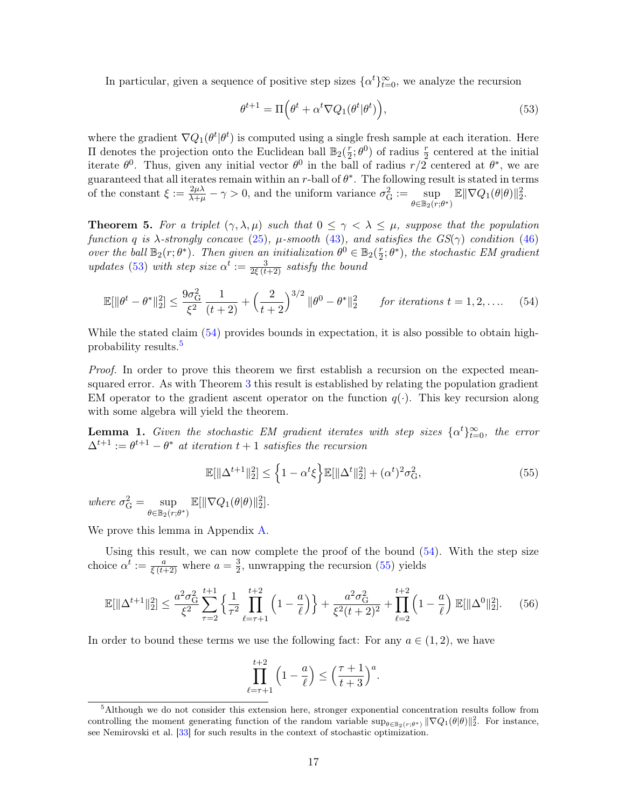In particular, given a sequence of positive step sizes  $\{\alpha^t\}_{t=0}^{\infty}$ , we analyze the recursion

<span id="page-16-2"></span><span id="page-16-1"></span>
$$
\theta^{t+1} = \Pi \Big( \theta^t + \alpha^t \nabla Q_1(\theta^t | \theta^t) \Big), \tag{53}
$$

where the gradient  $\nabla Q_1(\theta^t|\theta^t)$  is computed using a single fresh sample at each iteration. Here II denotes the projection onto the Euclidean ball  $\mathbb{B}_2(\frac{r}{2})$  $\frac{r}{2}$ ;  $\theta^0$ ) of radius  $\frac{r}{2}$  centered at the initial iterate  $\theta^0$ . Thus, given any initial vector  $\theta^0$  in the ball of radius  $r/2$  centered at  $\theta^*$ , we are guaranteed that all iterates remain within an r-ball of  $\theta^*$ . The following result is stated in terms of the constant  $\xi := \frac{2\mu\lambda}{\lambda+\mu} - \gamma > 0$ , and the uniform variance  $\sigma_G^2 := \sup_{\lambda \in \mathbb{R}^n}$  $\sup_{\theta \in \mathbb{B}_2(r;\theta^*)} \mathbb{E} \|\nabla Q_1(\theta|\theta)\|_2^2.$ 

<span id="page-16-0"></span>**Theorem 5.** For a triplet  $(\gamma, \lambda, \mu)$  such that  $0 \leq \gamma < \lambda \leq \mu$ , suppose that the population function q is  $\lambda$ -strongly concave [\(25\)](#page-8-5),  $\mu$ -smooth [\(43\)](#page-13-1), and satisfies the  $GS(\gamma)$  condition [\(46\)](#page-13-2) over the ball  $\mathbb{B}_2(r;\theta^*)$ . Then given an initialization  $\theta^0 \in \mathbb{B}_2(\frac{r}{2})$  $(\frac{r}{2};\theta^*)$ , the stochastic EM gradient updates [\(53\)](#page-16-1) with step size  $\alpha^t := \frac{3}{2\xi(t+2)}$  satisfy the bound

$$
\mathbb{E}[\|\theta^t - \theta^*\|_2^2] \le \frac{9\sigma_G^2}{\xi^2} \frac{1}{(t+2)} + \left(\frac{2}{t+2}\right)^{3/2} \|\theta^0 - \theta^*\|_2^2 \quad \text{for iterations } t = 1, 2, \dots \quad (54)
$$

While the stated claim [\(54\)](#page-16-2) provides bounds in expectation, it is also possible to obtain high-probability results.<sup>[5](#page-16-3)</sup>

Proof. In order to prove this theorem we first establish a recursion on the expected meansquared error. As with Theorem [3](#page-13-0) this result is established by relating the population gradient EM operator to the gradient ascent operator on the function  $q(\cdot)$ . This key recursion along with some algebra will yield the theorem.

<span id="page-16-6"></span>**Lemma 1.** Given the stochastic EM gradient iterates with step sizes  $\{\alpha^t\}_{t=0}^{\infty}$ , the error  $\Delta^{t+1} := \theta^{t+1} - \theta^*$  at iteration  $t+1$  satisfies the recursion

<span id="page-16-4"></span>
$$
\mathbb{E}[\|\Delta^{t+1}\|_2^2] \le \left\{1 - \alpha^t \xi\right\} \mathbb{E}[\|\Delta^t\|_2^2] + (\alpha^t)^2 \sigma_G^2,\tag{55}
$$

where  $\sigma_G^2 = \sup$  $\sup_{\theta \in \mathbb{B}_2(r;\theta^*)} \mathbb{E}[\|\nabla Q_1(\theta|\theta)\|_2^2].$ 

We prove this lemma in Appendix [A.](#page-26-0)

Using this result, we can now complete the proof of the bound  $(54)$ . With the step size choice  $\alpha^t := \frac{a}{\xi(t+2)}$  where  $a = \frac{3}{2}$  $\frac{3}{2}$ , unwrapping the recursion [\(55\)](#page-16-4) yields

$$
\mathbb{E}[\|\Delta^{t+1}\|_2^2] \le \frac{a^2 \sigma_\mathcal{G}^2}{\xi^2} \sum_{\tau=2}^{t+1} \left\{ \frac{1}{\tau^2} \prod_{\ell=\tau+1}^{t+2} \left( 1 - \frac{a}{\ell} \right) \right\} + \frac{a^2 \sigma_\mathcal{G}^2}{\xi^2 (t+2)^2} + \prod_{\ell=2}^{t+2} \left( 1 - \frac{a}{\ell} \right) \mathbb{E}[\|\Delta^0\|_2^2]. \tag{56}
$$

In order to bound these terms we use the following fact: For any  $a \in (1, 2)$ , we have

<span id="page-16-5"></span>
$$
\prod_{\ell=\tau+1}^{t+2} \left(1 - \frac{a}{\ell}\right) \le \left(\frac{\tau+1}{t+3}\right)^a.
$$

<span id="page-16-3"></span><sup>&</sup>lt;sup>5</sup>Although we do not consider this extension here, stronger exponential concentration results follow from controlling the moment generating function of the random variable  $\sup_{\theta \in \mathbb{B}_2(r;\theta^*)} \|\nabla Q_1(\theta|\theta)\|_2^2$ . For instance, see Nemirovski et al. [\[33\]](#page-52-12) for such results in the context of stochastic optimization.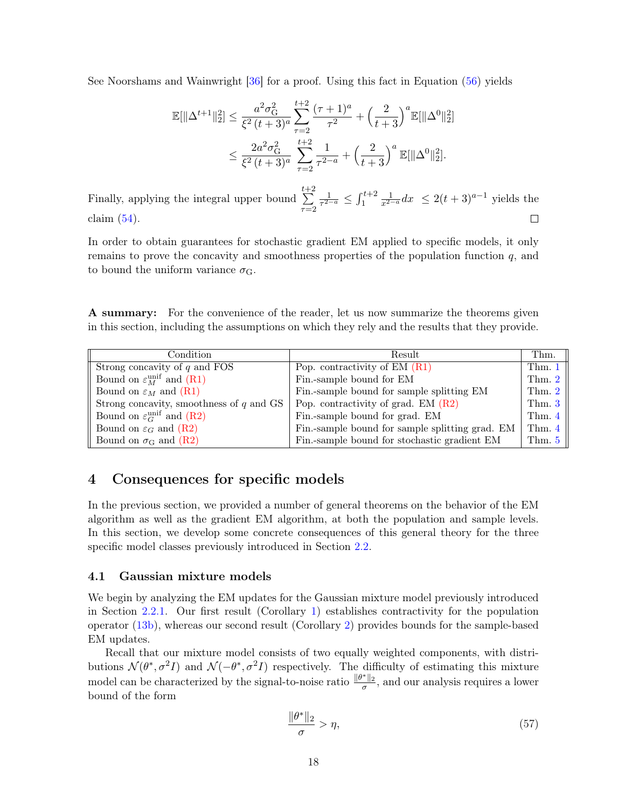See Noorshams and Wainwright [\[36\]](#page-52-13) for a proof. Using this fact in Equation [\(56\)](#page-16-5) yields

$$
\mathbb{E}[\|\Delta^{t+1}\|_2^2] \le \frac{a^2 \sigma_{\mathcal{G}}^2}{\xi^2 (t+3)^a} \sum_{\tau=2}^{t+2} \frac{(\tau+1)^a}{\tau^2} + \left(\frac{2}{t+3}\right)^a \mathbb{E}[\|\Delta^0\|_2^2]
$$
  

$$
\le \frac{2a^2 \sigma_{\mathcal{G}}^2}{\xi^2 (t+3)^a} \sum_{\tau=2}^{t+2} \frac{1}{\tau^{2-a}} + \left(\frac{2}{t+3}\right)^a \mathbb{E}[\|\Delta^0\|_2^2].
$$

 $\sum_{i=1}^{t+1}$  $\frac{1}{\tau^{2-a}} \leq \int_1^{t+2}$ 1  $\frac{1}{x^{2-a}}dx \leq 2(t+3)^{a-1}$  yields the Finally, applying the integral upper bound  $\tau=2$ claim  $(54)$ .  $\Box$ 

In order to obtain guarantees for stochastic gradient EM applied to specific models, it only remains to prove the concavity and smoothness properties of the population function  $q$ , and to bound the uniform variance  $\sigma_{\rm G}$ .

A summary: For the convenience of the reader, let us now summarize the theorems given in this section, including the assumptions on which they rely and the results that they provide.

| Condition                                         | Result                                          | Thm.               |
|---------------------------------------------------|-------------------------------------------------|--------------------|
| Strong concavity of $q$ and FOS                   | Pop. contractivity of $EM(R1)$                  | Thm. $1 \parallel$ |
| Bound on $\varepsilon_M^{\text{unif}}$ and (R1)   | Fin.-sample bound for EM                        | Thm. $2 \parallel$ |
| Bound on $\varepsilon_M$ and (R1)                 | Fin.-sample bound for sample splitting EM       | Thm. $2 \parallel$ |
| Strong concavity, smoothness of $q$ and GS        | Pop. contractivity of grad. EM $(R2)$           | Thm. $3$           |
| Bound on $\varepsilon_G^{\text{unif}}$ and $(R2)$ | Fin.-sample bound for grad. EM                  | Thm. $4 \parallel$ |
| Bound on $\varepsilon_G$ and $(R2)$               | Fin.-sample bound for sample splitting grad. EM | Thm. $4 \parallel$ |
| Bound on $\sigma$ <sub>G</sub> and (R2)           | Fin.-sample bound for stochastic gradient EM    | Thm. $5 \parallel$ |

# <span id="page-17-0"></span>4 Consequences for specific models

In the previous section, we provided a number of general theorems on the behavior of the EM algorithm as well as the gradient EM algorithm, at both the population and sample levels. In this section, we develop some concrete consequences of this general theory for the three specific model classes previously introduced in Section [2.2.](#page-4-3)

# <span id="page-17-1"></span>4.1 Gaussian mixture models

We begin by analyzing the EM updates for the Gaussian mixture model previously introduced in Section [2.2.1.](#page-4-0) Our first result (Corollary [1\)](#page-18-0) establishes contractivity for the population operator [\(13b\)](#page-2-1), whereas our second result (Corollary [2\)](#page-18-1) provides bounds for the sample-based EM updates.

Recall that our mixture model consists of two equally weighted components, with distributions  $\mathcal{N}(\theta^*, \sigma^2 I)$  and  $\mathcal{N}(-\theta^*, \sigma^2 I)$  respectively. The difficulty of estimating this mixture model can be characterized by the signal-to-noise ratio  $\frac{\|\theta^*\|_2}{\sigma}$ , and our analysis requires a lower bound of the form

<span id="page-17-2"></span>
$$
\frac{\|\theta^*\|_2}{\sigma} > \eta,\tag{57}
$$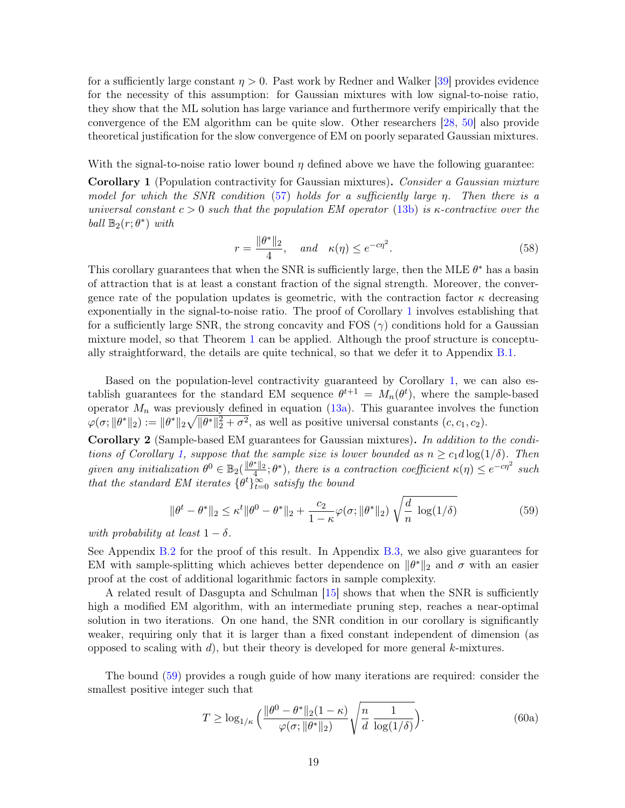for a sufficiently large constant  $\eta > 0$ . Past work by Redner and Walker [\[39\]](#page-52-14) provides evidence for the necessity of this assumption: for Gaussian mixtures with low signal-to-noise ratio, they show that the ML solution has large variance and furthermore verify empirically that the convergence of the EM algorithm can be quite slow. Other researchers [\[28,](#page-51-10) [50\]](#page-53-3) also provide theoretical justification for the slow convergence of EM on poorly separated Gaussian mixtures.

With the signal-to-noise ratio lower bound  $\eta$  defined above we have the following guarantee:

<span id="page-18-0"></span>Corollary 1 (Population contractivity for Gaussian mixtures). Consider a Gaussian mixture model for which the SNR condition [\(57\)](#page-17-2) holds for a sufficiently large η. Then there is a universal constant  $c > 0$  such that the population EM operator [\(13b\)](#page-2-1) is  $\kappa$ -contractive over the ball  $\mathbb{B}_2(r; \theta^*)$  with

$$
r = \frac{\|\theta^*\|_2}{4}, \quad \text{and} \quad \kappa(\eta) \le e^{-c\eta^2}.
$$
 (58)

This corollary guarantees that when the SNR is sufficiently large, then the MLE  $\theta^*$  has a basin of attraction that is at least a constant fraction of the signal strength. Moreover, the convergence rate of the population updates is geometric, with the contraction factor  $\kappa$  decreasing exponentially in the signal-to-noise ratio. The proof of Corollary [1](#page-18-0) involves establishing that for a sufficiently large SNR, the strong concavity and FOS  $(\gamma)$  conditions hold for a Gaussian mixture model, so that Theorem [1](#page-9-0) can be applied. Although the proof structure is conceptually straightforward, the details are quite technical, so that we defer it to Appendix [B.1.](#page-27-0)

Based on the population-level contractivity guaranteed by Corollary [1,](#page-18-0) we can also establish guarantees for the standard EM sequence  $\theta^{t+1} = M_n(\theta^t)$ , where the sample-based operator  $M_n$  was previously defined in equation  $(13a)$ . This guarantee involves the function  $\varphi(\sigma; \|\theta^*\|_2) := \|\theta^*\|_2 \sqrt{\|\theta^*\|_2^2 + \sigma^2}$ , as well as positive universal constants  $(c, c_1, c_2)$ .

<span id="page-18-1"></span>Corollary 2 (Sample-based EM guarantees for Gaussian mixtures). In addition to the condi-tions of Corollary [1,](#page-18-0) suppose that the sample size is lower bounded as  $n \geq c_1 d \log(1/\delta)$ . Then given any initialization  $\theta^0 \in \mathbb{B}_2(\frac{\|\theta^*\|_2}{4};\theta^*)$ , there is a contraction coefficient  $\kappa(\eta) \leq e^{-c\eta^2}$  such that the standard EM iterates  $\{\theta^t\}_{t=0}^{\infty}$  satisfy the bound

<span id="page-18-2"></span>
$$
\|\theta^t - \theta^*\|_2 \le \kappa^t \|\theta^0 - \theta^*\|_2 + \frac{c_2}{1 - \kappa} \varphi(\sigma; \|\theta^*\|_2) \sqrt{\frac{d}{n} \log(1/\delta)}
$$
(59)

with probability at least  $1 - \delta$ .

See Appendix [B.2](#page-30-0) for the proof of this result. In Appendix [B.3,](#page-31-0) we also give guarantees for EM with sample-splitting which achieves better dependence on  $\|\theta^*\|_2$  and  $\sigma$  with an easier proof at the cost of additional logarithmic factors in sample complexity.

A related result of Dasgupta and Schulman [\[15\]](#page-51-11) shows that when the SNR is sufficiently high a modified EM algorithm, with an intermediate pruning step, reaches a near-optimal solution in two iterations. On one hand, the SNR condition in our corollary is significantly weaker, requiring only that it is larger than a fixed constant independent of dimension (as opposed to scaling with d), but their theory is developed for more general  $k$ -mixtures.

The bound [\(59\)](#page-18-2) provides a rough guide of how many iterations are required: consider the smallest positive integer such that

<span id="page-18-3"></span>
$$
T \ge \log_{1/\kappa} \left( \frac{\|\theta^0 - \theta^*\|_2 (1 - \kappa)}{\varphi(\sigma; \|\theta^*\|_2)} \sqrt{\frac{n}{d} \frac{1}{\log(1/\delta)}} \right). \tag{60a}
$$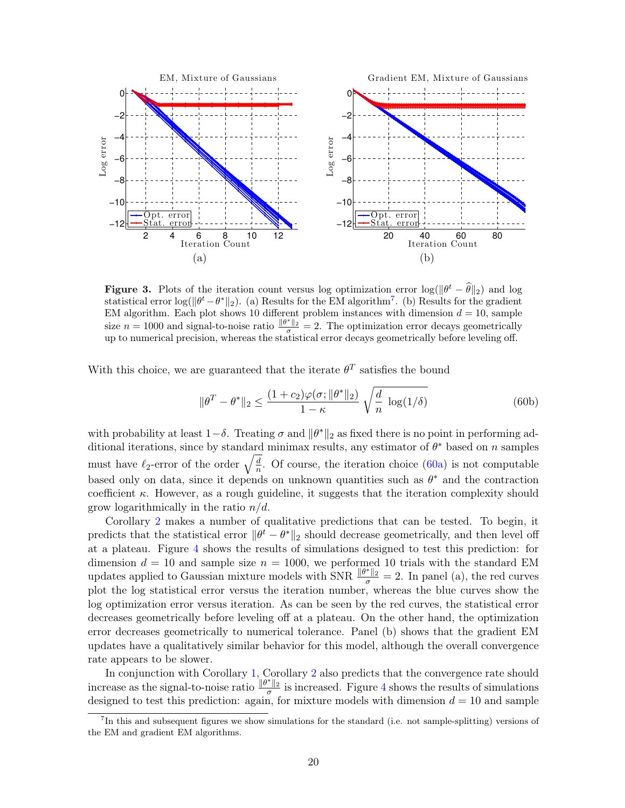

**Figure 3.** Plots of the iteration count versus log optimization error  $\log(\|\theta^t - \hat{\theta}\|_2)$  and log statistical error  $\log(\|\theta^t - \theta^*\|_2)$ . (a) Results for the EM algorithm<sup>[7](#page-19-0)</sup>. (b) Results for the gradient EM algorithm. Each plot shows 10 different problem instances with dimension  $d = 10$ , sample size  $n = 1000$  and signal-to-noise ratio  $\frac{\|\theta^*\|_2}{\sigma} = 2$ . The optimization error decays geometrically up to numerical precision, whereas the statistical error decays geometrically before leveling off.

With this choice, we are guaranteed that the iterate  $\theta^T$  satisfies the bound

$$
\|\theta^T - \theta^*\|_2 \le \frac{(1+c_2)\varphi(\sigma; \|\theta^*\|_2)}{1-\kappa} \sqrt{\frac{d}{n} \log(1/\delta)}
$$
(60b)

with probability at least  $1-\delta$ . Treating  $\sigma$  and  $\|\theta^*\|_2$  as fixed there is no point in performing additional iterations, since by standard minimax results, any estimator of  $\theta^*$  based on n samples must have  $\ell_2$ -error of the order  $\sqrt{\frac{d}{n}}$  $\frac{a}{n}$ . Of course, the iteration choice [\(60a\)](#page-18-3) is not computable based only on data, since it depends on unknown quantities such as  $\theta^*$  and the contraction coefficient  $\kappa$ . However, as a rough guideline, it suggests that the iteration complexity should grow logarithmically in the ratio  $n/d$ .

Corollary [2](#page-18-1) makes a number of qualitative predictions that can be tested. To begin, it predicts that the statistical error  $\|\theta^t - \theta^*\|_2$  should decrease geometrically, and then level off at a plateau. Figure [4](#page-20-1) shows the results of simulations designed to test this prediction: for dimension  $d = 10$  and sample size  $n = 1000$ , we performed 10 trials with the standard EM updates applied to Gaussian mixture models with SNR  $\frac{\|\theta^*\|_2}{\sigma} = 2$ . In panel (a), the red curves plot the log statistical error versus the iteration number, whereas the blue curves show the log optimization error versus iteration. As can be seen by the red curves, the statistical error decreases geometrically before leveling off at a plateau. On the other hand, the optimization error decreases geometrically to numerical tolerance. Panel (b) shows that the gradient EM updates have a qualitatively similar behavior for this model, although the overall convergence rate appears to be slower.

In conjunction with Corollary [1,](#page-18-0) Corollary [2](#page-18-1) also predicts that the convergence rate should increase as the signal-to-noise ratio  $\frac{\|\theta^*\|_2}{\sigma}$  is increased. Figure [4](#page-20-1) shows the results of simulations designed to test this prediction: again, for mixture models with dimension  $d = 10$  and sample

<span id="page-19-0"></span><sup>&</sup>lt;sup>7</sup>In this and subsequent figures we show simulations for the standard (i.e. not sample-splitting) versions of the EM and gradient EM algorithms.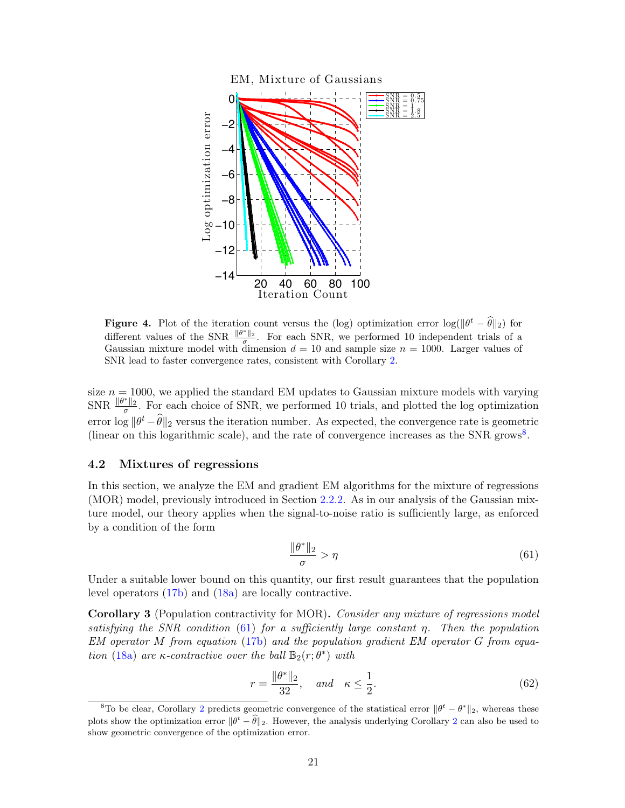

<span id="page-20-1"></span>**Figure 4.** Plot of the iteration count versus the (log) optimization error  $\log(\|\theta^t - \hat{\theta}\|_2)$  for different values of the SNR  $\frac{\|\theta^*\|_2}{\sigma}$ . For each SNR, we performed 10 independent trials of a Gaussian mixture model with dimension  $d = 10$  and sample size  $n = 1000$ . Larger values of SNR lead to faster convergence rates, consistent with Corollary [2.](#page-18-1)

size  $n = 1000$ , we applied the standard EM updates to Gaussian mixture models with varying SNR  $\frac{\|\theta^*\|_2}{\sigma}$ . For each choice of SNR, we performed 10 trials, and plotted the log optimization error  $\log \|\theta^t - \widehat{\theta}\|_2$  versus the iteration number. As expected, the convergence rate is geometric (linear on this logarithmic scale), and the rate of convergence increases as the SNR grows<sup>[8](#page-20-2)</sup>.

### <span id="page-20-0"></span>4.2 Mixtures of regressions

In this section, we analyze the EM and gradient EM algorithms for the mixture of regressions (MOR) model, previously introduced in Section [2.2.2.](#page-5-0) As in our analysis of the Gaussian mixture model, our theory applies when the signal-to-noise ratio is sufficiently large, as enforced by a condition of the form

<span id="page-20-3"></span>
$$
\frac{\|\theta^*\|_2}{\sigma} > \eta \tag{61}
$$

Under a suitable lower bound on this quantity, our first result guarantees that the population level operators [\(17b\)](#page-2-1) and [\(18a\)](#page-2-3) are locally contractive.

<span id="page-20-4"></span>Corollary 3 (Population contractivity for MOR). Consider any mixture of regressions model satisfying the SNR condition [\(61\)](#page-20-3) for a sufficiently large constant  $\eta$ . Then the population EM operator M from equation [\(17b\)](#page-2-1) and the population gradient EM operator G from equa-tion [\(18a\)](#page-2-3) are  $\kappa$ -contractive over the ball  $\mathbb{B}_2(r;\theta^*)$  with

$$
r = \frac{\|\theta^*\|_2}{32}, \quad \text{and} \quad \kappa \le \frac{1}{2}.\tag{62}
$$

<span id="page-20-2"></span><sup>&</sup>lt;sup>8</sup>To be clear, Corollary [2](#page-18-1) predicts geometric convergence of the statistical error  $\|\theta^t - \theta^*\|_2$ , whereas these plots show the optimization error  $\|\theta^t - \hat{\theta}\|_2$  $\|\theta^t - \hat{\theta}\|_2$ . However, the analysis underlying Corollary 2 can also be used to show geometric convergence of the optimization error.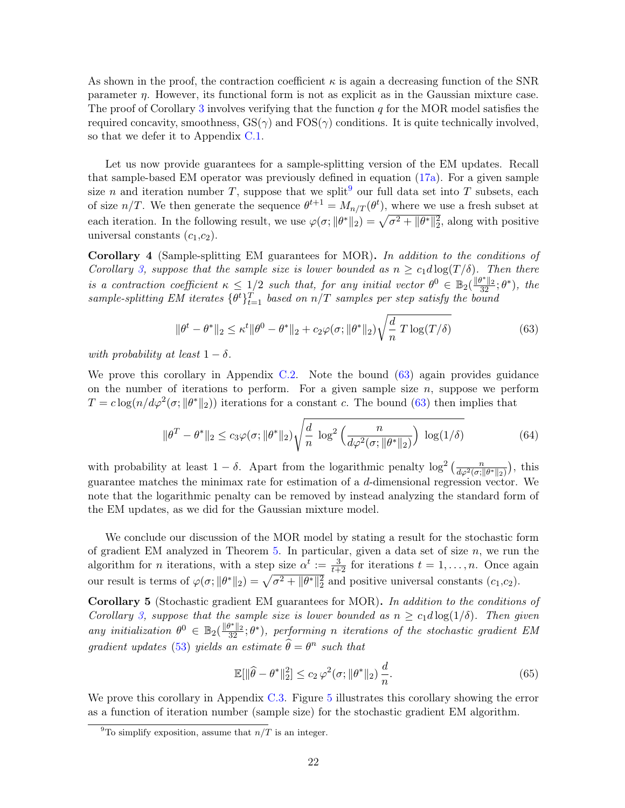As shown in the proof, the contraction coefficient  $\kappa$  is again a decreasing function of the SNR parameter  $\eta$ . However, its functional form is not as explicit as in the Gaussian mixture case. The proof of Corollary [3](#page-20-4) involves verifying that the function  $q$  for the MOR model satisfies the required concavity, smoothness,  $GS(\gamma)$  and  $FOS(\gamma)$  conditions. It is quite technically involved, so that we defer it to Appendix [C.1.](#page-33-0)

Let us now provide guarantees for a sample-splitting version of the EM updates. Recall that sample-based EM operator was previously defined in equation [\(17a\)](#page-2-3). For a given sample size n and iteration number T, suppose that we split<sup>[9](#page-21-0)</sup> our full data set into T subsets, each of size  $n/T$ . We then generate the sequence  $\theta^{t+1} = M_{n/T}(\theta^t)$ , where we use a fresh subset at each iteration. In the following result, we use  $\varphi(\sigma; ||\theta^*||_2) = \sqrt{\sigma^2 + ||\theta^*||_2^2}$ , along with positive universal constants  $(c_1,c_2)$ .

<span id="page-21-2"></span>Corollary 4 (Sample-splitting EM guarantees for MOR). In addition to the conditions of Corollary [3,](#page-20-4) suppose that the sample size is lower bounded as  $n \geq c_1 d \log(T/\delta)$ . Then there is a contraction coefficient  $\kappa \leq 1/2$  such that, for any initial vector  $\theta^0 \in \mathbb{B}_2(\frac{\|\theta^*\|_2}{32};\theta^*)$ , the sample-splitting EM iterates  $\{\theta^t\}_{t=1}^T$  based on  $n/T$  samples per step satisfy the bound

<span id="page-21-1"></span>
$$
\|\theta^t - \theta^*\|_2 \le \kappa^t \|\theta^0 - \theta^*\|_2 + c_2 \varphi(\sigma; \|\theta^*\|_2) \sqrt{\frac{d}{n} T \log(T/\delta)}
$$
(63)

with probability at least  $1 - \delta$ .

We prove this corollary in Appendix [C.2.](#page-43-0) Note the bound [\(63\)](#page-21-1) again provides guidance on the number of iterations to perform. For a given sample size  $n$ , suppose we perform  $T = c \log(n/d\varphi^2(\sigma; ||\theta^*||_2))$  iterations for a constant c. The bound [\(63\)](#page-21-1) then implies that

$$
\|\theta^T - \theta^*\|_2 \le c_3 \varphi(\sigma; \|\theta^*\|_2) \sqrt{\frac{d}{n} \log^2\left(\frac{n}{d\varphi^2(\sigma; \|\theta^*\|_2)}\right) \log(1/\delta)}
$$
(64)

with probability at least  $1 - \delta$ . Apart from the logarithmic penalty  $\log^2\left(\frac{n}{d\varphi^2(\sigma, \|\theta^*\|_2)}\right)$  , this guarantee matches the minimax rate for estimation of a d-dimensional regression vector. We note that the logarithmic penalty can be removed by instead analyzing the standard form of the EM updates, as we did for the Gaussian mixture model.

We conclude our discussion of the MOR model by stating a result for the stochastic form of gradient EM analyzed in Theorem  $5$ . In particular, given a data set of size  $n$ , we run the algorithm for *n* iterations, with a step size  $\alpha^t := \frac{3}{t+2}$  for iterations  $t = 1, \ldots, n$ . Once again our result is terms of  $\varphi(\sigma; ||\theta^*||_2) = \sqrt{\sigma^2 + ||\theta^*||_2^2}$  and positive universal constants  $(c_1, c_2)$ .

<span id="page-21-3"></span>Corollary 5 (Stochastic gradient EM guarantees for MOR). In addition to the conditions of Corollary [3,](#page-20-4) suppose that the sample size is lower bounded as  $n \geq c_1 d \log(1/\delta)$ . Then given any initialization  $\theta^0 \in \mathbb{B}_2(\frac{\|\theta^*\|_2}{32};\theta^*)$ , performing n iterations of the stochastic gradient EM gradient updates [\(53\)](#page-16-1) yields an estimate  $\widehat{\theta} = \theta^n$  such that

$$
\mathbb{E}[\|\hat{\theta} - \theta^*\|_2^2] \le c_2 \,\varphi^2(\sigma; \|\theta^*\|_2) \,\frac{d}{n}.\tag{65}
$$

We prove this corollary in Appendix [C.3.](#page-45-0) Figure [5](#page-22-1) illustrates this corollary showing the error as a function of iteration number (sample size) for the stochastic gradient EM algorithm.

<span id="page-21-0"></span><sup>&</sup>lt;sup>9</sup>To simplify exposition, assume that  $n/T$  is an integer.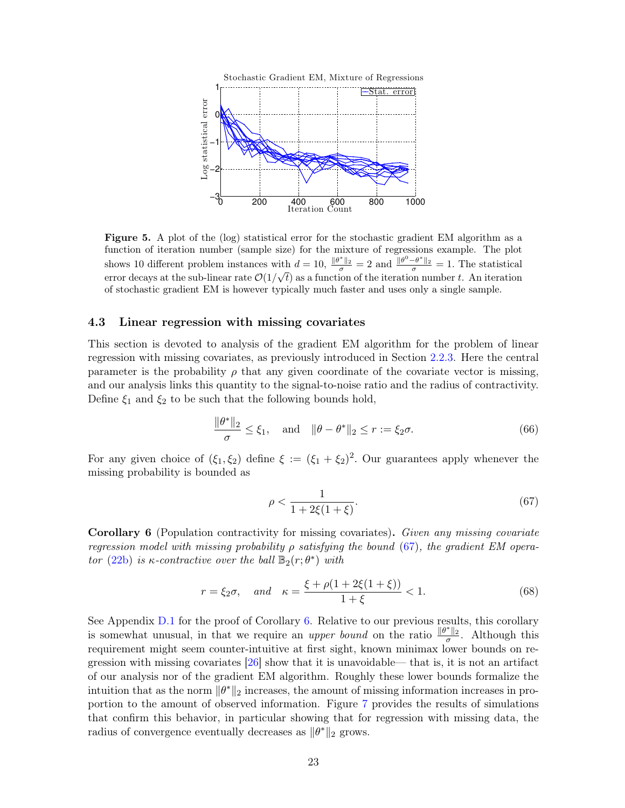

<span id="page-22-1"></span>Figure 5. A plot of the (log) statistical error for the stochastic gradient EM algorithm as a function of iteration number (sample size) for the mixture of regressions example. The plot shows 10 different problem instances with  $d = 10$ ,  $\frac{\|\theta^*\|_2}{\sigma} = 2$  and  $\frac{\|\theta^0 - \theta^*\|_2}{\sigma} = 1$ . The statistical error decays at the sub-linear rate  $\mathcal{O}(1/\sqrt{t})$  as a function of the iteration number t. An iteration of stochastic gradient EM is however typically much faster and uses only a single sample.

### <span id="page-22-0"></span>4.3 Linear regression with missing covariates

This section is devoted to analysis of the gradient EM algorithm for the problem of linear regression with missing covariates, as previously introduced in Section [2.2.3.](#page-6-0) Here the central parameter is the probability  $\rho$  that any given coordinate of the covariate vector is missing, and our analysis links this quantity to the signal-to-noise ratio and the radius of contractivity. Define  $\xi_1$  and  $\xi_2$  to be such that the following bounds hold,

$$
\frac{\|\theta^*\|_2}{\sigma} \le \xi_1, \quad \text{and} \quad \|\theta - \theta^*\|_2 \le r := \xi_2 \sigma. \tag{66}
$$

For any given choice of  $(\xi_1, \xi_2)$  define  $\xi := (\xi_1 + \xi_2)^2$ . Our guarantees apply whenever the missing probability is bounded as

<span id="page-22-2"></span>
$$
\rho < \frac{1}{1 + 2\xi(1 + \xi)}.\tag{67}
$$

<span id="page-22-3"></span>Corollary 6 (Population contractivity for missing covariates). Given any missing covariate regression model with missing probability  $\rho$  satisfying the bound [\(67\)](#page-22-2), the gradient EM opera-tor [\(22b\)](#page-2-1) is  $\kappa$ -contractive over the ball  $\mathbb{B}_2(r;\theta^*)$  with

$$
r = \xi_2 \sigma
$$
, and  $\kappa = \frac{\xi + \rho(1 + 2\xi(1 + \xi))}{1 + \xi} < 1.$  (68)

See Appendix [D.1](#page-46-0) for the proof of Corollary [6.](#page-22-3) Relative to our previous results, this corollary is somewhat unusual, in that we require an *upper bound* on the ratio  $\frac{\|\theta^*\|_2}{\sigma}$ . Although this requirement might seem counter-intuitive at first sight, known minimax lower bounds on regression with missing covariates [\[26\]](#page-51-12) show that it is unavoidable— that is, it is not an artifact of our analysis nor of the gradient EM algorithm. Roughly these lower bounds formalize the intuition that as the norm  $\|\theta^*\|_2$  increases, the amount of missing information increases in proportion to the amount of observed information. Figure [7](#page-24-0) provides the results of simulations that confirm this behavior, in particular showing that for regression with missing data, the radius of convergence eventually decreases as  $\|\theta^*\|_2$  grows.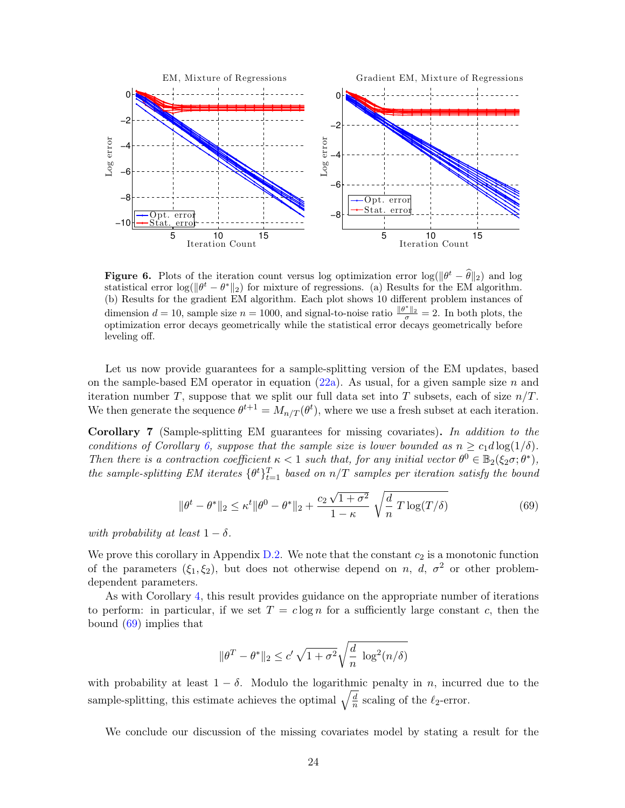

**Figure 6.** Plots of the iteration count versus log optimization error  $\log(\|\theta^t - \hat{\theta}\|_2)$  and log statistical error  $\log(\|\theta^t - \theta^*\|_2)$  for mixture of regressions. (a) Results for the EM algorithm. (b) Results for the gradient EM algorithm. Each plot shows 10 different problem instances of dimension  $d = 10$ , sample size  $n = 1000$ , and signal-to-noise ratio  $\frac{\|\theta^*\|_2}{\sigma} = 2$ . In both plots, the optimization error decays geometrically while the statistical error decays geometrically before leveling off.

Let us now provide guarantees for a sample-splitting version of the EM updates, based on the sample-based EM operator in equation  $(22a)$ . As usual, for a given sample size n and iteration number T, suppose that we split our full data set into T subsets, each of size  $n/T$ . We then generate the sequence  $\theta^{t+1} = M_{n/T}(\theta^t)$ , where we use a fresh subset at each iteration.

<span id="page-23-1"></span>Corollary 7 (Sample-splitting EM guarantees for missing covariates). In addition to the conditions of Corollary [6,](#page-22-3) suppose that the sample size is lower bounded as  $n \geq c_1 d \log(1/\delta)$ . Then there is a contraction coefficient  $\kappa < 1$  such that, for any initial vector  $\theta^0 \in \mathbb{B}_2(\xi_2\sigma;\theta^*),$ the sample-splitting EM iterates  $\{\theta^t\}_{t=1}^T$  based on  $n/T$  samples per iteration satisfy the bound

$$
\|\theta^t - \theta^*\|_2 \le \kappa^t \|\theta^0 - \theta^*\|_2 + \frac{c_2\sqrt{1+\sigma^2}}{1-\kappa} \sqrt{\frac{d}{n}T\log(T/\delta)}
$$
(69)

with probability at least  $1 - \delta$ .

We prove this corollary in Appendix  $D.2$ . We note that the constant  $c_2$  is a monotonic function of the parameters  $(\xi_1, \xi_2)$ , but does not otherwise depend on n, d,  $\sigma^2$  or other problemdependent parameters.

As with Corollary [4,](#page-21-2) this result provides guidance on the appropriate number of iterations to perform: in particular, if we set  $T = c \log n$  for a sufficiently large constant c, then the bound [\(69\)](#page-23-0) implies that

<span id="page-23-0"></span>
$$
\|\theta^T - \theta^*\|_2 \le c' \sqrt{1 + \sigma^2} \sqrt{\frac{d}{n} \log^2(n/\delta)}
$$

with probability at least  $1 - \delta$ . Modulo the logarithmic penalty in n, incurred due to the sample-splitting, this estimate achieves the optimal  $\sqrt{\frac{d}{n}}$  $\frac{d}{n}$  scaling of the  $\ell_2$ -error.

We conclude our discussion of the missing covariates model by stating a result for the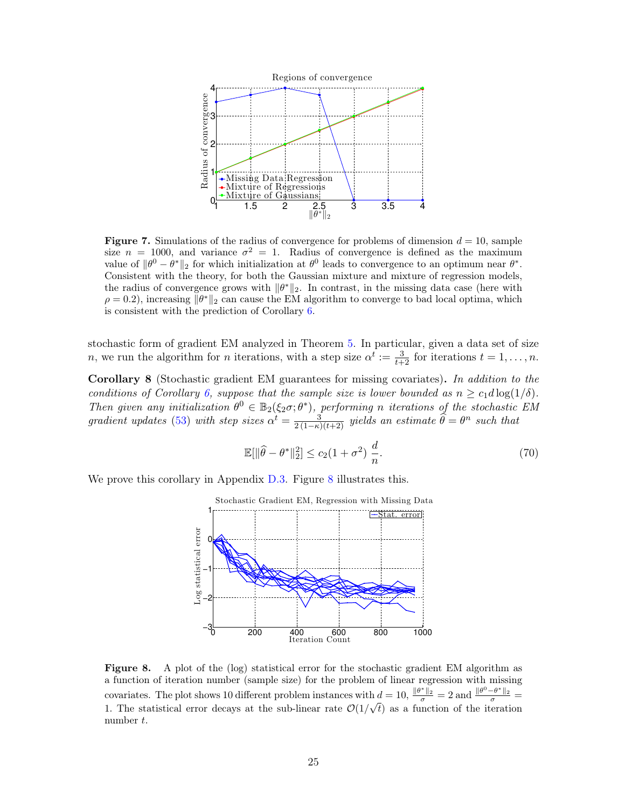

<span id="page-24-0"></span>**Figure 7.** Simulations of the radius of convergence for problems of dimension  $d = 10$ , sample size  $n = 1000$ , and variance  $\sigma^2 = 1$ . Radius of convergence is defined as the maximum value of  $\|\theta^0 - \theta^*\|_2$  for which initialization at  $\theta^0$  leads to convergence to an optimum near  $\theta^*$ . Consistent with the theory, for both the Gaussian mixture and mixture of regression models, the radius of convergence grows with  $\|\theta^*\|_2$ . In contrast, in the missing data case (here with  $\rho = 0.2$ ), increasing  $\|\theta^*\|_2$  can cause the EM algorithm to converge to bad local optima, which is consistent with the prediction of Corollary [6.](#page-22-3)

stochastic form of gradient EM analyzed in Theorem [5.](#page-16-0) In particular, given a data set of size *n*, we run the algorithm for *n* iterations, with a step size  $\alpha^t := \frac{3}{t+2}$  for iterations  $t = 1, \ldots, n$ .

<span id="page-24-2"></span>Corollary 8 (Stochastic gradient EM guarantees for missing covariates). In addition to the conditions of Corollary [6,](#page-22-3) suppose that the sample size is lower bounded as  $n \geq c_1 d \log(1/\delta)$ . Then given any initialization  $\theta^0 \in \mathbb{B}_2(\xi_2\sigma;\theta^*)$ , performing n iterations of the stochastic EM gradient updates [\(53\)](#page-16-1) with step sizes  $\alpha^t = \frac{3}{2(1-\kappa)(t+2)}$  yields an estimate  $\widehat{\theta} = \theta^n$  such that

$$
\mathbb{E}[\|\widehat{\theta} - \theta^*\|_2^2] \le c_2 (1 + \sigma^2) \frac{d}{n}.\tag{70}
$$

We prove this corollary in Appendix [D.3.](#page-49-0) Figure [8](#page-24-1) illustrates this.



<span id="page-24-1"></span>Figure 8. A plot of the (log) statistical error for the stochastic gradient EM algorithm as a function of iteration number (sample size) for the problem of linear regression with missing covariates. The plot shows 10 different problem instances with  $d = 10$ ,  $\frac{\|\theta^*\|_2}{\sigma} = 2$  and  $\frac{\|\theta^0 - \theta^*\|_2}{\sigma} =$ 1. The statistical error decays at the sub-linear rate  $\mathcal{O}(1/\sqrt{t})$  as a function of the iteration number t.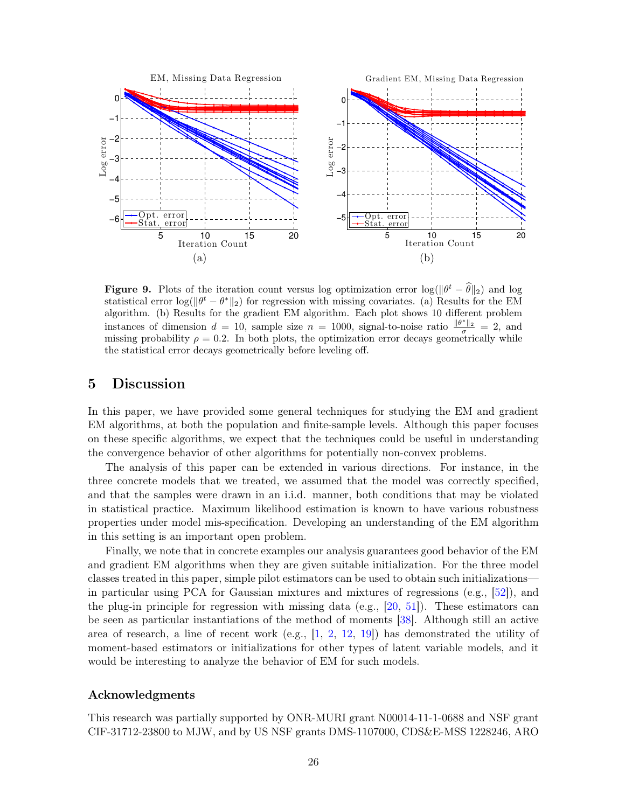

**Figure 9.** Plots of the iteration count versus log optimization error  $\log(\|\theta^t - \hat{\theta}\|_2)$  and log statistical error  $\log(\|\theta^t - \theta^*\|_2)$  for regression with missing covariates. (a) Results for the EM algorithm. (b) Results for the gradient EM algorithm. Each plot shows 10 different problem instances of dimension  $d = 10$ , sample size  $n = 1000$ , signal-to-noise ratio  $\frac{\|\theta^*\|_2}{\sigma} = 2$ , and missing probability  $\rho = 0.2$ . In both plots, the optimization error decays geometrically while the statistical error decays geometrically before leveling off.

# 5 Discussion

In this paper, we have provided some general techniques for studying the EM and gradient EM algorithms, at both the population and finite-sample levels. Although this paper focuses on these specific algorithms, we expect that the techniques could be useful in understanding the convergence behavior of other algorithms for potentially non-convex problems.

The analysis of this paper can be extended in various directions. For instance, in the three concrete models that we treated, we assumed that the model was correctly specified, and that the samples were drawn in an i.i.d. manner, both conditions that may be violated in statistical practice. Maximum likelihood estimation is known to have various robustness properties under model mis-specification. Developing an understanding of the EM algorithm in this setting is an important open problem.

Finally, we note that in concrete examples our analysis guarantees good behavior of the EM and gradient EM algorithms when they are given suitable initialization. For the three model classes treated in this paper, simple pilot estimators can be used to obtain such initializations in particular using PCA for Gaussian mixtures and mixtures of regressions (e.g., [\[52\]](#page-53-2)), and the plug-in principle for regression with missing data (e.g., [\[20,](#page-51-13) [51\]](#page-53-4)). These estimators can be seen as particular instantiations of the method of moments [\[38\]](#page-52-15). Although still an active area of research, a line of recent work  $(e.g., [1, 2, 12, 19])$  $(e.g., [1, 2, 12, 19])$  $(e.g., [1, 2, 12, 19])$  $(e.g., [1, 2, 12, 19])$  $(e.g., [1, 2, 12, 19])$  $(e.g., [1, 2, 12, 19])$  $(e.g., [1, 2, 12, 19])$  $(e.g., [1, 2, 12, 19])$  $(e.g., [1, 2, 12, 19])$  has demonstrated the utility of moment-based estimators or initializations for other types of latent variable models, and it would be interesting to analyze the behavior of EM for such models.

# Acknowledgments

This research was partially supported by ONR-MURI grant N00014-11-1-0688 and NSF grant CIF-31712-23800 to MJW, and by US NSF grants DMS-1107000, CDS&E-MSS 1228246, ARO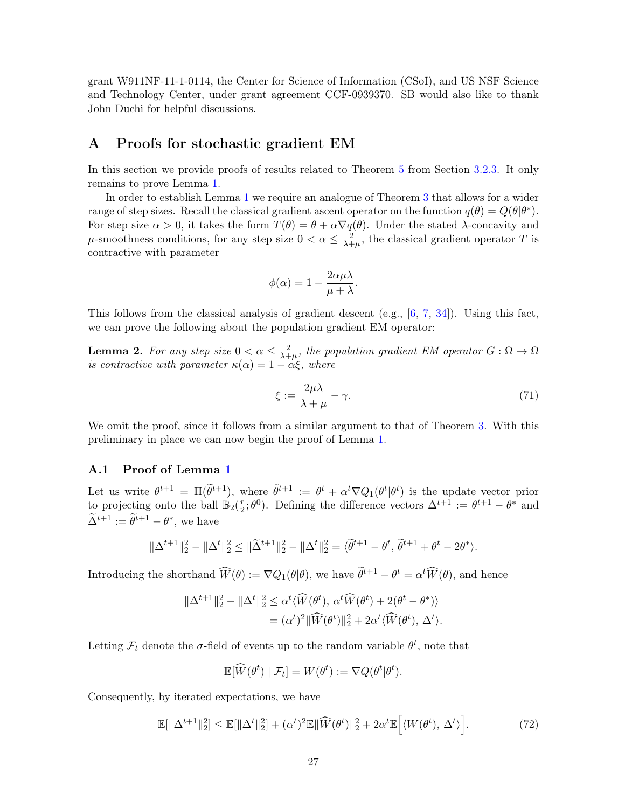grant W911NF-11-1-0114, the Center for Science of Information (CSoI), and US NSF Science and Technology Center, under grant agreement CCF-0939370. SB would also like to thank John Duchi for helpful discussions.

# <span id="page-26-0"></span>A Proofs for stochastic gradient EM

In this section we provide proofs of results related to Theorem [5](#page-16-0) from Section [3.2.3.](#page-15-1) It only remains to prove Lemma [1.](#page-16-6)

In order to establish Lemma [1](#page-16-6) we require an analogue of Theorem [3](#page-13-0) that allows for a wider range of step sizes. Recall the classical gradient ascent operator on the function  $q(\theta) = Q(\theta | \theta^*)$ . For step size  $\alpha > 0$ , it takes the form  $T(\theta) = \theta + \alpha \nabla q(\theta)$ . Under the stated  $\lambda$ -concavity and  $\mu$ -smoothness conditions, for any step size  $0 < \alpha \leq \frac{2}{\lambda + 1}$  $\frac{2}{\lambda+\mu}$ , the classical gradient operator T is contractive with parameter

$$
\phi(\alpha) = 1 - \frac{2\alpha\mu\lambda}{\mu + \lambda}.
$$

This follows from the classical analysis of gradient descent (e.g., [\[6,](#page-50-7) [7,](#page-50-8) [34\]](#page-52-11)). Using this fact, we can prove the following about the population gradient EM operator:

<span id="page-26-2"></span>**Lemma 2.** For any step size  $0 < \alpha \leq \frac{2}{\lambda + 1}$  $\frac{2}{\lambda+\mu}$ , the population gradient EM operator  $G:\Omega\to\Omega$ is contractive with parameter  $\kappa(\alpha) = 1 - \alpha \xi$ , where

<span id="page-26-3"></span>
$$
\xi := \frac{2\mu\lambda}{\lambda + \mu} - \gamma. \tag{71}
$$

We omit the proof, since it follows from a similar argument to that of Theorem [3.](#page-13-0) With this preliminary in place we can now begin the proof of Lemma [1.](#page-16-6)

# A.1 Proof of Lemma [1](#page-16-6)

Let us write  $\theta^{t+1} = \Pi(\tilde{\theta}^{t+1}),$  where  $\tilde{\theta}^{t+1} := \theta^t + \alpha^t \nabla Q_1(\theta^t | \theta^t)$  is the update vector prior to projecting onto the ball  $\mathbb{B}_2(\frac{r}{2})$  $(\frac{r}{2}; \theta^0)$ . Defining the difference vectors  $\Delta^{t+1} := \theta^{t+1} - \theta^*$  and  $\widetilde{\Delta}^{t+1} := \widetilde{\theta}^{t+1} - \theta^*$ , we have

$$
\|\Delta^{t+1}\|_{2}^{2} - \|\Delta^{t}\|_{2}^{2} \le \|\widetilde{\Delta}^{t+1}\|_{2}^{2} - \|\Delta^{t}\|_{2}^{2} = \langle \widetilde{\theta}^{t+1} - \theta^{t}, \widetilde{\theta}^{t+1} + \theta^{t} - 2\theta^{*} \rangle.
$$

Introducing the shorthand  $\widehat{W}(\theta) := \nabla Q_1(\theta|\theta)$ , we have  $\widetilde{\theta}^{t+1} - \theta^t = \alpha^t \widetilde{W}(\theta)$ , and hence

$$
\|\Delta^{t+1}\|_2^2 - \|\Delta^t\|_2^2 \leq \alpha^t \langle \widehat{W}(\theta^t), \alpha^t \widehat{W}(\theta^t) + 2(\theta^t - \theta^*) \rangle
$$
  
= 
$$
(\alpha^t)^2 \|\widehat{W}(\theta^t)\|_2^2 + 2\alpha^t \langle \widehat{W}(\theta^t), \Delta^t \rangle.
$$

Letting  $\mathcal{F}_t$  denote the  $\sigma$ -field of events up to the random variable  $\theta^t$ , note that

<span id="page-26-1"></span>
$$
\mathbb{E}[\widehat{W}(\theta^t) \mid \mathcal{F}_t] = W(\theta^t) := \nabla Q(\theta^t | \theta^t).
$$

Consequently, by iterated expectations, we have

$$
\mathbb{E}[\|\Delta^{t+1}\|_2^2] \le \mathbb{E}[\|\Delta^t\|_2^2] + (\alpha^t)^2 \mathbb{E}\|\widehat{W}(\theta^t)\|_2^2 + 2\alpha^t \mathbb{E}\Big[\langle W(\theta^t), \Delta^t \rangle\Big].\tag{72}
$$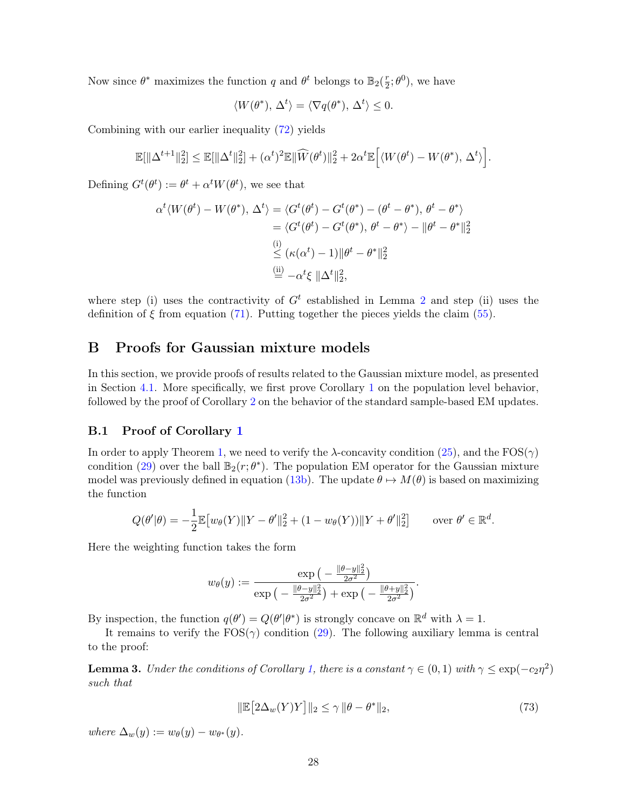Now since  $\theta^*$  maximizes the function q and  $\theta^t$  belongs to  $\mathbb{B}_2(\frac{r}{2})$  $(\frac{r}{2}; \theta^0)$ , we have

$$
\langle W(\theta^*), \Delta^t \rangle = \langle \nabla q(\theta^*), \Delta^t \rangle \le 0.
$$

Combining with our earlier inequality [\(72\)](#page-26-1) yields

$$
\mathbb{E}[\|\Delta^{t+1}\|_2^2] \leq \mathbb{E}[\|\Delta^t\|_2^2] + (\alpha^t)^2 \mathbb{E}\|\widehat{W}(\theta^t)\|_2^2 + 2\alpha^t \mathbb{E}\Big[\langle W(\theta^t) - W(\theta^*), \Delta^t \rangle\Big].
$$

Defining  $G^t(\theta^t) := \theta^t + \alpha^t W(\theta^t)$ , we see that

$$
\alpha^{t} \langle W(\theta^{t}) - W(\theta^{*}), \Delta^{t} \rangle = \langle G^{t}(\theta^{t}) - G^{t}(\theta^{*}) - (\theta^{t} - \theta^{*}), \theta^{t} - \theta^{*} \rangle
$$
  

$$
= \langle G^{t}(\theta^{t}) - G^{t}(\theta^{*}), \theta^{t} - \theta^{*} \rangle - \|\theta^{t} - \theta^{*}\|_{2}^{2}
$$
  

$$
\overset{\text{(i)}}{\leq} (\kappa(\alpha^{t}) - 1) \|\theta^{t} - \theta^{*}\|_{2}^{2}
$$
  

$$
\overset{\text{(ii)}}{=} -\alpha^{t} \xi \|\Delta^{t}\|_{2}^{2},
$$

where step (i) uses the contractivity of  $G<sup>t</sup>$  established in Lemma [2](#page-26-2) and step (ii) uses the definition of  $\xi$  from equation [\(71\)](#page-26-3). Putting together the pieces yields the claim [\(55\)](#page-16-4).

# B Proofs for Gaussian mixture models

In this section, we provide proofs of results related to the Gaussian mixture model, as presented in Section [4.1.](#page-17-1) More specifically, we first prove Corollary [1](#page-18-0) on the population level behavior, followed by the proof of Corollary [2](#page-18-1) on the behavior of the standard sample-based EM updates.

## <span id="page-27-0"></span>B.1 Proof of Corollary [1](#page-18-0)

In order to apply Theorem [1,](#page-9-0) we need to verify the  $\lambda$ -concavity condition [\(25\)](#page-8-5), and the FOS( $\gamma$ ) condition [\(29\)](#page-8-4) over the ball  $\mathbb{B}_2(r;\theta^*)$ . The population EM operator for the Gaussian mixture model was previously defined in equation [\(13b\)](#page-2-1). The update  $\theta \mapsto M(\theta)$  is based on maximizing the function

$$
Q(\theta'|\theta) = -\frac{1}{2} \mathbb{E} [w_{\theta}(Y) \| Y - \theta' \|_2^2 + (1 - w_{\theta}(Y)) \| Y + \theta' \|_2^2 ] \quad \text{over } \theta' \in \mathbb{R}^d.
$$

Here the weighting function takes the form

$$
w_{\theta}(y) := \frac{\exp\left(-\frac{\|\theta - y\|_2^2}{2\sigma^2}\right)}{\exp\left(-\frac{\|\theta - y\|_2^2}{2\sigma^2}\right) + \exp\left(-\frac{\|\theta + y\|_2^2}{2\sigma^2}\right)}.
$$

By inspection, the function  $q(\theta') = Q(\theta'|\theta^*)$  is strongly concave on  $\mathbb{R}^d$  with  $\lambda = 1$ .

It remains to verify the  $FOS(\gamma)$  condition [\(29\)](#page-8-4). The following auxiliary lemma is central to the proof:

<span id="page-27-1"></span>**Lemma 3.** Under the conditions of Corollary [1,](#page-18-0) there is a constant  $\gamma \in (0,1)$  with  $\gamma \le \exp(-c_2\eta^2)$ such that

<span id="page-27-2"></span>
$$
\|\mathbb{E}\left[2\Delta_w(Y)Y\right]\|_2 \le \gamma \|\theta - \theta^*\|_2,\tag{73}
$$

where  $\Delta_w(y) := w_{\theta}(y) - w_{\theta^*}(y)$ .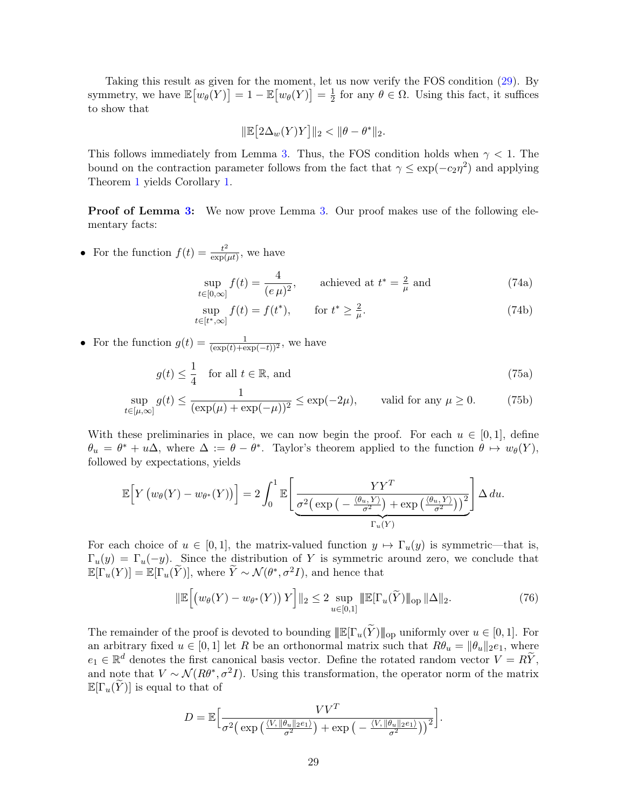Taking this result as given for the moment, let us now verify the FOS condition [\(29\)](#page-8-4). By symmetry, we have  $\mathbb{E}\big[w_\theta(Y)\big] = 1 - \mathbb{E}\big[w_\theta(Y)\big] = \frac{1}{2}$  $\frac{1}{2}$  for any  $\theta \in \Omega$ . Using this fact, it suffices to show that

<span id="page-28-0"></span>
$$
\|\mathbb{E}\big[2\Delta_w(Y)Y\big]\|_2 < \|\theta - \theta^*\|_2.
$$

This follows immediately from Lemma [3.](#page-27-1) Thus, the FOS condition holds when  $\gamma < 1$ . The bound on the contraction parameter follows from the fact that  $\gamma \leq \exp(-c_2\eta^2)$  and applying Theorem [1](#page-9-0) yields Corollary [1.](#page-18-0)

**Proof of Lemma [3:](#page-27-1)** We now prove Lemma [3.](#page-27-1) Our proof makes use of the following elementary facts:

• For the function  $f(t) = \frac{t^2}{\exp(t)}$  $\frac{t^2}{\exp(\mu t)}$ , we have

<span id="page-28-1"></span>
$$
\sup_{t \in [0,\infty]} f(t) = \frac{4}{(e\,\mu)^2}, \qquad \text{achieved at } t^* = \frac{2}{\mu} \text{ and} \tag{74a}
$$

$$
\sup_{t \in [t^*, \infty]} f(t) = f(t^*), \qquad \text{for } t^* \ge \frac{2}{\mu}.
$$
\n(74b)

• For the function  $g(t) = \frac{1}{(\exp(t) + \exp(-t))^2}$ , we have

$$
g(t) \le \frac{1}{4}
$$
 for all  $t \in \mathbb{R}$ , and (75a)

$$
\sup_{t \in [\mu,\infty]} g(t) \le \frac{1}{(\exp(\mu) + \exp(-\mu))^2} \le \exp(-2\mu), \quad \text{valid for any } \mu \ge 0. \tag{75b}
$$

With these preliminaries in place, we can now begin the proof. For each  $u \in [0,1]$ , define  $\theta_u = \theta^* + u\Delta$ , where  $\Delta := \theta - \theta^*$ . Taylor's theorem applied to the function  $\theta \mapsto w_{\theta}(Y)$ , followed by expectations, yields

$$
\mathbb{E}\Big[Y\left(w_{\theta}(Y) - w_{\theta^*}(Y)\right)\Big] = 2\int_0^1 \mathbb{E}\Bigg[\frac{YY^T}{\sigma^2\Big(\exp\big(-\frac{\langle\theta_u, Y\rangle}{\sigma^2}\big) + \exp\big(\frac{\langle\theta_u, Y\rangle}{\sigma^2}\big)\Big)^2}\Bigg]\,\Delta\,du.
$$

For each choice of  $u \in [0, 1]$ , the matrix-valued function  $y \mapsto \Gamma_u(y)$  is symmetric—that is,  $\Gamma_u(y) = \Gamma_u(-y)$ . Since the distribution of Y is symmetric around zero, we conclude that  $\mathbb{E}[\Gamma_u(Y)] = \mathbb{E}[\Gamma_u(\widetilde{Y})],$  where  $\widetilde{Y} \sim \mathcal{N}(\theta^*, \sigma^2 I)$ , and hence that

<span id="page-28-2"></span>
$$
\|\mathbb{E}\Big[\big(w_{\theta}(Y) - w_{\theta^*}(Y)\big)Y\Big]\|_2 \le 2 \sup_{u \in [0,1]} \|\mathbb{E}[\Gamma_u(\widetilde{Y})\|_{\text{op}} \|\Delta\|_2. \tag{76}
$$

The remainder of the proof is devoted to bounding  $\mathbb{E}[\Gamma_u(\tilde{Y})]_{\text{op}}$  uniformly over  $u \in [0,1]$ . For an arbitrary fixed  $u \in [0, 1]$  let R be an orthonormal matrix such that  $R\theta_u = ||\theta_u||_2e_1$ , where  $e_1 \in \mathbb{R}^d$  denotes the first canonical basis vector. Define the rotated random vector  $V = R\widetilde{Y}$ , and note that  $V \sim \mathcal{N}(R\theta^*, \sigma^2 I)$ . Using this transformation, the operator norm of the matrix  $\mathbb{E}[\Gamma_u(Y)]$  is equal to that of

$$
D = \mathbb{E}\Big[\frac{VV^T}{\sigma^2 \left(\exp\left(\frac{\langle V, \|\theta_u\|_2 e_1\rangle}{\sigma^2}\right) + \exp\left(-\frac{\langle V, \|\theta_u\|_2 e_1\rangle}{\sigma^2}\right)\right)^2}\Big].
$$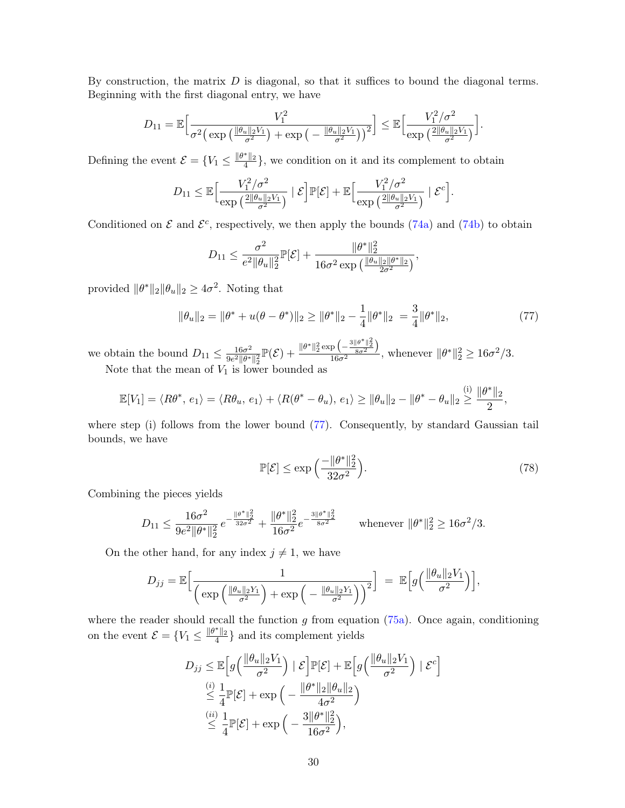By construction, the matrix  $D$  is diagonal, so that it suffices to bound the diagonal terms. Beginning with the first diagonal entry, we have

$$
D_{11} = \mathbb{E}\Big[\frac{V_1^2}{\sigma^2 \big(\exp\big(\frac{\|\theta_u\|_2 V_1}{\sigma^2}\big) + \exp\big(-\frac{\|\theta_u\|_2 V_1}{\sigma^2}\big)\big)^2}\Big] \leq \mathbb{E}\Big[\frac{V_1^2/\sigma^2}{\exp\big(\frac{2\|\theta_u\|_2 V_1}{\sigma^2}\big)}\Big].
$$

Defining the event  $\mathcal{E} = \{V_1 \leq \frac{\|\theta^*\|_2}{4}\}$ , we condition on it and its complement to obtain

$$
D_{11} \leq \mathbb{E}\Big[\frac{V_1^2/\sigma^2}{\exp\big(\frac{2\|\theta_u\|_2 V_1}{\sigma^2}\big)} \mid \mathcal{E}\Big]\mathbb{P}[\mathcal{E}] + \mathbb{E}\Big[\frac{V_1^2/\sigma^2}{\exp\big(\frac{2\|\theta_u\|_2 V_1}{\sigma^2}\big)} \mid \mathcal{E}^c\Big].
$$

Conditioned on  $\mathcal E$  and  $\mathcal E^c$ , respectively, we then apply the bounds [\(74a\)](#page-28-0) and [\(74b\)](#page-28-1) to obtain

$$
D_{11} \leq \frac{\sigma^2}{e^2 \|\theta_u\|_2^2} \mathbb{P}[\mathcal{E}] + \frac{\|\theta^*\|_2^2}{16\sigma^2 \exp\left(\frac{\|\theta_u\|_2 \|\theta^*\|_2}{2\sigma^2}\right)},
$$

provided  $\|\theta^*\|_2 \|\theta_u\|_2 \geq 4\sigma^2$ . Noting that

$$
\|\theta_u\|_2 = \|\theta^* + u(\theta - \theta^*)\|_2 \ge \|\theta^*\|_2 - \frac{1}{4}\|\theta^*\|_2 = \frac{3}{4}\|\theta^*\|_2,\tag{77}
$$

we obtain the bound  $D_{11} \leq \frac{16\sigma^2}{9e^2||\theta^*|}$  $\frac{16\sigma^2}{9e^2\|\theta^*\|_2^2}\mathbb{P}(\mathcal{E})+\frac{\|\theta^*\|_2^2\exp\left(-\frac{3\|\theta^*\|_2^2}{8\sigma^2}\right)}{16\sigma^2}$  $\frac{\rho\left(-\frac{1}{8\sigma^2}\right)}{16\sigma^2}$ , whenever  $\|\theta^*\|_2^2 \ge 16\sigma^2/3$ .

Note that the mean of  $V_1$  is lower bounded as

$$
\mathbb{E}[V_1] = \langle R\theta^*, e_1 \rangle = \langle R\theta_u, e_1 \rangle + \langle R(\theta^* - \theta_u), e_1 \rangle \ge ||\theta_u||_2 - ||\theta^* - \theta_u||_2 \overset{\text{(i)}}{\geq} \frac{||\theta^*||_2}{2},
$$

where step (i) follows from the lower bound [\(77\)](#page-29-0). Consequently, by standard Gaussian tail bounds, we have

<span id="page-29-1"></span><span id="page-29-0"></span>
$$
\mathbb{P}[\mathcal{E}] \le \exp\left(\frac{-\|\theta^*\|_2^2}{32\sigma^2}\right). \tag{78}
$$

Combining the pieces yields

$$
D_{11} \le \frac{16\sigma^2}{9e^2\|\theta^*\|_2^2} e^{-\frac{\|\theta^*\|_2^2}{32\sigma^2}} + \frac{\|\theta^*\|_2^2}{16\sigma^2} e^{-\frac{3\|\theta^*\|_2^2}{8\sigma^2}} \qquad \text{whenever } \|\theta^*\|_2^2 \ge 16\sigma^2/3.
$$

On the other hand, for any index  $j \neq 1$ , we have

$$
D_{jj} = \mathbb{E}\Big[\frac{1}{\left(\exp\left(\frac{\|\theta_u\|_2 Y_1}{\sigma^2}\right) + \exp\left(-\frac{\|\theta_u\|_2 Y_1}{\sigma^2}\right)\right)^2}\Big] = \mathbb{E}\Big[g\Big(\frac{\|\theta_u\|_2 V_1}{\sigma^2}\Big)\Big],
$$

where the reader should recall the function  $g$  from equation [\(75a\)](#page-28-0). Once again, conditioning on the event  $\mathcal{E} = \{V_1 \leq \frac{\|\theta^*\|_2}{4}\}\$ and its complement yields

$$
D_{jj} \leq \mathbb{E}\Big[g\Big(\frac{\|\theta_u\|_2 V_1}{\sigma^2}\Big) \mid \mathcal{E}\Big]\mathbb{P}[\mathcal{E}] + \mathbb{E}\Big[g\Big(\frac{\|\theta_u\|_2 V_1}{\sigma^2}\Big) \mid \mathcal{E}^c\Big]
$$
  

$$
\leq \frac{1}{4}\mathbb{P}[\mathcal{E}] + \exp\Big(-\frac{\|\theta^*\|_2 \|\theta_u\|_2}{4\sigma^2}\Big)
$$
  

$$
\leq \frac{(ii)}{4}\mathbb{P}[\mathcal{E}] + \exp\Big(-\frac{3\|\theta^*\|_2^2}{16\sigma^2}\Big),
$$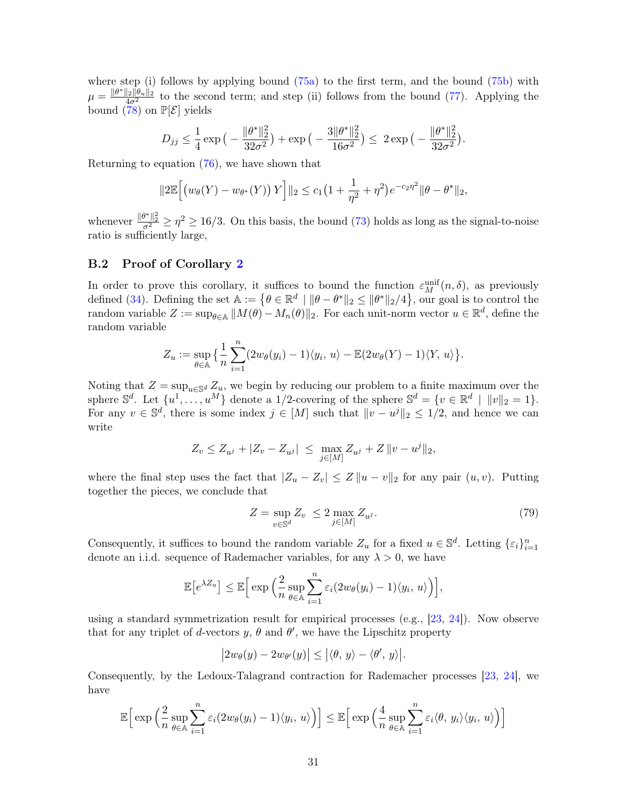where step (i) follows by applying bound [\(75a\)](#page-28-0) to the first term, and the bound [\(75b\)](#page-28-1) with  $\mu = \frac{\|\theta^*\|_2 \|\theta_u\|_2}{4\sigma^2}$  to the second term; and step (ii) follows from the bound [\(77\)](#page-29-0). Applying the bound  $\left(\frac{40}{78}\right)$  on  $\mathbb{P}[\mathcal{E}]$  yields

$$
D_{jj} \leq \frac{1}{4} \exp\big(-\frac{\|\theta^*\|_2^2}{32\sigma^2}\big) + \exp\big(-\frac{3\|\theta^*\|_2^2}{16\sigma^2}\big) \leq 2\exp\big(-\frac{\|\theta^*\|_2^2}{32\sigma^2}\big).
$$

Returning to equation [\(76\)](#page-28-2), we have shown that

$$
||2\mathbb{E}\Big[\big(w_{\theta}(Y) - w_{\theta^*}(Y)\big) Y\Big]||_2 \leq c_1 \big(1 + \frac{1}{\eta^2} + \eta^2\big) e^{-c_2 \eta^2} ||\theta - \theta^*||_2,
$$

whenever  $\frac{\|\theta^*\|_2^2}{\sigma^2} \geq \eta^2 \geq 16/3$ . On this basis, the bound [\(73\)](#page-27-2) holds as long as the signal-to-noise ratio is sufficiently large,

## <span id="page-30-0"></span>B.2 Proof of Corollary [2](#page-18-1)

In order to prove this corollary, it suffices to bound the function  $\varepsilon_M^{\text{unif}}(n, \delta)$ , as previously defined [\(34\)](#page-10-3). Defining the set  $\mathbb{A} := \{ \theta \in \mathbb{R}^d \mid ||\theta - \theta^*||_2 \le ||\theta^*||_2/4 \}$ , our goal is to control the random variable  $Z := \sup_{\theta \in \mathbb{A}} ||M(\theta) - M_n(\theta)||_2$ . For each unit-norm vector  $u \in \mathbb{R}^d$ , define the random variable

$$
Z_u := \sup_{\theta \in \mathbb{A}} \left\{ \frac{1}{n} \sum_{i=1}^n (2w_{\theta}(y_i) - 1) \langle y_i, u \rangle - \mathbb{E}(2w_{\theta}(Y) - 1) \langle Y, u \rangle \right\}.
$$

Noting that  $Z = \sup_{u \in \mathbb{S}^d} Z_u$ , we begin by reducing our problem to a finite maximum over the sphere  $\mathbb{S}^d$ . Let  $\{u^1, \ldots, u^M\}$  denote a 1/2-covering of the sphere  $\mathbb{S}^d = \{v \in \mathbb{R}^d \mid ||v||_2 = 1\}$ . For any  $v \in \mathbb{S}^d$ , there is some index  $j \in [M]$  such that  $||v - u^j||_2 \leq 1/2$ , and hence we can write

$$
Z_v \le Z_{u^j} + |Z_v - Z_{u^j}| \le \max_{j \in [M]} Z_{u^j} + Z \|v - u^j\|_2,
$$

where the final step uses the fact that  $|Z_u - Z_v| \leq Z ||u - v||_2$  for any pair  $(u, v)$ . Putting together the pieces, we conclude that

<span id="page-30-1"></span>
$$
Z = \sup_{v \in \mathbb{S}^d} Z_v \le 2 \max_{j \in [M]} Z_{u^j}.
$$
\n
$$
(79)
$$

Consequently, it suffices to bound the random variable  $Z_u$  for a fixed  $u \in \mathbb{S}^d$ . Letting  $\{\varepsilon_i\}_{i=1}^n$ denote an i.i.d. sequence of Rademacher variables, for any  $\lambda > 0$ , we have

$$
\mathbb{E}\big[e^{\lambda Z_u}\big] \leq \mathbb{E}\Big[\exp\Big(\frac{2}{n}\sup_{\theta \in \mathbb{A}}\sum_{i=1}^n \varepsilon_i(2w_{\theta}(y_i)-1)\langle y_i, u \rangle\Big)\Big],
$$

using a standard symmetrization result for empirical processes (e.g., [\[23,](#page-51-15) [24\]](#page-51-16)). Now observe that for any triplet of d-vectors y,  $\theta$  and  $\theta'$ , we have the Lipschitz property

$$
\big|2w_{\theta}(y)-2w_{\theta'}(y)\big|\leq \big|\langle \theta,\,y\rangle-\langle \theta',\,y\rangle\big|.
$$

Consequently, by the Ledoux-Talagrand contraction for Rademacher processes [\[23,](#page-51-15) [24\]](#page-51-16), we have

$$
\mathbb{E}\Big[\exp\Big(\frac{2}{n}\sup_{\theta\in\mathbb{A}}\sum_{i=1}^n\varepsilon_i(2w_\theta(y_i)-1)\langle y_i,\,u\rangle\Big)\Big]\leq \mathbb{E}\Big[\exp\Big(\frac{4}{n}\sup_{\theta\in\mathbb{A}}\sum_{i=1}^n\varepsilon_i\langle\theta,\,y_i\rangle\langle y_i,\,u\rangle\Big)\Big]
$$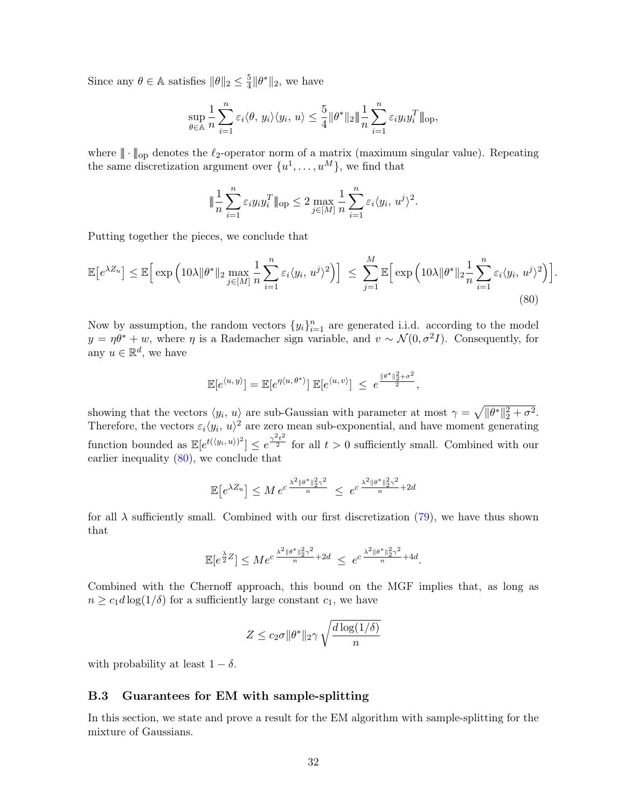Since any  $\theta \in \mathbb{A}$  satisfies  $\|\theta\|_2 \leq \frac{5}{4}$  $\frac{5}{4} \|\theta^*\|_2$ , we have

$$
\sup_{\theta \in \mathbb{A}} \frac{1}{n} \sum_{i=1}^n \varepsilon_i \langle \theta, y_i \rangle \langle y_i, u \rangle \leq \frac{5}{4} ||\theta^*||_2 \|\frac{1}{n} \sum_{i=1}^n \varepsilon_i y_i y_i^T\|_{\text{op}},
$$

where  $\|\cdot\|_{\text{op}}$  denotes the  $\ell_2$ -operator norm of a matrix (maximum singular value). Repeating the same discretization argument over  $\{u^1, \ldots, u^M\}$ , we find that

$$
\|\frac{1}{n}\sum_{i=1}^n \varepsilon_i y_i y_i^T\|_{\text{op}} \le 2 \max_{j\in[M]} \frac{1}{n}\sum_{i=1}^n \varepsilon_i \langle y_i, u^j \rangle^2.
$$

Putting together the pieces, we conclude that

$$
\mathbb{E}\left[e^{\lambda Z_u}\right] \leq \mathbb{E}\left[\exp\left(10\lambda\|\theta^*\|_2 \max_{j\in[M]} \frac{1}{n} \sum_{i=1}^n \varepsilon_i \langle y_i, u^j \rangle^2\right)\right] \leq \sum_{j=1}^M \mathbb{E}\left[\exp\left(10\lambda\|\theta^*\|_2 \frac{1}{n} \sum_{i=1}^n \varepsilon_i \langle y_i, u^j \rangle^2\right)\right].
$$
\n(80)

Now by assumption, the random vectors  $\{y_i\}_{i=1}^n$  are generated i.i.d. according to the model  $y = \eta \theta^* + w$ , where  $\eta$  is a Rademacher sign variable, and  $v \sim \mathcal{N}(0, \sigma^2 I)$ . Consequently, for any  $u \in \mathbb{R}^d$ , we have

<span id="page-31-1"></span>
$$
\mathbb{E}[e^{\langle u, y \rangle}] = \mathbb{E}[e^{\eta \langle u, \theta^* \rangle}] \mathbb{E}[e^{\langle u, v \rangle}] \le e^{\frac{\|\theta^* \|_2^2 + \sigma^2}{2}},
$$

showing that the vectors  $\langle y_i, u \rangle$  are sub-Gaussian with parameter at most  $\gamma = \sqrt{\|\theta^*\|_2^2 + \sigma^2}$ . Therefore, the vectors  $\varepsilon_i \langle y_i, u \rangle^2$  are zero mean sub-exponential, and have moment generating function bounded as  $\mathbb{E}[e^{t(\langle y_i, u \rangle)^2}] \leq e^{\frac{\gamma^2 t^2}{2}}$  for all  $t > 0$  sufficiently small. Combined with our earlier inequality [\(80\)](#page-31-1), we conclude that

$$
\mathbb{E}\big[e^{\lambda Z_u}\big]\leq M\,e^{c\,\frac{\lambda^2\|\theta^*\|_2^2\gamma^2}{n}}\;\leq\; e^{c\,\frac{\lambda^2\|\theta^*\|_2^2\gamma^2}{n}+2d}
$$

for all  $\lambda$  sufficiently small. Combined with our first discretization [\(79\)](#page-30-1), we have thus shown that

$$
\mathbb{E}[e^{\frac{\lambda}{2}Z}] \leq Me^{c\frac{\lambda^2 \|\theta^*\|_2^2\gamma^2}{n}+2d} \leq e^{c\frac{\lambda^2 \|\theta^*\|_2^2\gamma^2}{n}+4d}.
$$

Combined with the Chernoff approach, this bound on the MGF implies that, as long as  $n \geq c_1 d \log(1/\delta)$  for a sufficiently large constant  $c_1$ , we have

$$
Z \le c_2 \sigma ||\theta^*||_2 \gamma \sqrt{\frac{d \log(1/\delta)}{n}}
$$

with probability at least  $1 - \delta$ .

# <span id="page-31-0"></span>B.3 Guarantees for EM with sample-splitting

In this section, we state and prove a result for the EM algorithm with sample-splitting for the mixture of Gaussians.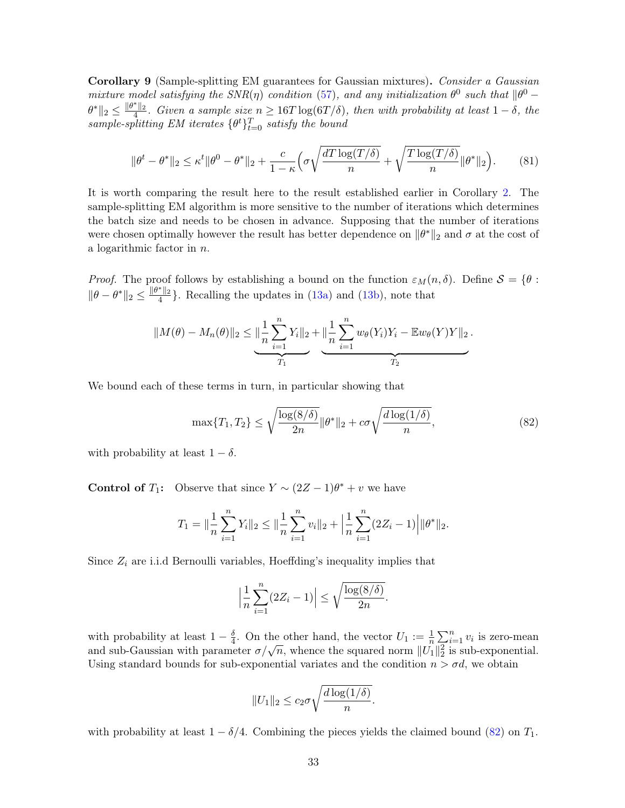Corollary 9 (Sample-splitting EM guarantees for Gaussian mixtures). Consider a Gaussian mixture model satisfying the  $SNR(\eta)$  condition [\(57\)](#page-17-2), and any initialization  $\theta^0$  such that  $\|\theta^0 \theta^*\|_2 \leq \frac{\|\theta^*\|_2}{4}$ . Given a sample size  $n \geq 16T \log(6T/\delta)$ , then with probability at least  $1-\delta$ , the sample-splitting EM iterates  $\{\theta^t\}_{t=0}^T$  satisfy the bound

$$
\|\theta^t - \theta^*\|_2 \le \kappa^t \|\theta^0 - \theta^*\|_2 + \frac{c}{1-\kappa} \Big(\sigma \sqrt{\frac{dT \log(T/\delta)}{n}} + \sqrt{\frac{T \log(T/\delta)}{n}} \|\theta^*\|_2 \Big). \tag{81}
$$

It is worth comparing the result here to the result established earlier in Corollary [2.](#page-18-1) The sample-splitting EM algorithm is more sensitive to the number of iterations which determines the batch size and needs to be chosen in advance. Supposing that the number of iterations were chosen optimally however the result has better dependence on  $\|\theta^*\|_2$  and  $\sigma$  at the cost of a logarithmic factor in n.

*Proof.* The proof follows by establishing a bound on the function  $\varepsilon_M(n, \delta)$ . Define  $S = \{\theta :$  $\|\theta - \theta^*\|_2 \le \frac{\|\theta^*\|_2}{4}$ . Recalling the updates in [\(13a\)](#page-2-3) and [\(13b\)](#page-2-1), note that

$$
||M(\theta) - M_n(\theta)||_2 \leq \underbrace{||\frac{1}{n}\sum_{i=1}^n Y_i||_2 + ||\frac{1}{n}\sum_{i=1}^n w_{\theta}(Y_i)Y_i - \mathbb{E}w_{\theta}(Y)Y||_2}_{T_1}.
$$

We bound each of these terms in turn, in particular showing that

<span id="page-32-0"></span>
$$
\max\{T_1, T_2\} \le \sqrt{\frac{\log(8/\delta)}{2n}} \|\theta^*\|_2 + c\sigma \sqrt{\frac{d\log(1/\delta)}{n}},\tag{82}
$$

with probability at least  $1 - \delta$ .

**Control of**  $T_1$ : Observe that since  $Y \sim (2Z - 1)\theta^* + v$  we have

$$
T_1 = \|\frac{1}{n}\sum_{i=1}^n Y_i\|_2 \le \|\frac{1}{n}\sum_{i=1}^n v_i\|_2 + \left|\frac{1}{n}\sum_{i=1}^n (2Z_i - 1)\right| \|\theta^*\|_2.
$$

Since  $Z_i$  are i.i.d Bernoulli variables, Hoeffding's inequality implies that

$$
\left|\frac{1}{n}\sum_{i=1}^n(2Z_i-1)\right|\leq\sqrt{\frac{\log(8/\delta)}{2n}}.
$$

with probability at least  $1 - \frac{\delta}{4}$  $\frac{\delta}{4}$ . On the other hand, the vector  $U_1 := \frac{1}{n} \sum_{i=1}^n v_i$  is zero-mean and sub-Gaussian with parameter  $\sigma/\sqrt{n}$ , whence the squared norm  $||U_1||_2^2$  is sub-exponential. Using standard bounds for sub-exponential variates and the condition  $n > \sigma d$ , we obtain

$$
||U_1||_2 \leq c_2 \sigma \sqrt{\frac{d \log(1/\delta)}{n}}.
$$

with probability at least  $1 - \delta/4$ . Combining the pieces yields the claimed bound [\(82\)](#page-32-0) on  $T_1$ .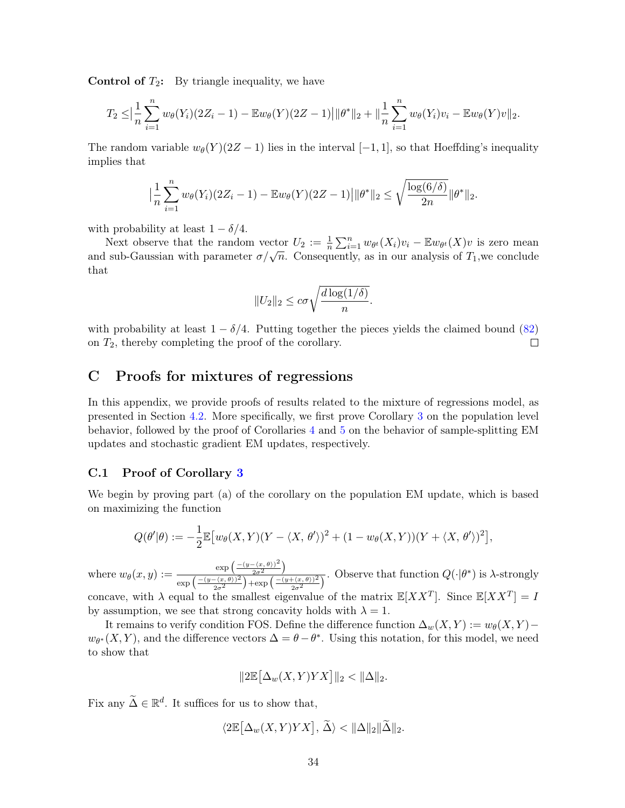**Control of**  $T_2$ **:** By triangle inequality, we have

$$
T_2 \leq \Big|\frac{1}{n}\sum_{i=1}^n w_{\theta}(Y_i)(2Z_i-1) - \mathbb{E}w_{\theta}(Y)(2Z-1)\Big| \|\theta^*\|_2 + \|\frac{1}{n}\sum_{i=1}^n w_{\theta}(Y_i)v_i - \mathbb{E}w_{\theta}(Y)v\|_2.
$$

The random variable  $w_{\theta}(Y)(2Z-1)$  lies in the interval  $[-1,1]$ , so that Hoeffding's inequality implies that

$$
\big|\frac{1}{n}\sum_{i=1}^n w_\theta(Y_i)(2Z_i-1) - \mathbb{E}w_\theta(Y)(2Z-1)\big| \|\theta^*\|_2 \leq \sqrt{\frac{\log(6/\delta)}{2n}} \|\theta^*\|_2.
$$

with probability at least  $1 - \delta/4$ .

Next observe that the random vector  $U_2 := \frac{1}{n} \sum_{i=1}^n w_{\theta^t}(X_i)v_i - \mathbb{E} w_{\theta^t}(X)v$  is zero mean and sub-Gaussian with parameter  $\sigma/\sqrt{n}$ . Consequently, as in our analysis of  $T_1$ , we conclude that

$$
||U_2||_2 \leq c\sigma \sqrt{\frac{d\log(1/\delta)}{n}}.
$$

with probability at least  $1 - \delta/4$ . Putting together the pieces yields the claimed bound [\(82\)](#page-32-0) on  $T_2$ , thereby completing the proof of the corollary. on  $T_2$ , thereby completing the proof of the corollary.

# C Proofs for mixtures of regressions

In this appendix, we provide proofs of results related to the mixture of regressions model, as presented in Section [4.2.](#page-20-0) More specifically, we first prove Corollary [3](#page-20-4) on the population level behavior, followed by the proof of Corollaries [4](#page-21-2) and [5](#page-21-3) on the behavior of sample-splitting EM updates and stochastic gradient EM updates, respectively.

## <span id="page-33-0"></span>C.1 Proof of Corollary [3](#page-20-4)

We begin by proving part (a) of the corollary on the population EM update, which is based on maximizing the function

$$
Q(\theta'|\theta) := -\frac{1}{2} \mathbb{E} \big[ w_{\theta}(X,Y)(Y - \langle X, \theta' \rangle)^2 + (1 - w_{\theta}(X,Y))(Y + \langle X, \theta' \rangle)^2 \big],
$$

where  $w_{\theta}(x, y) := \frac{\exp\left(\frac{-(y - \langle x, \theta \rangle)^2}{2\sigma^2}\right)}{\sqrt{-(y - \langle x, \theta \rangle)^2}\right)}$  $\frac{-(x,\theta))^2}{2\sigma^2}\Big)$  $\exp\left(\frac{-(y-\langle x,\theta\rangle)^2}{2a^2}\right)$  $\frac{-(x,\theta)}{2\sigma^2}$  +  $\exp\left(\frac{-(y+\langle x,\theta\rangle)^2}{2\sigma^2}\right)$  $\frac{\overline{(\langle x,\theta\rangle)^2}}{2\sigma^2}$ . Observe that function  $Q(\cdot|\theta^*)$  is  $\lambda$ -strongly concave, with  $\lambda$  equal to the smallest eigenvalue of the matrix  $\mathbb{E}[XX^T]$ . Since  $\mathbb{E}[XX^T] = I$ by assumption, we see that strong concavity holds with  $\lambda = 1$ .

It remains to verify condition FOS. Define the difference function  $\Delta_w(X, Y) := w_\theta(X, Y)$  $w_{\theta^*}(X, Y)$ , and the difference vectors  $\Delta = \theta - \theta^*$ . Using this notation, for this model, we need to show that

$$
||2\mathbb{E}\big[\Delta_w(X,Y)YX\big]\|_2 < \|\Delta\|_2.
$$

Fix any  $\widetilde{\Delta} \in \mathbb{R}^d$ . It suffices for us to show that,

$$
\langle 2\mathbb{E}[\Delta_w(X,Y)YX], \widetilde{\Delta}\rangle < \|\Delta\|_2 \|\widetilde{\Delta}\|_2.
$$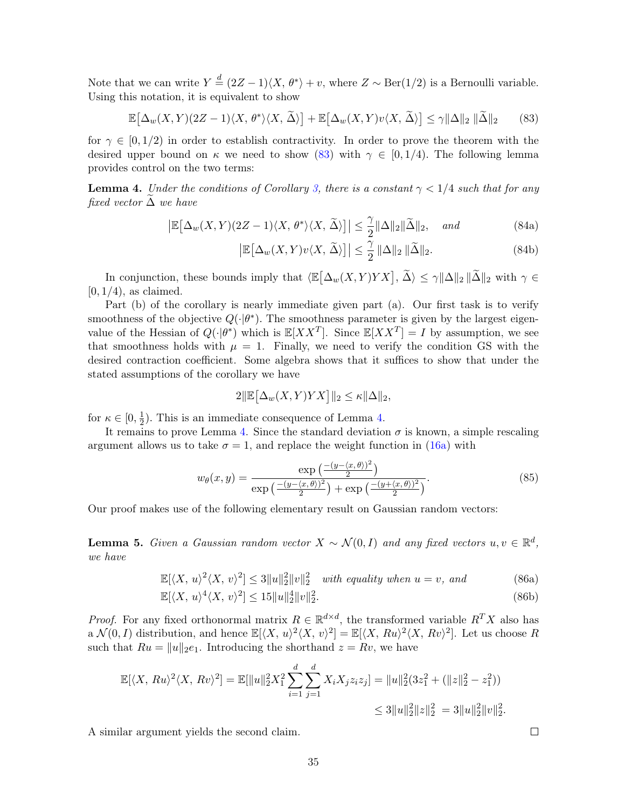Note that we can write  $Y \stackrel{d}{=} (2Z - 1)\langle X, \theta^* \rangle + v$ , where  $Z \sim \text{Ber}(1/2)$  is a Bernoulli variable. Using this notation, it is equivalent to show

$$
\mathbb{E}\big[\Delta_w(X,Y)(2Z-1)\langle X,\theta^*\rangle\langle X,\widetilde{\Delta}\rangle\big] + \mathbb{E}\big[\Delta_w(X,Y)v\langle X,\widetilde{\Delta}\rangle\big] \le \gamma \|\Delta\|_2 \|\widetilde{\Delta}\|_2\tag{83}
$$

for  $\gamma \in [0, 1/2)$  in order to establish contractivity. In order to prove the theorem with the desired upper bound on  $\kappa$  we need to show [\(83\)](#page-34-0) with  $\gamma \in [0, 1/4)$ . The following lemma provides control on the two terms:

<span id="page-34-1"></span>**Lemma 4.** Under the conditions of Corollary [3,](#page-20-4) there is a constant  $\gamma < 1/4$  such that for any fixed vector  $\Delta$  we have

$$
\left| \mathbb{E} \left[ \Delta_w(X, Y)(2Z - 1) \langle X, \theta^* \rangle \langle X, \widetilde{\Delta} \rangle \right] \right| \leq \frac{\gamma}{2} ||\Delta||_2 ||\widetilde{\Delta}||_2, \quad \text{and} \tag{84a}
$$

<span id="page-34-3"></span><span id="page-34-2"></span><span id="page-34-0"></span>
$$
\left| \mathbb{E} \left[ \Delta_w(X, Y) v \langle X, \tilde{\Delta} \rangle \right] \right| \leq \frac{\gamma}{2} \left\| \Delta \right\|_2 \|\tilde{\Delta} \|_2. \tag{84b}
$$

In conjunction, these bounds imply that  $\langle \mathbb{E}[\Delta_w(X, Y) Y X], \tilde{\Delta} \rangle \leq \gamma \|\Delta\|_2 \|\tilde{\Delta}\|_2$  with  $\gamma \in$  $[0, 1/4)$ , as claimed.

Part (b) of the corollary is nearly immediate given part (a). Our first task is to verify smoothness of the objective  $Q(\cdot|\theta^*)$ . The smoothness parameter is given by the largest eigenvalue of the Hessian of  $Q(\cdot|\theta^*)$  which is  $\mathbb{E}[XX^T]$ . Since  $\mathbb{E}[XX^T] = I$  by assumption, we see that smoothness holds with  $\mu = 1$ . Finally, we need to verify the condition GS with the desired contraction coefficient. Some algebra shows that it suffices to show that under the stated assumptions of the corollary we have

$$
2\|\mathbb{E}\big[\Delta_w(X,Y)YX\big]\|_2\leq \kappa\|\Delta\|_2,
$$

for  $\kappa \in [0, \frac{1}{2}]$  $\frac{1}{2}$ ). This is an immediate consequence of Lemma [4.](#page-34-1)

It remains to prove Lemma [4.](#page-34-1) Since the standard deviation  $\sigma$  is known, a simple rescaling argument allows us to take  $\sigma = 1$ , and replace the weight function in [\(16a\)](#page-2-3) with

$$
w_{\theta}(x,y) = \frac{\exp\left(\frac{-(y-\langle x,\theta\rangle)^2}{2}\right)}{\exp\left(\frac{-(y-\langle x,\theta\rangle)^2}{2}\right) + \exp\left(\frac{-(y+\langle x,\theta\rangle)^2}{2}\right)}.
$$
(85)

Our proof makes use of the following elementary result on Gaussian random vectors:

<span id="page-34-4"></span>**Lemma 5.** Given a Gaussian random vector  $X \sim \mathcal{N}(0, I)$  and any fixed vectors  $u, v \in \mathbb{R}^d$ , we have

$$
\mathbb{E}[\langle X, u \rangle^2 \langle X, v \rangle^2] \le 3||u||_2^2||v||_2^2 \quad \text{with equality when } u = v, \text{ and} \tag{86a}
$$

$$
\mathbb{E}[\langle X, u \rangle^4 \langle X, v \rangle^2] \le 15 \|u\|_2^4 \|v\|_2^2. \tag{86b}
$$

*Proof.* For any fixed orthonormal matrix  $R \in \mathbb{R}^{d \times d}$ , the transformed variable  $R^T X$  also has a  $\mathcal{N}(0, I)$  distribution, and hence  $\mathbb{E}[\langle X, u \rangle^2 \langle X, v \rangle^2] = \mathbb{E}[\langle X, Ru \rangle^2 \langle X, Rv \rangle^2]$ . Let us choose R such that  $Ru = ||u||_2e_1$ . Introducing the shorthand  $z = Rv$ , we have

$$
\mathbb{E}[\langle X, Ru \rangle^2 \langle X, Rv \rangle^2] = \mathbb{E}[\|u\|_2^2 X_1^2 \sum_{i=1}^d \sum_{j=1}^d X_i X_j z_i z_j] = \|u\|_2^2 (3z_1^2 + (\|z\|_2^2 - z_1^2))
$$
  

$$
\leq 3 \|u\|_2^2 \|z\|_2^2 = 3 \|u\|_2^2 \|v\|_2^2.
$$

A similar argument yields the second claim.

<span id="page-34-5"></span> $\Box$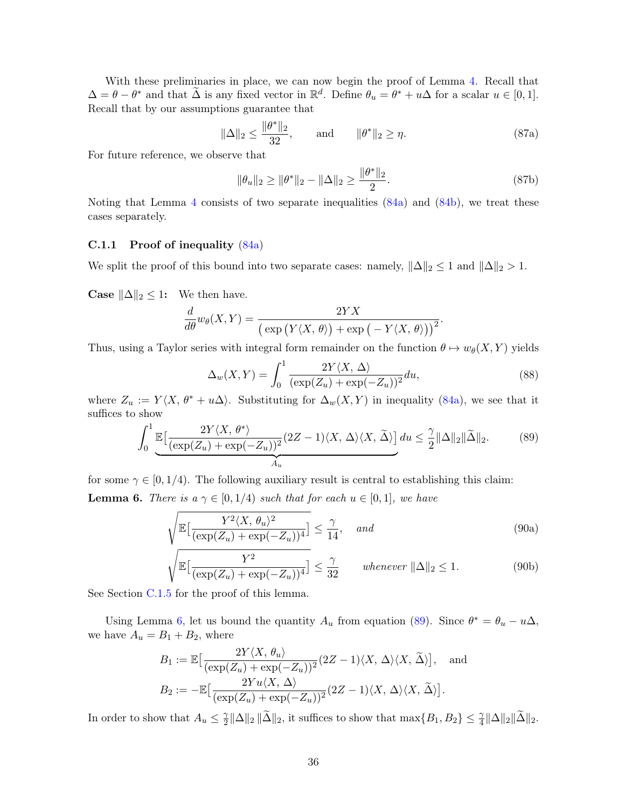With these preliminaries in place, we can now begin the proof of Lemma [4.](#page-34-1) Recall that  $\Delta = \theta - \theta^*$  and that  $\tilde{\Delta}$  is any fixed vector in  $\mathbb{R}^d$ . Define  $\theta_u = \theta^* + u\Delta$  for a scalar  $u \in [0, 1]$ . Recall that by our assumptions guarantee that

$$
\|\Delta\|_2 \le \frac{\|\theta^*\|_2}{32}
$$
, and  $\|\theta^*\|_2 \ge \eta$ . (87a)

For future reference, we observe that

$$
\|\theta_u\|_2 \ge \|\theta^*\|_2 - \|\Delta\|_2 \ge \frac{\|\theta^*\|_2}{2}.\tag{87b}
$$

Noting that Lemma [4](#page-34-1) consists of two separate inequalities [\(84a\)](#page-34-2) and [\(84b\)](#page-34-3), we treat these cases separately.

### <span id="page-35-2"></span>C.1.1 Proof of inequality [\(84a\)](#page-34-2)

We split the proof of this bound into two separate cases: namely,  $\|\Delta\|_2 \leq 1$  and  $\|\Delta\|_2 > 1$ .

**Case**  $\|\Delta\|_2 \leq 1$ : We then have.

$$
\frac{d}{d\theta}w_{\theta}(X,Y) = \frac{2YX}{\left(\exp(Y\langle X,\theta\rangle) + \exp(-Y\langle X,\theta\rangle)\right)^2}
$$

Thus, using a Taylor series with integral form remainder on the function  $\theta \mapsto w_{\theta}(X, Y)$  yields

$$
\Delta_w(X,Y) = \int_0^1 \frac{2Y\langle X, \Delta \rangle}{(\exp(Z_u) + \exp(-Z_u))^2} du,
$$
\n(88)

<span id="page-35-1"></span>.

where  $Z_u := Y\langle X, \theta^* + u\Delta \rangle$ . Substituting for  $\Delta_w(X, Y)$  in inequality [\(84a\)](#page-34-2), we see that it suffices to show

$$
\int_0^1 \underbrace{\mathbb{E}\left[\frac{2Y\langle X,\,\theta^*\rangle}{(\exp(Z_u)+\exp(-Z_u))^2}(2Z-1)\langle X,\,\Delta\rangle\langle X,\,\widetilde{\Delta}\rangle\right]}_{A_u} du \leq \frac{\gamma}{2} \|\Delta\|_2 \|\widetilde{\Delta}\|_2. \tag{89}
$$

<span id="page-35-0"></span>for some  $\gamma \in [0, 1/4)$ . The following auxiliary result is central to establishing this claim: **Lemma 6.** There is  $a \gamma \in [0, 1/4)$  such that for each  $u \in [0, 1]$ , we have

$$
\sqrt{\mathbb{E}\left[\frac{Y^2 \langle X, \theta_u \rangle^2}{(\exp(Z_u) + \exp(-Z_u))^4}\right]} \le \frac{\gamma}{14}, \quad \text{and} \tag{90a}
$$

$$
\sqrt{\mathbb{E}\left[\frac{Y^2}{(\exp(Z_u) + \exp(-Z_u))^4}\right]} \le \frac{\gamma}{32} \quad \text{whenever } \|\Delta\|_2 \le 1. \tag{90b}
$$

See Section [C.1.5](#page-40-0) for the proof of this lemma.

Using Lemma [6,](#page-35-0) let us bound the quantity  $A_u$  from equation [\(89\)](#page-35-1). Since  $\theta^* = \theta_u - u\Delta$ , we have  $A_u = B_1 + B_2$ , where

$$
B_1 := \mathbb{E}\left[\frac{2Y\langle X, \theta_u\rangle}{(\exp(Z_u) + \exp(-Z_u))^2} (2Z - 1)\langle X, \Delta\rangle\langle X, \tilde{\Delta}\rangle\right], \text{ and}
$$
  

$$
B_2 := -\mathbb{E}\left[\frac{2Yu\langle X, \Delta\rangle}{(\exp(Z_u) + \exp(-Z_u))^2} (2Z - 1)\langle X, \Delta\rangle\langle X, \tilde{\Delta}\rangle\right].
$$

In order to show that  $A_u \leq \frac{\gamma}{2}$  $\frac{\gamma}{2} \|\Delta\|_2 \|\widetilde{\Delta}\|_2$ , it suffices to show that  $\max\{B_1, B_2\} \leq \frac{\gamma}{4} \|\Delta\|_2 \|\widetilde{\Delta}\|_2$ .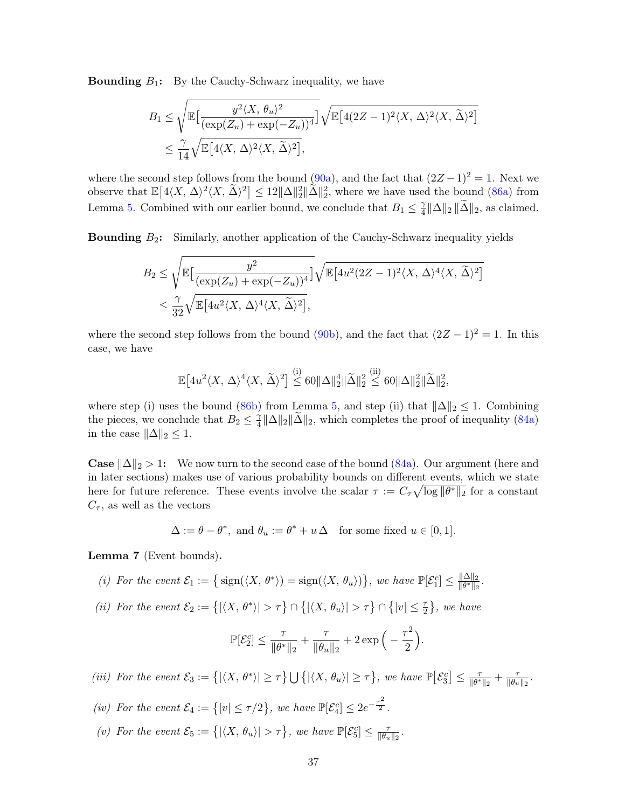**Bounding**  $B_1$ : By the Cauchy-Schwarz inequality, we have

$$
B_1 \leq \sqrt{\mathbb{E}\left[\frac{y^2 \langle X, \theta_u \rangle^2}{(\exp(Z_u) + \exp(-Z_u))^4}\right]} \sqrt{\mathbb{E}\left[4(2Z - 1)^2 \langle X, \Delta \rangle^2 \langle X, \widetilde{\Delta} \rangle^2\right]}
$$
  

$$
\leq \frac{\gamma}{14} \sqrt{\mathbb{E}\left[4\langle X, \Delta \rangle^2 \langle X, \widetilde{\Delta} \rangle^2\right]},
$$

where the second step follows from the bound [\(90a\)](#page-34-2), and the fact that  $(2Z-1)^2 = 1$ . Next we observe that  $\mathbb{E}\left[4\langle X, \Delta\rangle^2\langle X, \widetilde{\Delta}\rangle^2\right] \leq 12\|\Delta\|_2^2 \|\widetilde{\Delta}\|_2^2$ , where we have used the bound [\(86a\)](#page-34-2) from Lemma [5.](#page-34-4) Combined with our earlier bound, we conclude that  $B_1 \leq \frac{\gamma}{4}$  $\frac{\gamma}{4} \|\Delta\|_2 \|\Delta\|_2$ , as claimed.

**Bounding**  $B_2$ : Similarly, another application of the Cauchy-Schwarz inequality yields

$$
B_2 \le \sqrt{\mathbb{E}\left[\frac{y^2}{(\exp(Z_u) + \exp(-Z_u))^4}\right]}\sqrt{\mathbb{E}\left[4u^2(2Z - 1)^2 \langle X, \Delta \rangle^4 \langle X, \widetilde{\Delta}\rangle^2\right]}
$$
  

$$
\le \frac{\gamma}{32}\sqrt{\mathbb{E}\left[4u^2 \langle X, \Delta \rangle^4 \langle X, \widetilde{\Delta}\rangle^2\right]},
$$

where the second step follows from the bound [\(90b\)](#page-34-3), and the fact that  $(2Z-1)^2=1$ . In this case, we have

$$
\mathbb{E}\big[4u^2\langle X, \Delta\rangle^4\langle X, \widetilde{\Delta}\rangle^2\big] \stackrel{\text{(i)}}{\leq} 60 \|\Delta\|_2^4 \|\widetilde{\Delta}\|_2^2 \stackrel{\text{(ii)}}{\leq} 60 \|\Delta\|_2^2 \|\widetilde{\Delta}\|_2^2,
$$

where step (i) uses the bound [\(86b\)](#page-34-3) from Lemma [5,](#page-34-4) and step (ii) that  $\|\Delta\|_2 \leq 1$ . Combining the pieces, we conclude that  $B_2 \leq \frac{\gamma}{4}$  $\frac{\gamma}{4} \|\Delta\|_2 \|\Delta\|_2$ , which completes the proof of inequality [\(84a\)](#page-34-2) in the case  $\|\Delta\|_2 \leq 1$ .

**Case**  $\|\Delta\|_2 > 1$ : We now turn to the second case of the bound [\(84a\)](#page-34-2). Our argument (here and in later sections) makes use of various probability bounds on different events, which we state here for future reference. These events involve the scalar  $\tau := C_{\tau} \sqrt{\log ||\theta^*||_2}$  for a constant  $C_{\tau}$ , as well as the vectors

$$
\Delta := \theta - \theta^*, \text{ and } \theta_u := \theta^* + u \Delta \quad \text{for some fixed } u \in [0, 1].
$$

<span id="page-36-0"></span>Lemma 7 (Event bounds).

- (i) For the event  $\mathcal{E}_1 := \left\{ \text{sign}(\langle X, \theta^* \rangle) = \text{sign}(\langle X, \theta_u \rangle) \right\}$ , we have  $\mathbb{P}[\mathcal{E}_1^c] \leq \frac{\|\Delta\|_2}{\|\theta^*\|_2}$  $\frac{\|\Delta\|_2}{\|\theta^*\|_2}.$
- (ii) For the event  $\mathcal{E}_2 := \{ |\langle X, \theta^* \rangle| > \tau \} \cap \{ |\langle X, \theta_u \rangle| > \tau \} \cap \{ |v| \leq \frac{\tau}{2} \}$ , we have

$$
\mathbb{P}[\mathcal{E}_2^c] \leq \frac{\tau}{\|\theta^*\|_2} + \frac{\tau}{\|\theta_u\|_2} + 2\exp\Big(-\frac{\tau^2}{2}\Big).
$$

(iii) For the event  $\mathcal{E}_3 := \{ |\langle X, \theta^* \rangle| \geq \tau \} \cup \{ |\langle X, \theta_u \rangle| \geq \tau \},\$  we have  $\mathbb{P}[\mathcal{E}_3^c] \leq \frac{\tau}{|\theta^*|}$  $\frac{\tau}{\|\theta^*\|_2} + \frac{\tau}{\|\theta_u}$  $\frac{\tau}{\|\theta_u\|_2}$ .

- (iv) For the event  $\mathcal{E}_4 := \{|v| \leq \tau/2\}$ , we have  $\mathbb{P}[\mathcal{E}_4^c] \leq 2e^{-\frac{\tau^2}{2}}$ .
- (v) For the event  $\mathcal{E}_5 := \{ |\langle X, \theta_u \rangle| > \tau \},\$  we have  $\mathbb{P}[\mathcal{E}_5^c] \leq \frac{\tau}{\|\theta_u\|}$  $\frac{\tau}{\|\theta_u\|_2}$ .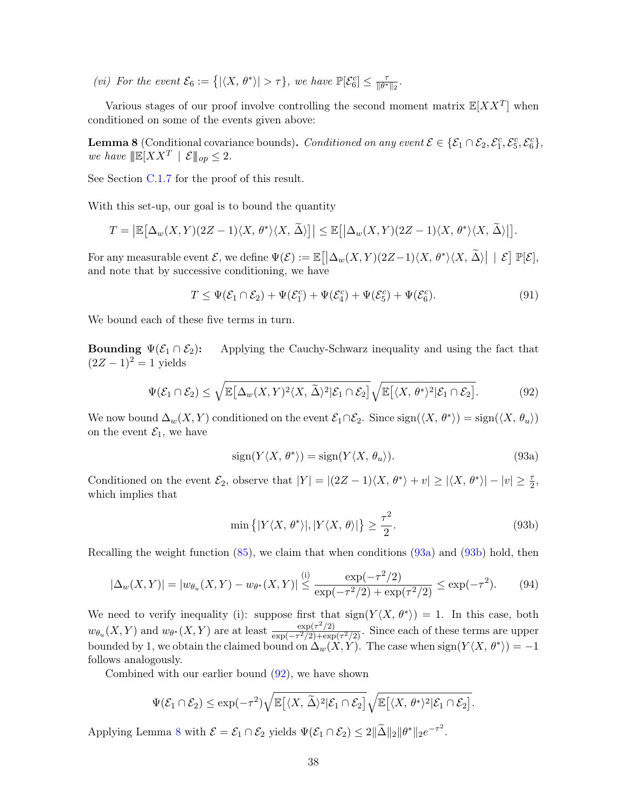(vi) For the event  $\mathcal{E}_6 := \{ |\langle X, \theta^* \rangle| > \tau \},\$  we have  $\mathbb{P}[\mathcal{E}_6^c] \leq \frac{\tau}{|\theta^*|}$  $\frac{\tau}{\|\theta^*\|_2}$ .

Various stages of our proof involve controlling the second moment matrix  $\mathbb{E}[XX^T]$  when conditioned on some of the events given above:

<span id="page-37-1"></span>**Lemma 8** (Conditional covariance bounds). Conditioned on any event  $\mathcal{E} \in \{ \mathcal{E}_1 \cap \mathcal{E}_2, \mathcal{E}_1^c, \mathcal{E}_5^c, \mathcal{E}_6^c \}$ , we have  $\|\mathbb{E}[XX^T \mid \mathcal{E} \|_{op} \leq 2$ .

See Section [C.1.7](#page-42-0) for the proof of this result.

With this set-up, our goal is to bound the quantity

$$
T = \left| \mathbb{E} \left[ \Delta_w(X, Y)(2Z - 1) \langle X, \theta^* \rangle \langle X, \widetilde{\Delta} \rangle \right] \right| \leq \mathbb{E} \left[ \left| \Delta_w(X, Y)(2Z - 1) \langle X, \theta^* \rangle \langle X, \widetilde{\Delta} \rangle \right| \right].
$$

For any measurable event  $\mathcal{E}$ , we define  $\Psi(\mathcal{E}) := \mathbb{E} \big[ \big| \Delta_w(X,Y) (2Z-1) \langle X, \theta^* \rangle \langle X, \widetilde{\Delta} \rangle \big| \, \mid \, \mathcal{E} \big] \, \mathbb{P}[\mathcal{E}],$ and note that by successive conditioning, we have

<span id="page-37-2"></span>
$$
T \leq \Psi(\mathcal{E}_1 \cap \mathcal{E}_2) + \Psi(\mathcal{E}_1^c) + \Psi(\mathcal{E}_4^c) + \Psi(\mathcal{E}_5^c) + \Psi(\mathcal{E}_6^c). \tag{91}
$$

We bound each of these five terms in turn.

**Bounding**  $\Psi(\mathcal{E}_1 \cap \mathcal{E}_2)$ : Applying the Cauchy-Schwarz inequality and using the fact that  $(2Z - 1)^2 = 1$  yields

$$
\Psi(\mathcal{E}_1 \cap \mathcal{E}_2) \le \sqrt{\mathbb{E}\big[\Delta_w(X,Y)^2\langle X,\,\widetilde{\Delta}\rangle^2|\mathcal{E}_1 \cap \mathcal{E}_2\big]}\sqrt{\mathbb{E}\big[\langle X,\,\theta^*\rangle^2|\mathcal{E}_1 \cap \mathcal{E}_2\big]}.\tag{92}
$$

We now bound  $\Delta_w(X, Y)$  conditioned on the event  $\mathcal{E}_1 \cap \mathcal{E}_2$ . Since  $\text{sign}(\langle X, \theta^* \rangle) = \text{sign}(\langle X, \theta_u \rangle)$ on the event  $\mathcal{E}_1$ , we have

<span id="page-37-0"></span>
$$
sign(Y\langle X, \theta^* \rangle) = sign(Y\langle X, \theta_u \rangle). \tag{93a}
$$

Conditioned on the event  $\mathcal{E}_2$ , observe that  $|Y| = |(2Z - 1)\langle X, \theta^* \rangle + v| \ge |\langle X, \theta^* \rangle| - |v| \ge \frac{\tau}{2}$ , which implies that

<span id="page-37-3"></span>
$$
\min\left\{|Y\langle X,\theta^*\rangle|,|Y\langle X,\theta\rangle|\right\} \geq \frac{\tau^2}{2}.\tag{93b}
$$

Recalling the weight function [\(85\)](#page-34-5), we claim that when conditions [\(93a\)](#page-34-2) and [\(93b\)](#page-34-3) hold, then

$$
|\Delta_w(X,Y)| = |w_{\theta_u}(X,Y) - w_{\theta^*}(X,Y)| \stackrel{\text{(i)}}{\leq} \frac{\exp(-\tau^2/2)}{\exp(-\tau^2/2) + \exp(\tau^2/2)} \leq \exp(-\tau^2). \tag{94}
$$

We need to verify inequality (i): suppose first that  $sign(Y\langle X, \theta^* \rangle) = 1$ . In this case, both  $w_{\theta_u}(X,Y)$  and  $w_{\theta^*}(X,Y)$  are at least  $\frac{\exp(\tau^2/2)}{\exp(-\tau^2/2)+\exp(\tau^2/2)}$  $\frac{\exp(\tau/2)}{\exp(-\tau^2/2)+\exp(\tau^2/2)}$ . Since each of these terms are upper bounded by 1, we obtain the claimed bound on  $\Delta_w(X, Y)$ . The case when  $\text{sign}(Y\langle X, \theta^* \rangle) = -1$ follows analogously.

Combined with our earlier bound  $(92)$ , we have shown

$$
\Psi(\mathcal{E}_1 \cap \mathcal{E}_2) \le \exp(-\tau^2) \sqrt{\mathbb{E}\big[\langle X, \widetilde{\Delta}\rangle^2|\mathcal{E}_1 \cap \mathcal{E}_2\big]}\sqrt{\mathbb{E}\big[\langle X, \theta^*\rangle^2|\mathcal{E}_1 \cap \mathcal{E}_2\big]}.
$$

Applying Lemma [8](#page-37-1) with  $\mathcal{E} = \mathcal{E}_1 \cap \mathcal{E}_2$  yields  $\Psi(\mathcal{E}_1 \cap \mathcal{E}_2) \leq 2 \|\tilde{\Delta}\|_2 \|\theta^*\|_2 e^{-\tau^2}$ .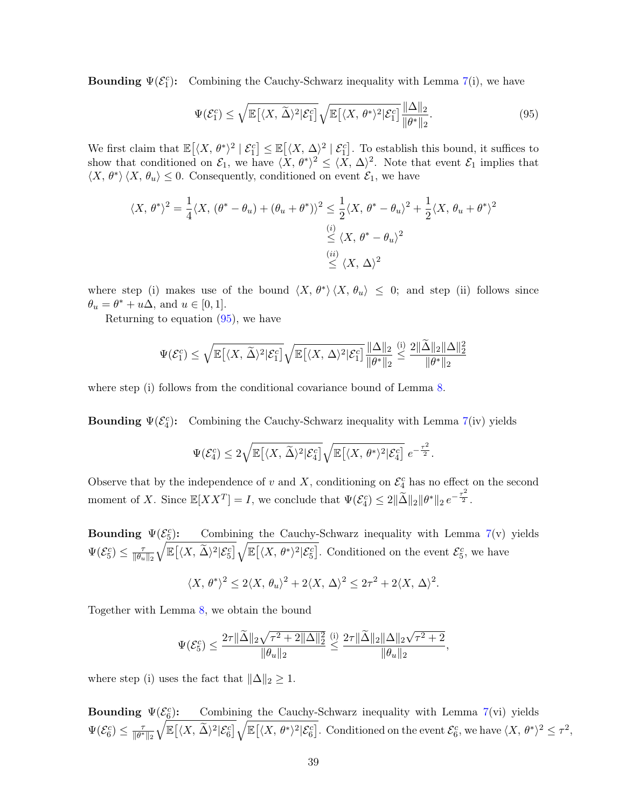**Bounding**  $\Psi(\mathcal{E}_1^c)$ **:** Combining the Cauchy-Schwarz inequality with Lemma [7\(](#page-36-0)i), we have

<span id="page-38-0"></span>
$$
\Psi(\mathcal{E}_1^c) \le \sqrt{\mathbb{E}\big[\langle X, \,\widetilde{\Delta}\rangle^2|\mathcal{E}_1^c\big]}\sqrt{\mathbb{E}\big[\langle X, \,\theta^*\rangle^2|\mathcal{E}_1^c\big]}\frac{\|\Delta\|_2}{\|\theta^*\|_2}.\tag{95}
$$

We first claim that  $\mathbb{E}[(X, \theta^*)^2 | \mathcal{E}_1^c] \leq \mathbb{E}[(X, \Delta)^2 | \mathcal{E}_1^c]$ . To establish this bound, it suffices to show that conditioned on  $\mathcal{E}_1$ , we have  $\langle X, \theta^* \rangle^2 \leq \langle X, \Delta \rangle^2$ . Note that event  $\mathcal{E}_1$  implies that  $\langle X, \theta^* \rangle \langle X, \theta_u \rangle \leq 0$ . Consequently, conditioned on event  $\mathcal{E}_1$ , we have

$$
\langle X, \theta^* \rangle^2 = \frac{1}{4} \langle X, (\theta^* - \theta_u) + (\theta_u + \theta^*) \rangle^2 \le \frac{1}{2} \langle X, \theta^* - \theta_u \rangle^2 + \frac{1}{2} \langle X, \theta_u + \theta^* \rangle^2
$$
  

$$
\le \langle X, \theta^* - \theta_u \rangle^2
$$
  

$$
\le \langle X, \Delta \rangle^2
$$

where step (i) makes use of the bound  $\langle X, \theta^* \rangle \langle X, \theta_u \rangle \leq 0$ ; and step (ii) follows since  $\theta_u = \theta^* + u\Delta$ , and  $u \in [0, 1]$ .

Returning to equation  $(95)$ , we have

$$
\Psi(\mathcal{E}_1^c) \leq \sqrt{\mathbb{E}\big[\langle X, \,\widetilde{\Delta}\rangle^2|\mathcal{E}_1^c\big]}\sqrt{\mathbb{E}\big[\langle X, \,\Delta\rangle^2|\mathcal{E}_1^c\big]}\frac{\|\Delta\|_2}{\|\theta^*\|_2} \stackrel{\text{(i)}}{\leq} \frac{2\|\widetilde{\Delta}\|_2\|\Delta\|_2^2}{\|\theta^*\|_2}
$$

where step (i) follows from the conditional covariance bound of Lemma [8.](#page-37-1)

**Bounding**  $\Psi(\mathcal{E}_4^c)$ : Combining the Cauchy-Schwarz inequality with Lemma [7\(](#page-36-0)iv) yields

$$
\Psi(\mathcal{E}_4^c) \leq 2\sqrt{\mathbb{E}\big[\langle X, \,\widetilde{\Delta}\rangle^2|\mathcal{E}_4^c\big]}\sqrt{\mathbb{E}\big[\langle X, \,\theta^*\rangle^2|\mathcal{E}_4^c\big]} \, e^{-\frac{\tau^2}{2}}.
$$

Observe that by the independence of v and X, conditioning on  $\mathcal{E}_4^c$  has no effect on the second moment of X. Since  $\mathbb{E}[XX^T] = I$ , we conclude that  $\Psi(\mathcal{E}_4^c) \leq 2 \|\tilde{\Delta}\|_2 \|\theta^*\|_2 e^{-\frac{\tau^2}{2}}$ .

Bounding  $\Psi(\mathcal{E}_{\underline{5}}^c)$ Combining the Cauchy-Schwarz inequality with Lemma  $7(v)$  $7(v)$  yields  $\Psi(\mathcal{E}_5^c) \leq \frac{\tau}{\|\theta_u\|}$  $\|\theta_u\|_2$  $\sqrt{\mathbb{E}\left[\langle X, \widetilde{\Delta}\rangle^2|\mathcal{E}_5^c\right]}\sqrt{\mathbb{E}\left[\langle X, \theta^*\rangle^2|\mathcal{E}_5^c\right]}$ . Conditioned on the event  $\mathcal{E}_5^c$ , we have

$$
\langle X, \theta^* \rangle^2 \le 2\langle X, \theta_u \rangle^2 + 2\langle X, \Delta \rangle^2 \le 2\tau^2 + 2\langle X, \Delta \rangle^2.
$$

Together with Lemma [8,](#page-37-1) we obtain the bound

$$
\Psi(\mathcal{E}_5^c) \le \frac{2\tau \|\widetilde{\Delta}\|_2\sqrt{\tau^2 + 2\|\Delta\|_2^2}}{\|\theta_u\|_2} \le \frac{2\tau \|\widetilde{\Delta}\|_2\|\Delta\|_2\sqrt{\tau^2 + 2}}{\|\theta_u\|_2},
$$

where step (i) uses the fact that  $\|\Delta\|_2 \geq 1$ .

Bounding  $\Psi(\mathcal{E}_{\underline{6}}^c)$ ): Combining the Cauchy-Schwarz inequality with Lemma [7\(](#page-36-0)vi) yields  $\Psi(\mathcal{E}_6^c) \leq \frac{\tau}{\|\theta^*}$  $\|\theta^*\|_2$  $\sqrt{\mathbb{E}\left[\langle X, \widetilde{\Delta}\rangle^2|\mathcal{E}_6^c\right]}\sqrt{\mathbb{E}\left[\langle X, \theta^*\rangle^2|\mathcal{E}_6^c\right]}$ . Conditioned on the event  $\mathcal{E}_6^c$ , we have  $\langle X, \theta^*\rangle^2 \leq \tau^2$ ,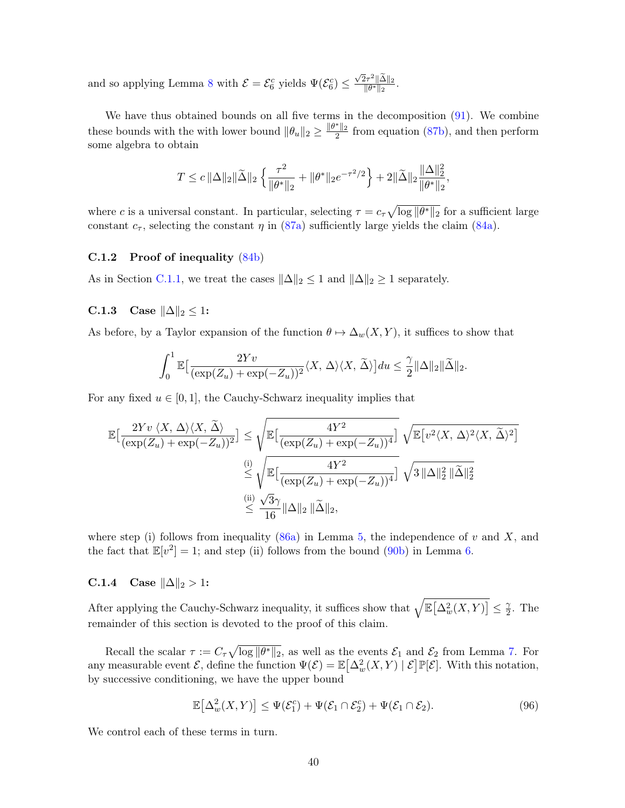and so applying Lemma [8](#page-37-1) with  $\mathcal{E} = \mathcal{E}_6^c$  yields  $\Psi(\mathcal{E}_6^c) \leq \frac{\sqrt{2}\tau^2 ||\tilde{\Delta}||_2}{||\theta^*||_2}$  $\frac{2\tau}{\|\theta^*\|_2}$ .

We have thus obtained bounds on all five terms in the decomposition  $(91)$ . We combine these bounds with the with lower bound  $\|\theta_u\|_2 \ge \frac{\|\theta^*\|_2}{2}$  from equation [\(87b\)](#page-34-3), and then perform some algebra to obtain

$$
T \leq c \, \|\Delta\|_2 \|\widetilde{\Delta}\|_2 \left\{ \frac{\tau^2}{\|\theta^*\|_2} + \|\theta^*\|_2 e^{-\tau^2/2} \right\} + 2 \|\widetilde{\Delta}\|_2 \frac{\|\Delta\|_2^2}{\|\theta^*\|_2},
$$

where c is a universal constant. In particular, selecting  $\tau = c_\tau \sqrt{\log ||\theta^*||_2}$  for a sufficient large constant  $c_{\tau}$ , selecting the constant  $\eta$  in [\(87a\)](#page-34-2) sufficiently large yields the claim [\(84a\)](#page-34-2).

# C.1.2 Proof of inequality [\(84b\)](#page-34-3)

As in Section [C.1.1,](#page-35-2) we treat the cases  $\|\Delta\|_2 \leq 1$  and  $\|\Delta\|_2 \geq 1$  separately.

# C.1.3 Case  $\|\Delta\|_2 \leq 1$ :

As before, by a Taylor expansion of the function  $\theta \mapsto \Delta_w(X, Y)$ , it suffices to show that

$$
\int_0^1 \mathbb{E}\big[\frac{2Yv}{(\exp(Z_u)+\exp(-Z_u))^2}\langle X,\,\Delta\rangle\langle X,\,\widetilde{\Delta}\rangle\big]du \leq \frac{\gamma}{2} \|\Delta\|_2 \|\widetilde{\Delta}\|_2.
$$

For any fixed  $u \in [0, 1]$ , the Cauchy-Schwarz inequality implies that

$$
\mathbb{E}\left[\frac{2Yv\,\langle X,\,\Delta\rangle\langle X,\,\widetilde{\Delta}\rangle}{(\exp(Z_u)+\exp(-Z_u))^2}\right] \leq \sqrt{\mathbb{E}\left[\frac{4Y^2}{(\exp(Z_u)+\exp(-Z_u))^4}\right]} \sqrt{\mathbb{E}\left[v^2\langle X,\,\Delta\rangle^2\langle X,\,\widetilde{\Delta}\rangle^2\right]}
$$
  

$$
\overset{\text{(i)}}{\leq} \sqrt{\mathbb{E}\left[\frac{4Y^2}{(\exp(Z_u)+\exp(-Z_u))^4}\right]} \sqrt{3\,\|\Delta\|_2^2\,\|\widetilde{\Delta}\|_2^2}
$$
  

$$
\overset{\text{(ii)}}{\leq} \frac{\sqrt{3}\gamma}{16}\|\Delta\|_2\,\|\widetilde{\Delta}\|_2,
$$

where step (i) follows from inequality [\(86a\)](#page-34-2) in Lemma [5,](#page-34-4) the independence of v and X, and the fact that  $\mathbb{E}[v^2] = 1$ ; and step (ii) follows from the bound [\(90b\)](#page-34-3) in Lemma [6.](#page-35-0)

# C.1.4 Case  $||\Delta||_2 > 1$ :

After applying the Cauchy-Schwarz inequality, it suffices show that  $\sqrt{\mathbb{E}\big[\Delta_w^2(X,Y)\big]}\leq \frac{\gamma}{2}$  $\frac{\gamma}{2}$ . The remainder of this section is devoted to the proof of this claim.

Recall the scalar  $\tau := C_{\tau} \sqrt{\log ||\theta^*||_2}$ , as well as the events  $\mathcal{E}_1$  and  $\mathcal{E}_2$  from Lemma [7.](#page-36-0) For any measurable event  $\mathcal{E}$ , define the function  $\Psi(\mathcal{E}) = \mathbb{E}[\Delta_w^2(X, Y) | \mathcal{E}] \mathbb{P}[\mathcal{E}]$ . With this notation, by successive conditioning, we have the upper bound

<span id="page-39-0"></span>
$$
\mathbb{E}\left[\Delta_w^2(X,Y)\right] \le \Psi(\mathcal{E}_1^c) + \Psi(\mathcal{E}_1 \cap \mathcal{E}_2^c) + \Psi(\mathcal{E}_1 \cap \mathcal{E}_2). \tag{96}
$$

We control each of these terms in turn.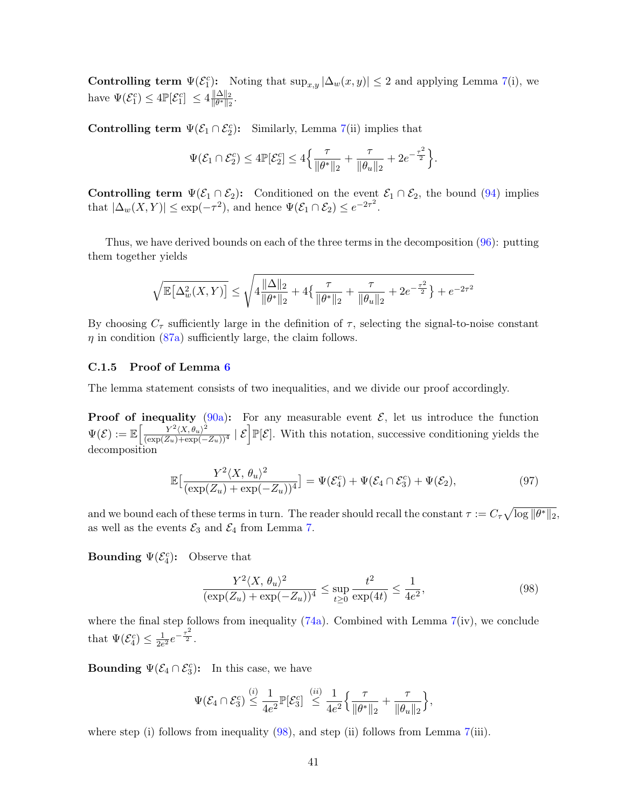Controlling term  $\Psi(\mathcal{E}_1^c)$ : Noting that  $\sup_{x,y} |\Delta_w(x,y)| \leq 2$  and applying Lemma [7\(](#page-36-0)i), we have  $\Psi(\mathcal{E}_1^c) \leq 4 \mathbb{P}[\mathcal{E}_1^c] \leq 4 \frac{\|\Delta\|_2}{\|\theta^*\|_2}$  $\frac{\|\Delta\|_2}{\|\theta^*\|_2}.$ 

Controlling term  $\Psi(\mathcal{E}_1 \cap \mathcal{E}_2^c)$ : Similarly, Lemma [7\(](#page-36-0)ii) implies that

$$
\Psi(\mathcal{E}_1 \cap \mathcal{E}_2^c) \le 4 \mathbb{P}[\mathcal{E}_2^c] \le 4 \Big\{ \frac{\tau}{\|\theta^*\|_2} + \frac{\tau}{\|\theta_u\|_2} + 2e^{-\frac{\tau^2}{2}} \Big\}.
$$

Controlling term  $\Psi(\mathcal{E}_1 \cap \mathcal{E}_2)$ : Conditioned on the event  $\mathcal{E}_1 \cap \mathcal{E}_2$ , the bound [\(94\)](#page-37-3) implies that  $|\Delta_w(X,Y)| \leq \exp(-\tau^2)$ , and hence  $\Psi(\mathcal{E}_1 \cap \mathcal{E}_2) \leq e^{-2\tau^2}$ .

Thus, we have derived bounds on each of the three terms in the decomposition [\(96\)](#page-39-0): putting them together yields

$$
\sqrt{\mathbb{E}\big[\Delta_w^2(X,Y)\big]}\leq \sqrt{4\frac{\|\Delta\|_2}{\|\theta^*\|_2}+4\big\{\frac{\tau}{\|\theta^*\|_2}+\frac{\tau}{\|\theta_u\|_2}+2e^{-\frac{\tau^2}{2}}\big\}+e^{-2\tau^2}}
$$

By choosing  $C_{\tau}$  sufficiently large in the definition of  $\tau$ , selecting the signal-to-noise constant  $\eta$  in condition [\(87a\)](#page-34-2) sufficiently large, the claim follows.

## <span id="page-40-0"></span>C.1.5 Proof of Lemma [6](#page-35-0)

The lemma statement consists of two inequalities, and we divide our proof accordingly.

**Proof of inequality** [\(90a\)](#page-34-2): For any measurable event  $\mathcal{E}$ , let us introduce the function  $\Psi(\mathcal{E}) := \mathbb{E}\left[\frac{Y^2 \langle X, \theta_u \rangle^2}{(\exp(Z_u)+\exp(-Z_u))^4} \mid \mathcal{E}\right] \mathbb{P}[\mathcal{E}].$  With this notation, successive conditioning yields the decomposition

$$
\mathbb{E}\left[\frac{Y^2 \langle X, \theta_u \rangle^2}{(\exp(Z_u) + \exp(-Z_u))^4}\right] = \Psi(\mathcal{E}_4^c) + \Psi(\mathcal{E}_4 \cap \mathcal{E}_3^c) + \Psi(\mathcal{E}_2),\tag{97}
$$

and we bound each of these terms in turn. The reader should recall the constant  $\tau := C_{\tau} \sqrt{\log ||\theta^*||_2}$ , as well as the events  $\mathcal{E}_3$  and  $\mathcal{E}_4$  from Lemma [7.](#page-36-0)

**Bounding**  $\Psi(\mathcal{E}_4^c)$ : Observe that

<span id="page-40-2"></span><span id="page-40-1"></span>
$$
\frac{Y^2 \langle X, \theta_u \rangle^2}{(\exp(Z_u) + \exp(-Z_u))^4} \le \sup_{t \ge 0} \frac{t^2}{\exp(4t)} \le \frac{1}{4e^2},\tag{98}
$$

where the final step follows from inequality  $(74a)$ . Combined with Lemma  $7(iv)$  $7(iv)$ , we conclude that  $\Psi(\mathcal{E}_4^c) \leq \frac{1}{2e}$  $\frac{1}{2e^2}e^{-\frac{\tau^2}{2}}.$ 

**Bounding**  $\Psi(\mathcal{E}_4 \cap \mathcal{E}_3^c)$ : In this case, we have

$$
\Psi(\mathcal{E}_4 \cap \mathcal{E}_3^c) \stackrel{(i)}{\leq} \frac{1}{4e^2} \mathbb{P}[\mathcal{E}_3^c] \stackrel{(ii)}{\leq} \frac{1}{4e^2} \Big\{ \frac{\tau}{\|\theta^*\|_2} + \frac{\tau}{\|\theta_u\|_2} \Big\},\,
$$

where step (i) follows from inequality [\(98\)](#page-40-1), and step (ii) follows from Lemma [7\(](#page-36-0)iii).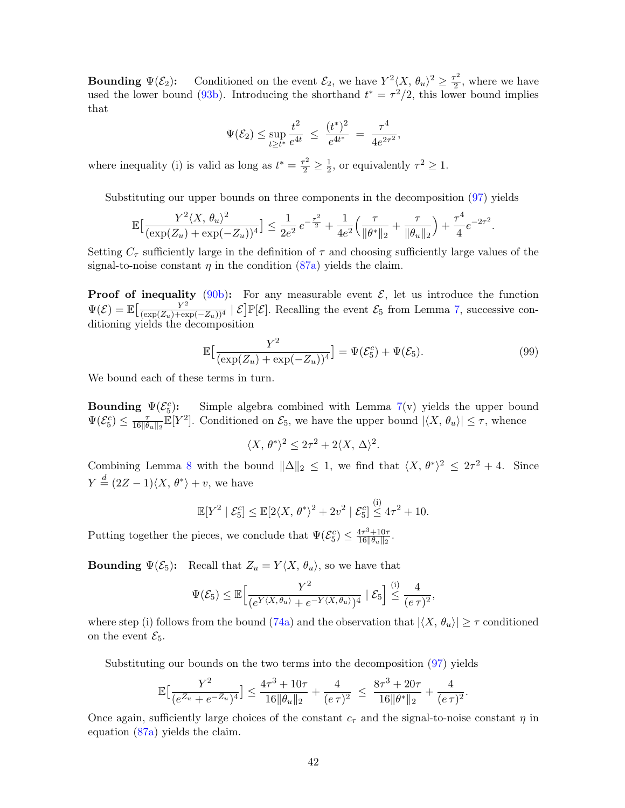**Bounding**  $\Psi(\mathcal{E}_2)$ : Conditioned on the event  $\mathcal{E}_2$ , we have  $Y^2 \langle X, \theta_u \rangle^2 \geq \frac{\tau^2}{2}$  $\frac{r^2}{2}$ , where we have used the lower bound [\(93b\)](#page-34-3). Introducing the shorthand  $t^* = \tau^2/2$ , this lower bound implies that

$$
\Psi(\mathcal{E}_2) \le \sup_{t \ge t^*} \frac{t^2}{e^{4t}} \ \le \ \frac{(t^*)^2}{e^{4t^*}} \ = \ \frac{\tau^4}{4e^{2\tau^2}},
$$

where inequality (i) is valid as long as  $t^* = \frac{\tau^2}{2} \ge \frac{1}{2}$  $\frac{1}{2}$ , or equivalently  $\tau^2 \geq 1$ .

Substituting our upper bounds on three components in the decomposition [\(97\)](#page-40-2) yields

$$
\mathbb{E}\big[\frac{Y^2\langle X,\,\theta_u\rangle^2}{(\exp(Z_u)+\exp(-Z_u))^4}\big]\leq \frac{1}{2e^2}e^{-\frac{\tau^2}{2}}+\frac{1}{4e^2}\Big(\frac{\tau}{\|\theta^*\|_2}+\frac{\tau}{\|\theta_u\|_2}\Big)+\frac{\tau^4}{4}e^{-2\tau^2}.
$$

Setting  $C_{\tau}$  sufficiently large in the definition of  $\tau$  and choosing sufficiently large values of the signal-to-noise constant  $\eta$  in the condition [\(87a\)](#page-34-2) yields the claim.

**Proof of inequality** [\(90b\)](#page-34-3): For any measurable event  $\mathcal{E}$ , let us introduce the function  $\Psi(\mathcal{E}) = \mathbb{E}\left[\frac{Y^2}{(\exp(Z_u)+\exp(-Z_u))^4} \mid \mathcal{E}\right] \mathbb{P}[\mathcal{E}].$  Recalling the event  $\mathcal{E}_5$  from Lemma [7,](#page-36-0) successive conditioning yields the decomposition

$$
\mathbb{E}\left[\frac{Y^2}{(\exp(Z_u) + \exp(-Z_u))^4}\right] = \Psi(\mathcal{E}_5^c) + \Psi(\mathcal{E}_5). \tag{99}
$$

We bound each of these terms in turn.

Bounding  $\Psi(\mathcal{E}_5^c)$ Simple algebra combined with Lemma  $7(v)$  $7(v)$  yields the upper bound  $\Psi(\mathcal{E}_5^c) \leq \frac{\tau}{16\|\theta}$  $\frac{\tau}{16\|\theta_u\|_2} \mathbb{E}[Y^2]$ . Conditioned on  $\mathcal{E}_5$ , we have the upper bound  $|\langle X, \theta_u \rangle| \leq \tau$ , whence

$$
\langle X, \theta^* \rangle^2 \le 2\tau^2 + 2\langle X, \Delta \rangle^2.
$$

Combining Lemma [8](#page-37-1) with the bound  $\|\Delta\|_2 \leq 1$ , we find that  $\langle X, \theta^* \rangle^2 \leq 2\tau^2 + 4$ . Since  $Y \stackrel{d}{=} (2Z - 1)\langle X, \theta^* \rangle + v$ , we have

$$
\mathbb{E}[Y^2 \mid \mathcal{E}_5^c] \leq \mathbb{E}[2\langle X, \theta^*\rangle^2 + 2v^2 \mid \mathcal{E}_5^c] \stackrel{\text{(i)}}{\leq} 4\tau^2 + 10.
$$

Putting together the pieces, we conclude that  $\Psi(\mathcal{E}_5^c) \leq \frac{4\tau^3 + 10\tau}{16||\theta_u||_2}$  $\frac{4\tau^3 + 10\tau}{16\|\theta_u\|_2}$ .

**Bounding**  $\Psi(\mathcal{E}_5)$ : Recall that  $Z_u = Y \langle X, \theta_u \rangle$ , so we have that

$$
\Psi(\mathcal{E}_5) \leq \mathbb{E}\Big[\frac{Y^2}{(e^{Y\langle X,\theta_u\rangle}+e^{-Y\langle X,\theta_u\rangle})^4}\mid \mathcal{E}_5\Big] \stackrel{\text{(i)}}{\leq} \frac{4}{(e\,\tau)^2},
$$

where step (i) follows from the bound [\(74a\)](#page-28-0) and the observation that  $|\langle X, \theta_u \rangle| \geq \tau$  conditioned on the event  $\mathcal{E}_5$ .

Substituting our bounds on the two terms into the decomposition [\(97\)](#page-40-2) yields

$$
\mathbb{E}\big[\frac{Y^2}{(e^{Z_u}+e^{-Z_u})^4}\big] \le \frac{4\tau^3+10\tau}{16\|\theta_u\|_2}+\frac{4}{(e\,\tau)^2} \ \le \ \frac{8\tau^3+20\tau}{16\|\theta^*\|_2}+\frac{4}{(e\,\tau)^2}.
$$

Once again, sufficiently large choices of the constant  $c<sub>\tau</sub>$  and the signal-to-noise constant  $\eta$  in equation [\(87a\)](#page-34-2) yields the claim.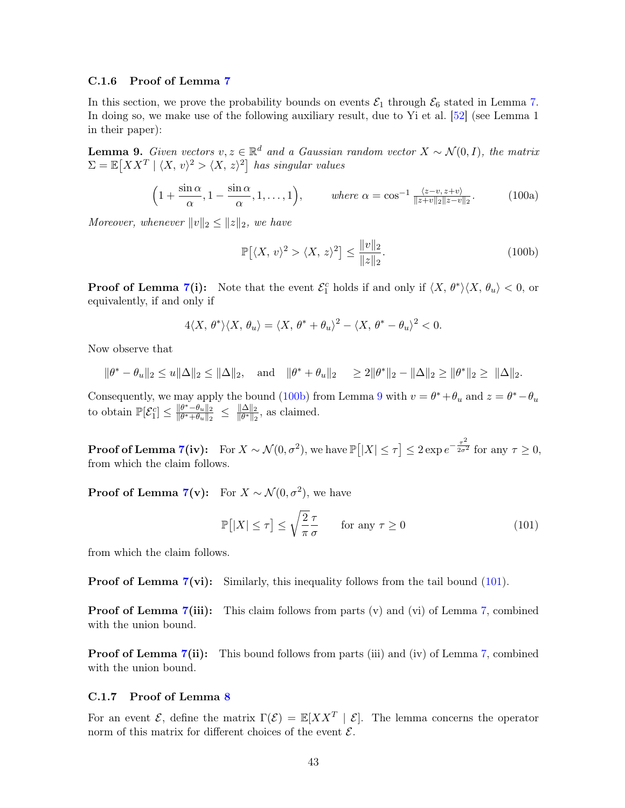## C.1.6 Proof of Lemma [7](#page-36-0)

In this section, we prove the probability bounds on events  $\mathcal{E}_1$  through  $\mathcal{E}_6$  stated in Lemma [7.](#page-36-0) In doing so, we make use of the following auxiliary result, due to Yi et al. [\[52\]](#page-53-2) (see Lemma 1 in their paper):

<span id="page-42-1"></span>**Lemma 9.** Given vectors  $v, z \in \mathbb{R}^d$  and a Gaussian random vector  $X \sim \mathcal{N}(0, I)$ , the matrix  $\Sigma = \mathbb{E}[XX^T | \langle X, v \rangle^2 > \langle X, z \rangle^2]$  has singular values

$$
\left(1+\frac{\sin\alpha}{\alpha}, 1-\frac{\sin\alpha}{\alpha}, 1,\dots,1\right), \qquad \text{where } \alpha=\cos^{-1}\frac{\langle z-v, z+v\rangle}{\|z+v\|_2\|z-v\|_2}.\tag{100a}
$$

Moreover, whenever  $||v||_2 \le ||z||_2$ , we have

$$
\mathbb{P}[\langle X,\,v\rangle^2\rangle\langle X,\,z\rangle^2] \le \frac{\|v\|_2}{\|z\|_2}.\tag{100b}
$$

**Proof of Lemma [7\(](#page-36-0)i):** Note that the event  $\mathcal{E}_1^c$  holds if and only if  $\langle X, \theta^* \rangle \langle X, \theta_u \rangle < 0$ , or equivalently, if and only if

$$
4\langle X,\,\theta^*\rangle\langle X,\,\theta_u\rangle=\langle X,\,\theta^*+\theta_u\rangle^2-\langle X,\,\theta^*-\theta_u\rangle^2<0.
$$

Now observe that

$$
\|\theta^* - \theta_u\|_2 \leq u \|\Delta\|_2 \leq \|\Delta\|_2
$$
, and  $\|\theta^* + \theta_u\|_2 \geq 2\|\theta^*\|_2 - \|\Delta\|_2 \geq \|\theta^*\|_2 \geq \|\Delta\|_2$ .

Consequently, we may apply the bound [\(100b\)](#page-34-3) from Lemma [9](#page-42-1) with  $v = \theta^* + \theta_u$  and  $z = \theta^* - \theta_u$ to obtain  $\mathbb{P}[\mathcal{E}_1^c] \leq \frac{\|\theta^* - \theta_u\|_2}{\|\theta^* + \theta_u\|_2}$  $\frac{\|\theta^*-\theta_u\|_2}{\|\theta^*+\theta_u\|_2} \ \leq \ \frac{\|\Delta\|_2}{\|\theta^*\|_2}$  $\frac{\|\Delta\|_2}{\|\theta^*\|_2}$ , as claimed.

**Proof of Lemma [7\(](#page-36-0)iv):** For  $X \sim \mathcal{N}(0, \sigma^2)$ , we have  $\mathbb{P}\big[|X| \leq \tau\big] \leq 2 \exp e^{-\frac{\tau^2}{2\sigma^2}}$  $\overline{2\sigma^2}$  for any  $\tau \geq 0$ , from which the claim follows.

**Proof of Lemma [7\(](#page-36-0)v):** For  $X \sim \mathcal{N}(0, \sigma^2)$ , we have

<span id="page-42-2"></span>
$$
\mathbb{P}\left[|X| \le \tau\right] \le \sqrt{\frac{2}{\pi}} \frac{\tau}{\sigma} \qquad \text{for any } \tau \ge 0 \tag{101}
$$

from which the claim follows.

**Proof of Lemma [7\(](#page-36-0)vi):** Similarly, this inequality follows from the tail bound [\(101\)](#page-42-2).

**Proof of Lemma [7\(](#page-36-0)iii):** This claim follows from parts (v) and (vi) of Lemma [7,](#page-36-0) combined with the union bound.

**Proof of Lemma [7\(](#page-36-0)ii):** This bound follows from parts (iii) and (iv) of Lemma [7,](#page-36-0) combined with the union bound.

# <span id="page-42-0"></span>C.1.7 Proof of Lemma [8](#page-37-1)

For an event  $\mathcal{E}$ , define the matrix  $\Gamma(\mathcal{E}) = \mathbb{E}[XX^T | \mathcal{E}]$ . The lemma concerns the operator norm of this matrix for different choices of the event  $\mathcal{E}$ .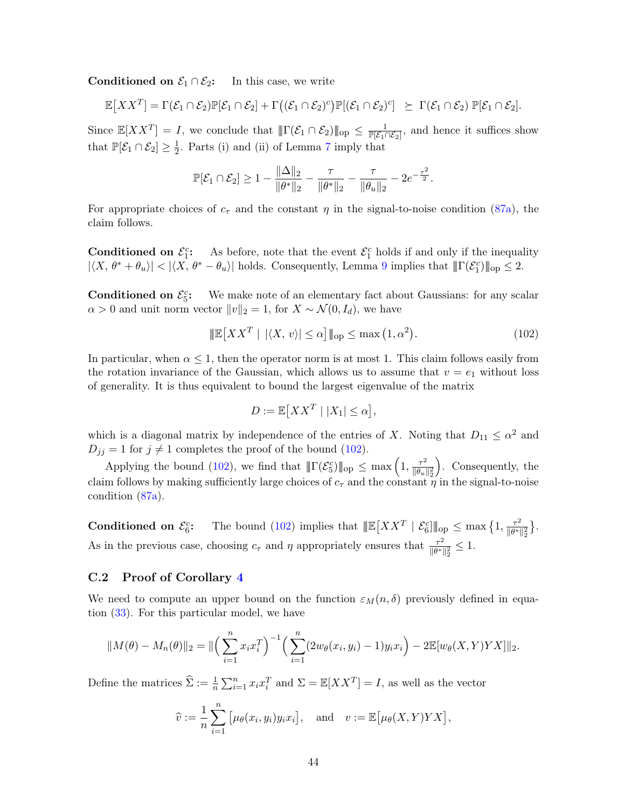Conditioned on  $\mathcal{E}_1 \cap \mathcal{E}_2$ : In this case, we write

$$
\mathbb{E}[XX^T] = \Gamma(\mathcal{E}_1 \cap \mathcal{E}_2) \mathbb{P}[\mathcal{E}_1 \cap \mathcal{E}_2] + \Gamma((\mathcal{E}_1 \cap \mathcal{E}_2)^c) \mathbb{P}[(\mathcal{E}_1 \cap \mathcal{E}_2)^c] \succeq \Gamma(\mathcal{E}_1 \cap \mathcal{E}_2) \mathbb{P}[\mathcal{E}_1 \cap \mathcal{E}_2].
$$

Since  $\mathbb{E}[XX^T] = I$ , we conclude that  $\|\Gamma(\mathcal{E}_1 \cap \mathcal{E}_2)\|_{\text{op}} \leq \frac{1}{\mathbb{P}[\mathcal{E}_1 \cap \mathcal{E}_2]}$ , and hence it suffices show that  $\mathbb{P}[\mathcal{E}_1 \cap \mathcal{E}_2] \geq \frac{1}{2}$  $\frac{1}{2}$ . Parts (i) and (ii) of Lemma [7](#page-36-0) imply that

$$
\mathbb{P}[\mathcal{E}_1 \cap \mathcal{E}_2] \ge 1 - \frac{\|\Delta\|_2}{\|\theta^*\|_2} - \frac{\tau}{\|\theta^*\|_2} - \frac{\tau}{\|\theta_u\|_2} - 2e^{-\frac{\tau^2}{2}}.
$$

For appropriate choices of  $c<sub>\tau</sub>$  and the constant  $\eta$  in the signal-to-noise condition [\(87a\)](#page-34-2), the claim follows.

**Conditioned on**  $\mathcal{E}_1^c$ **:** As before, note that the event  $\mathcal{E}_1^c$  holds if and only if the inequality  $|\langle X, \theta^* + \theta_u \rangle| < |\langle X, \theta^* - \theta_u \rangle|$  holds. Consequently, Lemma [9](#page-42-1) implies that  $||\Gamma(\mathcal{E}_1^c)||_{\text{op}} \leq 2$ .

**Conditioned on**  $\mathcal{E}_5^c$ **:** We make note of an elementary fact about Gaussians: for any scalar  $\alpha > 0$  and unit norm vector  $||v||_2 = 1$ , for  $X \sim \mathcal{N}(0, I_d)$ , we have

$$
\mathbb{E}[XX^T \mid |\langle X, v \rangle| \le \alpha] \|_{\text{op}} \le \max(1, \alpha^2). \tag{102}
$$

In particular, when  $\alpha \leq 1$ , then the operator norm is at most 1. This claim follows easily from the rotation invariance of the Gaussian, which allows us to assume that  $v = e_1$  without loss of generality. It is thus equivalent to bound the largest eigenvalue of the matrix

<span id="page-43-1"></span>
$$
D := \mathbb{E}[XX^T \mid |X_1| \leq \alpha],
$$

which is a diagonal matrix by independence of the entries of X. Noting that  $D_{11} \leq \alpha^2$  and  $D_{jj} = 1$  for  $j \neq 1$  completes the proof of the bound [\(102\)](#page-43-1).

Applying the bound [\(102\)](#page-43-1), we find that  $||\Gamma(\mathcal{E}_5^c)||_{op} \leq \max\left(1, \frac{\tau^2}{||\theta_u||}\right)$  $\overline{\|\theta_u\|_2^2}$  . Consequently, the claim follows by making sufficiently large choices of  $c_{\tau}$  and the constant  $\eta$  in the signal-to-noise condition [\(87a\)](#page-34-2).

**Conditioned on**  $\mathcal{E}_6^c$ **:** The bound [\(102\)](#page-43-1) implies that  $\|\mathbb{E}[XX^T \mid \mathcal{E}_6^c] \|_{op} \leq \max\left\{1, \frac{\tau^2}{\|\theta^*\|} \leq \frac{\tau^2}{\|\theta^*\|} \right\}$  $\overline{\|\theta^*\|_2^2}$  $\big\}.$ As in the previous case, choosing  $c_{\tau}$  and  $\eta$  appropriately ensures that  $\frac{\tau^2}{\|\theta^*\|}$  $\frac{\tau^2}{\|\theta^*\|_2^2} \leq 1.$ 

# <span id="page-43-0"></span>C.2 Proof of Corollary [4](#page-21-2)

We need to compute an upper bound on the function  $\varepsilon_M(n, \delta)$  previously defined in equation [\(33\)](#page-10-2). For this particular model, we have

$$
||M(\theta) - M_n(\theta)||_2 = ||\left(\sum_{i=1}^n x_i x_i^T\right)^{-1} \left(\sum_{i=1}^n (2w_{\theta}(x_i, y_i) - 1)y_i x_i\right) - 2\mathbb{E}[w_{\theta}(X, Y) Y X]||_2.
$$

Define the matrices  $\hat{\Sigma} := \frac{1}{n} \sum_{i=1}^n x_i x_i^T$  and  $\Sigma = \mathbb{E}[XX^T] = I$ , as well as the vector

$$
\widehat{v} := \frac{1}{n} \sum_{i=1}^{n} [\mu_{\theta}(x_i, y_i) y_i x_i], \text{ and } v := \mathbb{E}[\mu_{\theta}(X, Y) Y X],
$$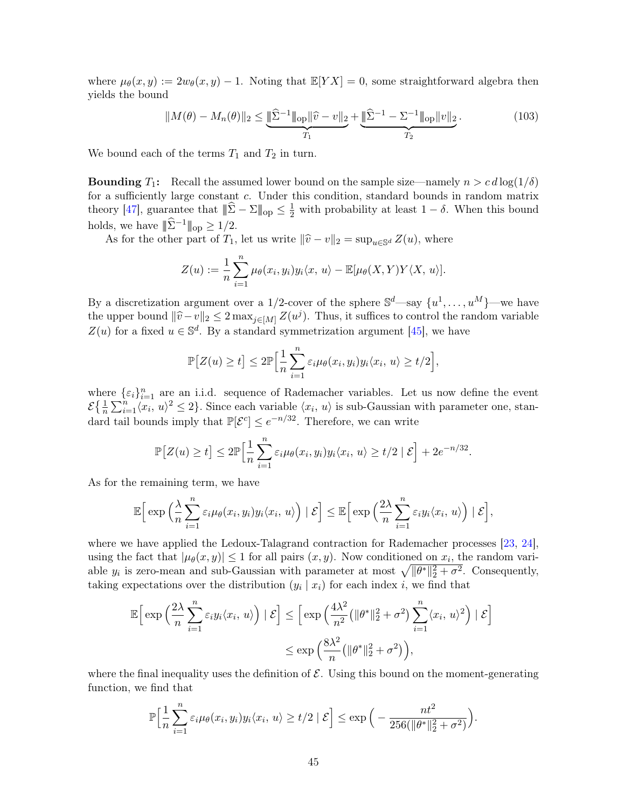where  $\mu_{\theta}(x, y) := 2w_{\theta}(x, y) - 1$ . Noting that  $\mathbb{E}[YX] = 0$ , some straightforward algebra then yields the bound

<span id="page-44-0"></span>
$$
||M(\theta) - M_n(\theta)||_2 \le \underbrace{\|\widehat{\Sigma}^{-1}\|_{\text{op}} \|\widehat{v} - v\|_2}_{T_1} + \underbrace{\|\widehat{\Sigma}^{-1} - \Sigma^{-1}\|_{\text{op}} \|v\|_2}_{T_2}.
$$
 (103)

We bound each of the terms  $T_1$  and  $T_2$  in turn.

**Bounding**  $T_1$ : Recall the assumed lower bound on the sample size—namely  $n > c d \log(1/\delta)$ for a sufficiently large constant c. Under this condition, standard bounds in random matrix theory [\[47\]](#page-53-5), guarantee that  $\|\widehat{\Sigma} - \Sigma\|_{\text{op}} \leq \frac{1}{2}$  with probability at least  $1 - \delta$ . When this bound holds, we have  $|\!|\!|\hat{\Sigma}^{-1}|\!|\!|_{\text{op}} \geq 1/2.$ 

As for the other part of  $T_1$ , let us write  $\|\hat{v} - v\|_2 = \sup_{u \in \mathbb{S}^d} Z(u)$ , where

$$
Z(u) := \frac{1}{n} \sum_{i=1}^{n} \mu_{\theta}(x_i, y_i) y_i \langle x, u \rangle - \mathbb{E}[\mu_{\theta}(X, Y) Y \langle X, u \rangle].
$$

By a discretization argument over a 1/2-cover of the sphere  $\mathbb{S}^d$ —say  $\{u^1, \ldots, u^M\}$ —we have the upper bound  $\|\hat{v}-v\|_2 \leq 2 \max_{j\in[M]} Z(u^j)$ . Thus, it suffices to control the random variable  $Z(u)$  for a fixed  $u \in \mathbb{S}^d$ . By a standard symmetrization argument [\[45\]](#page-52-16), we have

$$
\mathbb{P}\big[Z(u)\geq t\big]\leq 2\mathbb{P}\Big[\frac{1}{n}\sum_{i=1}^n\varepsilon_i\mu_\theta(x_i,y_i)y_i\langle x_i,\,u\rangle\geq t/2\Big],
$$

where  $\{\varepsilon_i\}_{i=1}^n$  are an i.i.d. sequence of Rademacher variables. Let us now define the event  $\mathcal{E}\left\{\frac{1}{n}\sum_{i=1}^{n}\langle x_i, u \rangle^2 \leq 2\right\}$ . Since each variable  $\langle x_i, u \rangle$  is sub-Gaussian with parameter one, standard tail bounds imply that  $\mathbb{P}[\mathcal{E}^c] \leq e^{-n/32}$ . Therefore, we can write

$$
\mathbb{P}\big[Z(u)\geq t\big]\leq 2\mathbb{P}\Big[\frac{1}{n}\sum_{i=1}^n \varepsilon_i\mu_{\theta}(x_i,y_i)y_i\langle x_i,\,u\rangle\geq t/2\mid \mathcal{E}\Big]+2e^{-n/32}.
$$

As for the remaining term, we have

$$
\mathbb{E}\Big[\exp\Big(\frac{\lambda}{n}\sum_{i=1}^n \varepsilon_i\mu_{\theta}(x_i,y_i)y_i\langle x_i, u \rangle\Big) | \mathcal{E}\Big] \leq \mathbb{E}\Big[\exp\Big(\frac{2\lambda}{n}\sum_{i=1}^n \varepsilon_iy_i\langle x_i, u \rangle\Big) | \mathcal{E}\Big],
$$

where we have applied the Ledoux-Talagrand contraction for Rademacher processes [\[23,](#page-51-15) [24\]](#page-51-16), using the fact that  $|\mu_{\theta}(x, y)| \leq 1$  for all pairs  $(x, y)$ . Now conditioned on  $x_i$ , the random variable  $y_i$  is zero-mean and sub-Gaussian with parameter at most  $\sqrt{\|\theta^*\|_2^2 + \sigma^2}$ . Consequently, taking expectations over the distribution  $(y_i | x_i)$  for each index i, we find that

$$
\mathbb{E}\Big[\exp\Big(\frac{2\lambda}{n}\sum_{i=1}^n \varepsilon_i y_i \langle x_i, u \rangle\Big) | \mathcal{E}\Big] \leq \Big[\exp\Big(\frac{4\lambda^2}{n^2} \big(\|\theta^*\|_2^2 + \sigma^2\big) \sum_{i=1}^n \langle x_i, u \rangle^2\Big) | \mathcal{E}\Big]
$$
  

$$
\leq \exp\Big(\frac{8\lambda^2}{n} \big(\|\theta^*\|_2^2 + \sigma^2\big)\Big),
$$

where the final inequality uses the definition of  $\mathcal{E}$ . Using this bound on the moment-generating function, we find that

$$
\mathbb{P}\Big[\frac{1}{n}\sum_{i=1}^n \varepsilon_i \mu_\theta(x_i, y_i) y_i \langle x_i, u \rangle \geq t/2 \mid \mathcal{E}\Big] \leq \exp\Big(-\frac{nt^2}{256(\|\theta^*\|_2^2 + \sigma^2)}\Big).
$$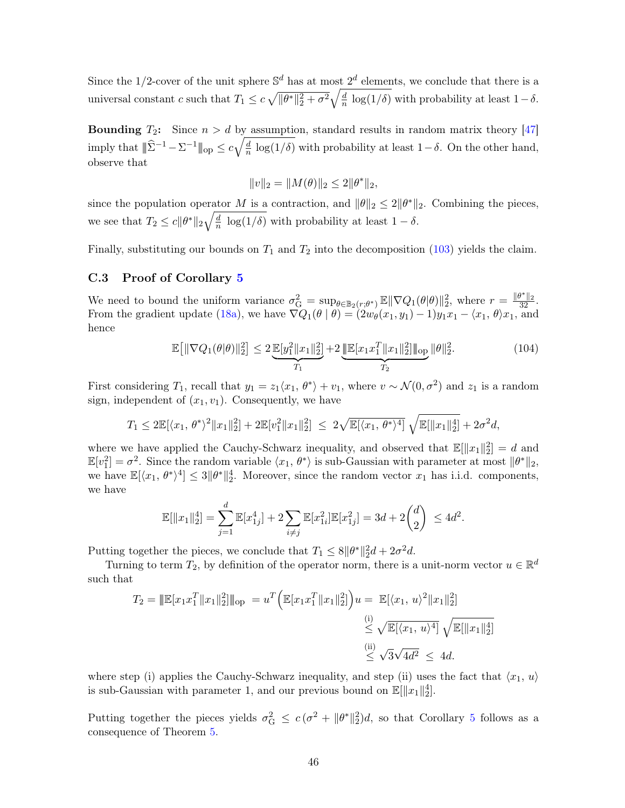Since the 1/2-cover of the unit sphere  $\mathbb{S}^d$  has at most  $2^d$  elements, we conclude that there is a universal constant c such that  $T_1 \leq c \sqrt{\|\theta^*\|_2^2 + \sigma^2} \sqrt{\frac{d}{n}}$  $\frac{a}{n}$  log(1/δ) with probability at least 1 – δ.

**Bounding**  $T_2$ : Since  $n > d$  by assumption, standard results in random matrix theory [\[47\]](#page-53-5) imply that  $||\hat{\Sigma}^{-1} - \Sigma^{-1}||_{\text{op}} \leq c \sqrt{\frac{d}{n}}$  $\frac{d}{n}$  log(1/δ) with probability at least 1–δ. On the other hand, observe that

$$
||v||_2 = ||M(\theta)||_2 \le 2||\theta^*||_2,
$$

since the population operator M is a contraction, and  $\|\theta\|_2 \leq 2\|\theta^*\|_2$ . Combining the pieces, we see that  $T_2 \leq c \|\theta^*\|_2 \sqrt{\frac{d}{n}}$  $\frac{d}{n} \log(1/\delta)$  with probability at least  $1 - \delta$ .

Finally, substituting our bounds on  $T_1$  and  $T_2$  into the decomposition [\(103\)](#page-44-0) yields the claim.

## <span id="page-45-0"></span>C.3 Proof of Corollary [5](#page-21-3)

We need to bound the uniform variance  $\sigma_G^2 = \sup_{\theta \in \mathbb{B}_2(r;\theta^*)} \mathbb{E} \|\nabla Q_1(\theta|\theta)\|_2^2$ , where  $r = \frac{\|\theta^*\|_2}{32}$ . From the gradient update [\(18a\)](#page-2-3), we have  $\nabla Q_1(\theta | \theta) = (2w_\theta(x_1, y_1) - 1)y_1x_1 - \langle x_1, \theta \rangle x_1$ , and hence

$$
\mathbb{E}\big[\|\nabla Q_1(\theta|\theta)\|_2^2\big] \le 2 \underbrace{\mathbb{E}[y_1^2 \|x_1\|_2^2]}_{T_1} + 2 \underbrace{\|\mathbb{E}[x_1 x_1^T \|x_1\|_2^2] \|_{\text{op}} \|\theta\|_2^2.}_{T_2}.\tag{104}
$$

First considering  $T_1$ , recall that  $y_1 = z_1 \langle x_1, \theta^* \rangle + v_1$ , where  $v \sim \mathcal{N}(0, \sigma^2)$  and  $z_1$  is a random sign, independent of  $(x_1, v_1)$ . Consequently, we have

$$
T_1 \le 2\mathbb{E}[\langle x_1, \theta^* \rangle^2 \|x_1\|_2^2] + 2\mathbb{E}[v_1^2 \|x_1\|_2^2] \le 2\sqrt{\mathbb{E}[\langle x_1, \theta^* \rangle^4]} \sqrt{\mathbb{E}[\|x_1\|_2^4]} + 2\sigma^2 d,
$$

where we have applied the Cauchy-Schwarz inequality, and observed that  $\mathbb{E}[\Vert x_1 \Vert_2^2] = d$  and where we have applied the cauchy-behward mequantly, and observed that  $\mathbb{E}[\Vert u_1 \Vert_2] = a$  and  $\mathbb{E}[v_1^2] = \sigma^2$ . Since the random variable  $\langle x_1, \theta^* \rangle$  is sub-Gaussian with parameter at most  $\|\theta^*\|_2$ , we have  $\mathbb{E}[\langle x_1, \theta^* \rangle^4] \leq 3 \|\theta^*\|_2^4$ . Moreover, since the random vector  $x_1$  has i.i.d. components, we have

$$
\mathbb{E}[\|x_1\|_2^4] = \sum_{j=1}^d \mathbb{E}[x_{1j}^4] + 2 \sum_{i \neq j} \mathbb{E}[x_{1i}^2] \mathbb{E}[x_{1j}^2] = 3d + 2\binom{d}{2} \le 4d^2.
$$

Putting together the pieces, we conclude that  $T_1 \leq 8||\theta^*||_2^2 d + 2\sigma^2 d$ .

Turning to term  $T_2$ , by definition of the operator norm, there is a unit-norm vector  $u \in \mathbb{R}^d$ such that

$$
T_2 = \|\mathbb{E}[x_1 x_1^T \|x_1\|_2^2] \|_{\text{op}} = u^T \Big( \mathbb{E}[x_1 x_1^T \|x_1\|_2^2] \Big) u = \mathbb{E}[\langle x_1, u \rangle^2 \|x_1\|_2^2] \le \sqrt{\mathbb{E}[\langle x_1, u \rangle^4]} \sqrt{\mathbb{E}[\|x_1\|_2^4]} \le \sqrt{3\sqrt{4d^2}} \le 4d.
$$

where step (i) applies the Cauchy-Schwarz inequality, and step (ii) uses the fact that  $\langle x_1, u \rangle$ is sub-Gaussian with parameter 1, and our previous bound on  $\mathbb{E}[\Vert x_1 \Vert_2^4]$ .

Putting together the pieces yields  $\sigma_G^2 \leq c(\sigma^2 + ||\theta^*||_2^2)d$ , so that Corollary [5](#page-21-3) follows as a consequence of Theorem [5.](#page-16-0)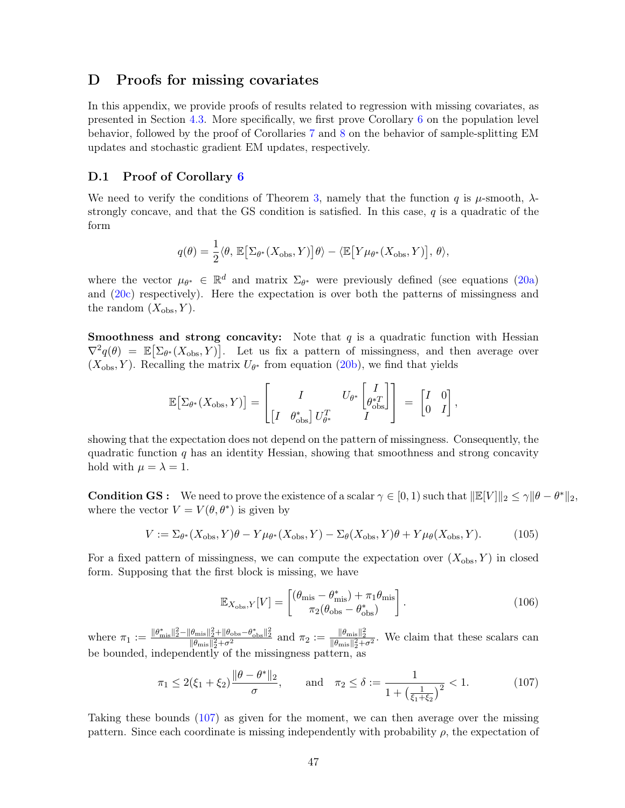# D Proofs for missing covariates

In this appendix, we provide proofs of results related to regression with missing covariates, as presented in Section [4.3.](#page-22-0) More specifically, we first prove Corollary [6](#page-22-3) on the population level behavior, followed by the proof of Corollaries [7](#page-23-1) and [8](#page-24-2) on the behavior of sample-splitting EM updates and stochastic gradient EM updates, respectively.

# <span id="page-46-0"></span>D.1 Proof of Corollary [6](#page-22-3)

We need to verify the conditions of Theorem [3,](#page-13-0) namely that the function q is  $\mu$ -smooth,  $\lambda$ strongly concave, and that the GS condition is satisfied. In this case,  $q$  is a quadratic of the form

$$
q(\theta) = \frac{1}{2} \langle \theta, \mathbb{E} \big[ \Sigma_{\theta^*}(X_{\text{obs}}, Y) \big] \theta \rangle - \langle \mathbb{E} \big[ Y \mu_{\theta^*}(X_{\text{obs}}, Y) \big], \theta \rangle,
$$

where the vector  $\mu_{\theta^*} \in \mathbb{R}^d$  and matrix  $\Sigma_{\theta^*}$  were previously defined (see equations [\(20a\)](#page-2-3) and [\(20c\)](#page-2-2) respectively). Here the expectation is over both the patterns of missingness and the random  $(X_{obs}, Y)$ .

**Smoothness and strong concavity:** Note that  $q$  is a quadratic function with Hessian  $\nabla^2 q(\theta) = \mathbb{E}[\Sigma_{\theta^*}(X_{\text{obs}}, Y)].$  Let us fix a pattern of missingness, and then average over  $(X_{obs}, Y)$ . Recalling the matrix  $U_{\theta^*}$  from equation [\(20b\)](#page-2-1), we find that yields

$$
\mathbb{E}\big[\Sigma_{\theta^*}(X_\mathrm{obs}, Y)\big] = \begin{bmatrix} I & U_{\theta^*}\begin{bmatrix} I \\ \theta^{*T}_\mathrm{obs} \end{bmatrix} \\ \begin{bmatrix} I & \theta^*_{\mathrm{obs}} \end{bmatrix} U_{\theta^*}^T & I \end{bmatrix} = \begin{bmatrix} I & 0 \\ 0 & I \end{bmatrix},
$$

showing that the expectation does not depend on the pattern of missingness. Consequently, the quadratic function  $q$  has an identity Hessian, showing that smoothness and strong concavity hold with  $\mu = \lambda = 1$ .

**Condition GS**: We need to prove the existence of a scalar  $\gamma \in [0, 1)$  such that  $\|\mathbb{E}[V]\|_2 \leq \gamma \|\theta - \theta^*\|_2$ , where the vector  $V = V(\theta, \theta^*)$  is given by

$$
V := \Sigma_{\theta^*}(X_{\text{obs}}, Y)\theta - Y\mu_{\theta^*}(X_{\text{obs}}, Y) - \Sigma_{\theta}(X_{\text{obs}}, Y)\theta + Y\mu_{\theta}(X_{\text{obs}}, Y). \tag{105}
$$

For a fixed pattern of missingness, we can compute the expectation over  $(X_{obs}, Y)$  in closed form. Supposing that the first block is missing, we have

<span id="page-46-1"></span>
$$
\mathbb{E}_{X_{\text{obs}},Y}[V] = \begin{bmatrix} (\theta_{\text{mis}} - \theta_{\text{mis}}^*) + \pi_1 \theta_{\text{mis}} \\ \pi_2 (\theta_{\text{obs}} - \theta_{\text{obs}}^*) \end{bmatrix}.
$$
 (106)

where  $\pi_1 := \frac{\|\theta^*_{\text{mis}}\|_2^2 - \|\theta_{\text{mis}}\|_2^2 + \theta^2}{\|\theta_{\text{mis}}\|_2^2 + \sigma^2}$  and  $\pi_2 := \frac{\|\theta_{\text{mis}}\|_2^2}{\|\theta_{\text{mis}}\|_2^2 + \sigma^2}$ . We claim that these scalars can be bounded, independently of the missingness pattern, as

$$
\pi_1 \le 2(\xi_1 + \xi_2) \frac{\|\theta - \theta^*\|_2}{\sigma}, \quad \text{and} \quad \pi_2 \le \delta := \frac{1}{1 + \left(\frac{1}{\xi_1 + \xi_2}\right)^2} < 1. \tag{107}
$$

Taking these bounds [\(107\)](#page-46-1) as given for the moment, we can then average over the missing pattern. Since each coordinate is missing independently with probability  $\rho$ , the expectation of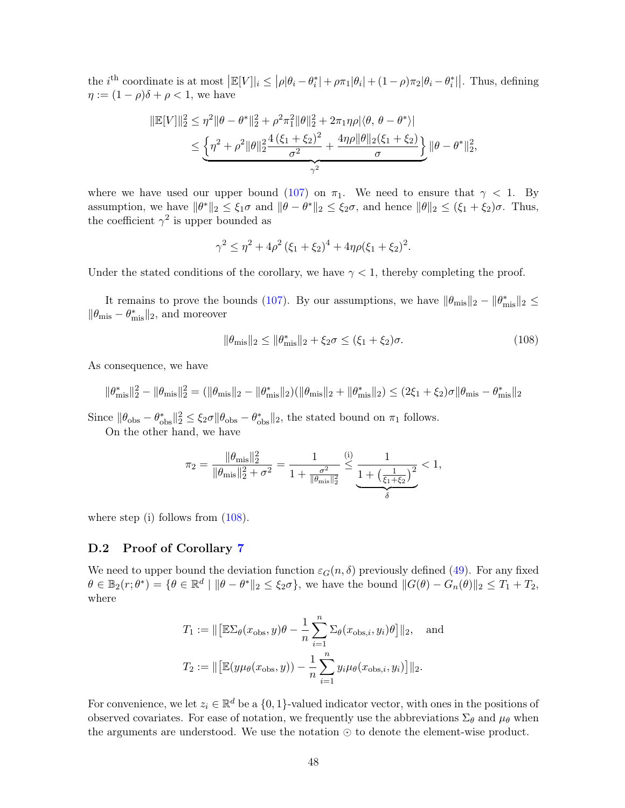the *i*<sup>th</sup> coordinate is at most  $\left| \mathbb{E}[V] \right|_i \leq \left| \rho |\theta_i - \theta_i^*| + \rho \pi_1 |\theta_i| + (1 - \rho) \pi_2 |\theta_i - \theta_i^*| \right|$ . Thus, defining  $\eta := (1 - \rho)\delta + \rho < 1$ , we have

$$
\begin{aligned} \|\mathbb{E}[V]\|_2^2 &\leq \eta^2 \|\theta - \theta^*\|_2^2 + \rho^2 \pi_1^2 \|\theta\|_2^2 + 2\pi_1 \eta \rho |\langle \theta, \theta - \theta^* \rangle| \\ &\leq \underbrace{\left\{\eta^2 + \rho^2 \|\theta\|_2^2 \frac{4(\xi_1 + \xi_2)^2}{\sigma^2} + \frac{4\eta \rho \|\theta\|_2(\xi_1 + \xi_2)}{\sigma}\right\}}_{\gamma^2} \|\theta - \theta^*\|_2^2, \end{aligned}
$$

where we have used our upper bound [\(107\)](#page-46-1) on  $\pi_1$ . We need to ensure that  $\gamma$  < 1. By assumption, we have  $\|\theta^*\|_2 \le \xi_1\sigma$  and  $\|\theta - \theta^*\|_2 \le \xi_2\sigma$ , and hence  $\|\theta\|_2 \le (\xi_1 + \xi_2)\sigma$ . Thus, the coefficient  $\gamma^2$  is upper bounded as

$$
\gamma^2 \le \eta^2 + 4\rho^2 (\xi_1 + \xi_2)^4 + 4\eta \rho (\xi_1 + \xi_2)^2.
$$

Under the stated conditions of the corollary, we have  $\gamma < 1$ , thereby completing the proof.

It remains to prove the bounds [\(107\)](#page-46-1). By our assumptions, we have  $\|\theta_{\rm mis}\|_2 - \|\theta_{\rm mis}^*\|_2 \le$  $\|\theta_{\rm mis} - \theta_{\rm mis}^*\|_2$ , and moreover

<span id="page-47-1"></span>
$$
\|\theta_{\text{mis}}\|_2 \le \|\theta_{\text{mis}}^*\|_2 + \xi_2 \sigma \le (\xi_1 + \xi_2)\sigma. \tag{108}
$$

As consequence, we have

$$
\|\theta_{\text{mis}}^*\|_2^2 - \|\theta_{\text{mis}}\|_2^2 = (\|\theta_{\text{mis}}\|_2 - \|\theta_{\text{mis}}^*\|_2)(\|\theta_{\text{mis}}\|_2 + \|\theta_{\text{mis}}^*\|_2) \le (2\xi_1 + \xi_2)\sigma \|\theta_{\text{mis}} - \theta_{\text{mis}}^*\|_2
$$

Since  $\|\theta_{obs} - \theta_{obs}^*\|_2^2 \le \xi_2 \sigma \|\theta_{obs} - \theta_{obs}^*\|_2$ , the stated bound on  $\pi_1$  follows.

On the other hand, we have

$$
\pi_2 = \frac{\|\theta_{\text{mis}}\|_2^2}{\|\theta_{\text{mis}}\|_2^2 + \sigma^2} = \frac{1}{1 + \frac{\sigma^2}{\|\theta_{\text{mis}}\|_2^2}} \leq \underbrace{\frac{1}{1 + \left(\frac{1}{\xi_1 + \xi_2}\right)^2}}_{\delta} < 1,
$$

where step (i) follows from  $(108)$ .

## <span id="page-47-0"></span>D.2 Proof of Corollary [7](#page-23-1)

We need to upper bound the deviation function  $\varepsilon_G(n, \delta)$  previously defined [\(49\)](#page-15-3). For any fixed  $\theta \in \mathbb{B}_2(r;\theta^*) = \{\theta \in \mathbb{R}^d \mid \|\theta - \theta^*\|_2 \leq \xi_2\sigma\}$ , we have the bound  $||G(\theta) - G_n(\theta)||_2 \leq T_1 + T_2$ , where

$$
T_1 := \|\left[\mathbb{E}\Sigma_{\theta}(x_{\text{obs}}, y)\theta - \frac{1}{n}\sum_{i=1}^n \Sigma_{\theta}(x_{\text{obs}, i}, y_i)\theta\right]\|_2, \text{ and}
$$
  

$$
T_2 := \|\left[\mathbb{E}(y\mu_{\theta}(x_{\text{obs}}, y)) - \frac{1}{n}\sum_{i=1}^n y_i\mu_{\theta}(x_{\text{obs}, i}, y_i)\right]\|_2.
$$

For convenience, we let  $z_i \in \mathbb{R}^d$  be a  $\{0,1\}$ -valued indicator vector, with ones in the positions of observed covariates. For ease of notation, we frequently use the abbreviations  $\Sigma_{\theta}$  and  $\mu_{\theta}$  when the arguments are understood. We use the notation ⊙ to denote the element-wise product.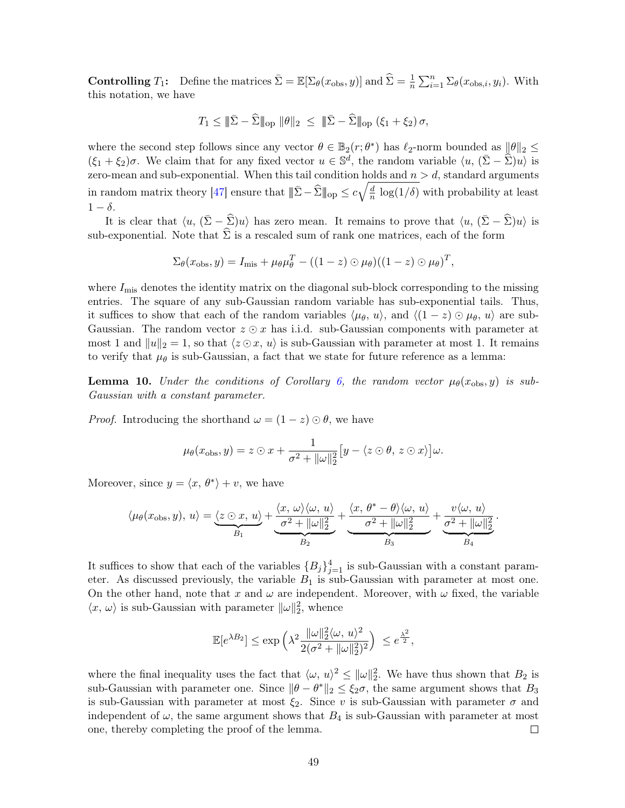**Controlling**  $T_1$ : Define the matrices  $\bar{\Sigma} = \mathbb{E}[\Sigma_{\theta}(x_{\text{obs}}, y)]$  and  $\hat{\Sigma} = \frac{1}{n} \sum_{i=1}^{n} \Sigma_{\theta}(x_{\text{obs},i}, y_i)$ . With this notation, we have

$$
T_1 \leq \|\bar{\Sigma} - \widehat{\Sigma}\|_{\text{op}} \|\theta\|_2 \leq \|\bar{\Sigma} - \widehat{\Sigma}\|_{\text{op}} (\xi_1 + \xi_2) \sigma,
$$

where the second step follows since any vector  $\theta \in \mathbb{B}_2(r;\theta^*)$  has  $\ell_2$ -norm bounded as  $||\theta||_2 \le$  $(\xi_1 + \xi_2)\sigma$ . We claim that for any fixed vector  $u \in \mathbb{S}^d$ , the random variable  $\langle u, (\bar{\Sigma} - \widehat{\Sigma})u \rangle$  is zero-mean and sub-exponential. When this tail condition holds and  $n > d$ , standard arguments in random matrix theory [\[47\]](#page-53-5) ensure that  $\|\bar{\Sigma} - \widehat{\Sigma}\|_{\text{op}} \leq c\sqrt{\frac{d}{n}}$  $\frac{d}{n} \log(1/\delta)$  with probability at least  $1 - \delta$ .

It is clear that  $\langle u, (\bar{\Sigma} - \hat{\Sigma})u \rangle$  has zero mean. It remains to prove that  $\langle u, (\bar{\Sigma} - \hat{\Sigma})u \rangle$  is sub-exponential. Note that  $\hat{\Sigma}$  is a rescaled sum of rank one matrices, each of the form

$$
\Sigma_{\theta}(x_{\text{obs}}, y) = I_{\text{mis}} + \mu_{\theta} \mu_{\theta}^{T} - ((1 - z) \odot \mu_{\theta})((1 - z) \odot \mu_{\theta})^{T},
$$

where  $I_{\text{mis}}$  denotes the identity matrix on the diagonal sub-block corresponding to the missing entries. The square of any sub-Gaussian random variable has sub-exponential tails. Thus, it suffices to show that each of the random variables  $\langle \mu_\theta, u \rangle$ , and  $\langle (1 - z) \odot \mu_\theta, u \rangle$  are sub-Gaussian. The random vector  $z \odot x$  has i.i.d. sub-Gaussian components with parameter at most 1 and  $||u||_2 = 1$ , so that  $\langle z \odot x, u \rangle$  is sub-Gaussian with parameter at most 1. It remains to verify that  $\mu_{\theta}$  is sub-Gaussian, a fact that we state for future reference as a lemma:

<span id="page-48-0"></span>**Lemma 10.** Under the conditions of Corollary [6,](#page-22-3) the random vector  $\mu_{\theta}(x_{\text{obs}}, y)$  is sub-Gaussian with a constant parameter.

*Proof.* Introducing the shorthand  $\omega = (1 - z) \odot \theta$ , we have

$$
\mu_{\theta}(x_{\text{obs}}, y) = z \odot x + \frac{1}{\sigma^2 + ||\omega||_2^2} \big[ y - \langle z \odot \theta, z \odot x \rangle \big] \omega.
$$

Moreover, since  $y = \langle x, \theta^* \rangle + v$ , we have

$$
\langle \mu_{\theta}(x_{\text{obs}}, y), u \rangle = \underbrace{\langle z \odot x, u \rangle}_{B_1} + \underbrace{\frac{\langle x, \omega \rangle \langle \omega, u \rangle}{\sigma^2 + ||\omega||_2^2}}_{B_2} + \underbrace{\frac{\langle x, \theta^* - \theta \rangle \langle \omega, u \rangle}{\sigma^2 + ||\omega||_2^2}}_{B_3} + \underbrace{\frac{v \langle \omega, u \rangle}{\sigma^2 + ||\omega||_2^2}}_{B_4}.
$$

It suffices to show that each of the variables  ${B_j}_{j=1}^4$  is sub-Gaussian with a constant parameter. As discussed previously, the variable  $B_1$  is sub-Gaussian with parameter at most one. On the other hand, note that x and  $\omega$  are independent. Moreover, with  $\omega$  fixed, the variable  $\langle x, \omega \rangle$  is sub-Gaussian with parameter  $\|\omega\|_2^2$ , whence

$$
\mathbb{E}[e^{\lambda B_2}] \le \exp\left(\lambda^2 \frac{\|\omega\|_2^2 \langle \omega, u \rangle^2}{2(\sigma^2 + \|\omega\|_2^2)^2}\right) \le e^{\frac{\lambda^2}{2}},
$$

where the final inequality uses the fact that  $\langle \omega, u \rangle^2 \leq ||\omega||_2^2$ . We have thus shown that  $B_2$  is sub-Gaussian with parameter one. Since  $\|\theta - \theta^*\|_2 \le \xi_2\sigma$ , the same argument shows that  $B_3$ is sub-Gaussian with parameter at most  $\xi_2$ . Since v is sub-Gaussian with parameter  $\sigma$  and independent of  $\omega$ , the same argument shows that  $B_4$  is sub-Gaussian with parameter at most one, thereby completing the proof of the lemma.  $\Box$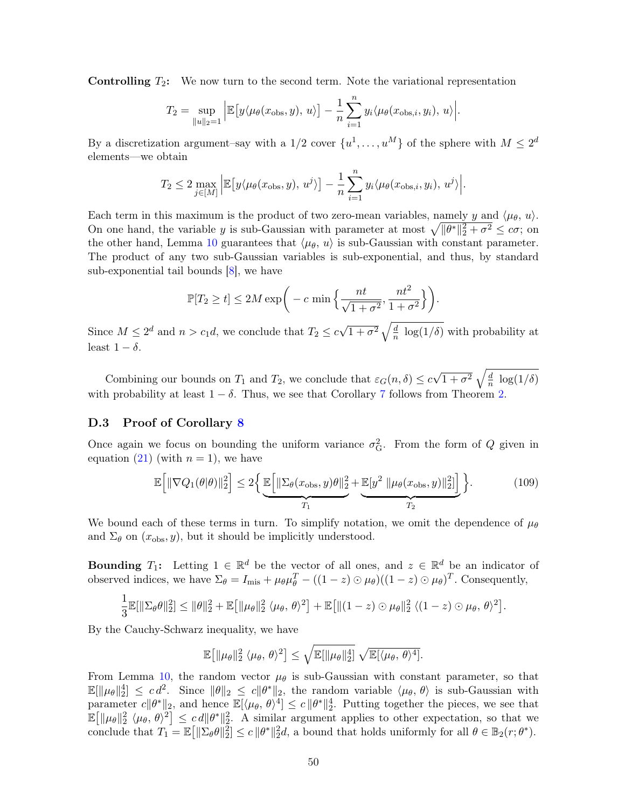**Controlling**  $T_2$ : We now turn to the second term. Note the variational representation

$$
T_2 = \sup_{\|u\|_2=1} \left| \mathbb{E}\big[y\langle\mu_\theta(x_{\text{obs}}, y), u\rangle\big] - \frac{1}{n} \sum_{i=1}^n y_i \langle\mu_\theta(x_{\text{obs}, i}, y_i), u\rangle \right|.
$$

By a discretization argument–say with a  $1/2$  cover  $\{u^1, \ldots, u^M\}$  of the sphere with  $M \leq 2^d$ elements—we obtain

$$
T_2 \le 2 \max_{j \in [M]} \left| \mathbb{E} \left[ y \langle \mu_\theta(x_{\text{obs}}, y), u^j \rangle \right] - \frac{1}{n} \sum_{i=1}^n y_i \langle \mu_\theta(x_{\text{obs}, i}, y_i), u^j \rangle \right|.
$$

Each term in this maximum is the product of two zero-mean variables, namely y and  $\langle \mu_{\theta}, u \rangle$ . On one hand, the variable y is sub-Gaussian with parameter at most  $\sqrt{\|\theta^*\|_2^2 + \sigma^2} \leq c\sigma$ ; on the other hand, Lemma [10](#page-48-0) guarantees that  $\langle \mu_{\theta}, u \rangle$  is sub-Gaussian with constant parameter. The product of any two sub-Gaussian variables is sub-exponential, and thus, by standard sub-exponential tail bounds [\[8\]](#page-50-11), we have

$$
\mathbb{P}[T_2 \ge t] \le 2M \exp\bigg(-c \min\bigg\{\frac{nt}{\sqrt{1+\sigma^2}}, \frac{nt^2}{1+\sigma^2}\bigg\}\bigg).
$$

Since  $M \leq 2^d$  and  $n > c_1 d$ , we conclude that  $T_2 \leq c\sqrt{1+\sigma^2}\sqrt{\frac{d}{n}}$  $\frac{d}{n}$  log(1/ $\delta$ ) with probability at least  $1 - \delta$ .

Combining our bounds on  $T_1$  and  $T_2$ , we conclude that  $\varepsilon_G(n,\delta) \leq c\sqrt{1+\sigma^2}\sqrt{\frac{d}{n}}$  $\frac{a}{n} \log(1/\delta)$ with probability at least  $1 - \delta$ . Thus, we see that Corollary [7](#page-23-1) follows from Theorem [2.](#page-10-0)

## <span id="page-49-0"></span>D.3 Proof of Corollary [8](#page-24-2)

Once again we focus on bounding the uniform variance  $\sigma_G^2$ . From the form of Q given in equation [\(21\)](#page-7-1) (with  $n = 1$ ), we have

$$
\mathbb{E}\Big[\|\nabla Q_1(\theta|\theta)\|_2^2\Big] \le 2\Big\{\underbrace{\mathbb{E}\Big[\|\Sigma_{\theta}(x_{\text{obs}},y)\theta\|_2^2}_{T_1} + \underbrace{\mathbb{E}[y^2 \|\mu_{\theta}(x_{\text{obs}},y)\|_2^2]\Big]}_{T_2}\Big\}.\tag{109}
$$

We bound each of these terms in turn. To simplify notation, we omit the dependence of  $\mu_{\theta}$ and  $\Sigma_{\theta}$  on  $(x_{obs}, y)$ , but it should be implicitly understood.

**Bounding**  $T_1$ : Letting  $1 \in \mathbb{R}^d$  be the vector of all ones, and  $z \in \mathbb{R}^d$  be an indicator of observed indices, we have  $\Sigma_{\theta} = I_{\text{mis}} + \mu_{\theta} \mu_{\theta}^{T} - ((1 - z) \odot \mu_{\theta})((1 - z) \odot \mu_{\theta})^{T}$ . Consequently,

$$
\frac{1}{3}\mathbb{E}[\|\Sigma_{\theta}\theta\|_2^2] \le \|\theta\|_2^2 + \mathbb{E}\big[\|\mu_{\theta}\|_2^2 \langle \mu_{\theta}, \theta \rangle^2\big] + \mathbb{E}\big[\|(1-z) \odot \mu_{\theta}\|_2^2 \langle (1-z) \odot \mu_{\theta}, \theta \rangle^2\big].
$$

By the Cauchy-Schwarz inequality, we have

<span id="page-49-1"></span>
$$
\mathbb{E}\big[\|\mu_{\theta}\|_{2}^{2} \langle \mu_{\theta}, \theta \rangle^{2}\big] \leq \sqrt{\mathbb{E}[\|\mu_{\theta}\|_{2}^{4}]} \sqrt{\mathbb{E}[\langle \mu_{\theta}, \theta \rangle^{4}]}.
$$

From Lemma [10,](#page-48-0) the random vector  $\mu_{\theta}$  is sub-Gaussian with constant parameter, so that  $\mathbb{E}[\|\mu_\theta\|_2^4] \leq c d^2$ . Since  $\|\theta\|_2 \leq c \|\theta^*\|_2$ , the random variable  $\langle \mu_\theta, \theta \rangle$  is sub-Gaussian with parameter  $c \|\theta^*\|_2$ , and hence  $\mathbb{E}[\langle \mu_\theta, \theta \rangle^4] \leq c \|\theta^*\|_2^4$ . Putting together the pieces, we see that  $\mathbb{E}[\|\mu_{\theta}\|_2^2 \langle \mu_{\theta}, \theta \rangle^2] \leq c d \|\theta^*\|_2^2$ . A similar argument applies to other expectation, so that we conclude that  $T_1 = \mathbb{E} \left[ \|\Sigma_{\theta}\theta\|_2^2 \right] \leq c \|\theta^*\|_2^2 d$ , a bound that holds uniformly for all  $\theta \in \mathbb{B}_2(r; \theta^*)$ .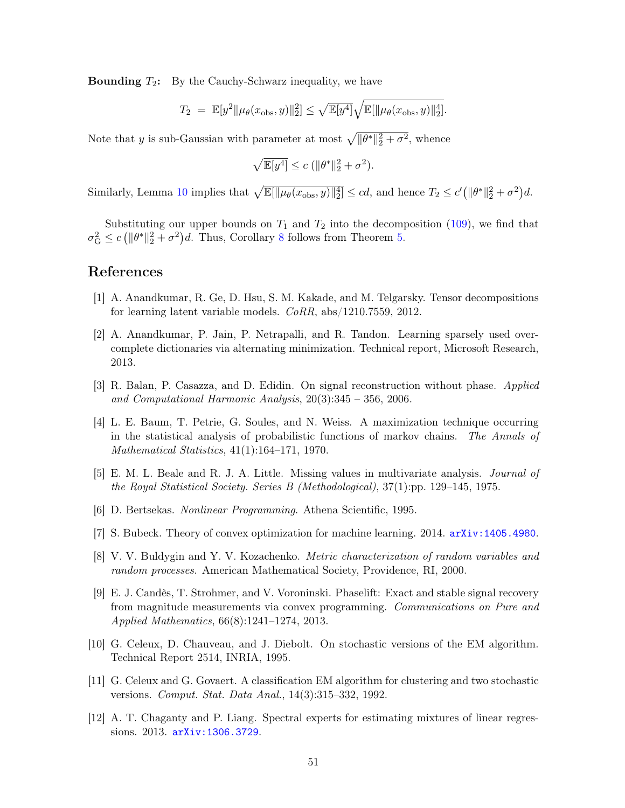**Bounding**  $T_2$ : By the Cauchy-Schwarz inequality, we have

$$
T_2 = \mathbb{E}[y^2 \|\mu_{\theta}(x_{\text{obs}}, y)\|_2^2] \leq \sqrt{\mathbb{E}[y^4]} \sqrt{\mathbb{E}[\|\mu_{\theta}(x_{\text{obs}}, y)\|_2^4]}.
$$

Note that y is sub-Gaussian with parameter at most  $\sqrt{\|\theta^*\|_2^2 + \sigma^2}$ , whence

$$
\sqrt{\mathbb{E}[y^4]} \le c \left( \|\theta^*\|_2^2 + \sigma^2 \right).
$$

Similarly, Lemma [10](#page-48-0) implies that  $\sqrt{\mathbb{E}[\|\mu_\theta(x_{\text{obs}}, y)\|_2^4]} \leq cd$ , and hence  $T_2 \leq c'(\|\theta^*\|_2^2 + \sigma^2)d$ .

Substituting our upper bounds on  $T_1$  and  $T_2$  into the decomposition [\(109\)](#page-49-1), we find that  $\sigma_G^2 \le c \left( \|\theta^*\|_2^2 + \sigma^2 \right) d$ . Thus, Corollary [8](#page-24-2) follows from Theorem [5.](#page-16-0)

# References

- <span id="page-50-9"></span>[1] A. Anandkumar, R. Ge, D. Hsu, S. M. Kakade, and M. Telgarsky. Tensor decompositions for learning latent variable models. CoRR, abs/1210.7559, 2012.
- <span id="page-50-10"></span>[2] A. Anandkumar, P. Jain, P. Netrapalli, and R. Tandon. Learning sparsely used overcomplete dictionaries via alternating minimization. Technical report, Microsoft Research, 2013.
- <span id="page-50-5"></span>[3] R. Balan, P. Casazza, and D. Edidin. On signal reconstruction without phase. Applied and Computational Harmonic Analysis, 20(3):345 – 356, 2006.
- <span id="page-50-2"></span>[4] L. E. Baum, T. Petrie, G. Soules, and N. Weiss. A maximization technique occurring in the statistical analysis of probabilistic functions of markov chains. The Annals of Mathematical Statistics, 41(1):164–171, 1970.
- <span id="page-50-3"></span>[5] E. M. L. Beale and R. J. A. Little. Missing values in multivariate analysis. Journal of the Royal Statistical Society. Series B (Methodological), 37(1):pp. 129–145, 1975.
- <span id="page-50-7"></span>[6] D. Bertsekas. Nonlinear Programming. Athena Scientific, 1995.
- <span id="page-50-8"></span>[7] S. Bubeck. Theory of convex optimization for machine learning. 2014. <arXiv:1405.4980>.
- <span id="page-50-11"></span>[8] V. V. Buldygin and Y. V. Kozachenko. Metric characterization of random variables and random processes. American Mathematical Society, Providence, RI, 2000.
- <span id="page-50-6"></span>[9] E. J. Candès, T. Strohmer, and V. Voroninski. Phaselift: Exact and stable signal recovery from magnitude measurements via convex programming. Communications on Pure and Applied Mathematics, 66(8):1241–1274, 2013.
- <span id="page-50-0"></span>[10] G. Celeux, D. Chauveau, and J. Diebolt. On stochastic versions of the EM algorithm. Technical Report 2514, INRIA, 1995.
- <span id="page-50-1"></span>[11] G. Celeux and G. Govaert. A classification EM algorithm for clustering and two stochastic versions. Comput. Stat. Data Anal., 14(3):315–332, 1992.
- <span id="page-50-4"></span>[12] A. T. Chaganty and P. Liang. Spectral experts for estimating mixtures of linear regressions. 2013. <arXiv:1306.3729>.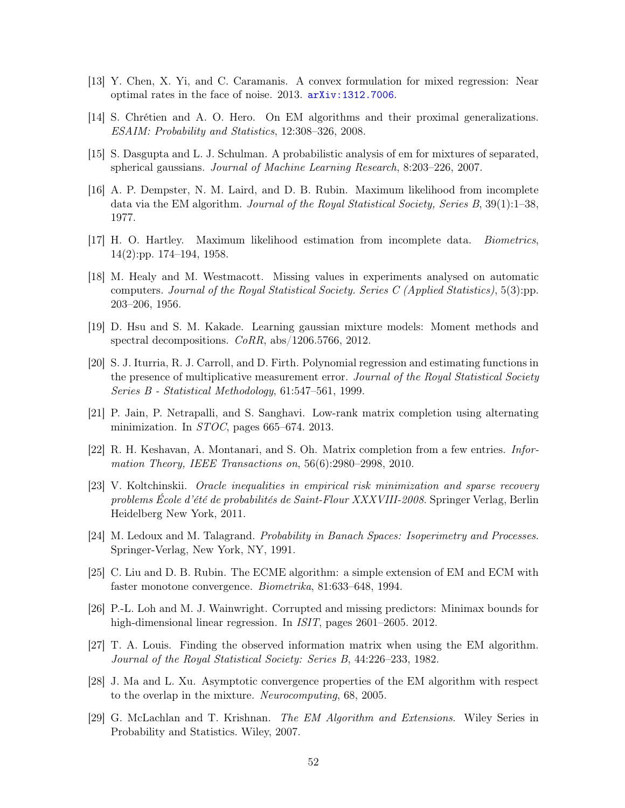- <span id="page-51-8"></span>[13] Y. Chen, X. Yi, and C. Caramanis. A convex formulation for mixed regression: Near optimal rates in the face of noise. 2013. <arXiv:1312.7006>.
- <span id="page-51-5"></span>[14] S. Chrétien and A. O. Hero. On EM algorithms and their proximal generalizations. ESAIM: Probability and Statistics, 12:308–326, 2008.
- <span id="page-51-11"></span>[15] S. Dasgupta and L. J. Schulman. A probabilistic analysis of em for mixtures of separated, spherical gaussians. Journal of Machine Learning Research, 8:203–226, 2007.
- <span id="page-51-0"></span>[16] A. P. Dempster, N. M. Laird, and D. B. Rubin. Maximum likelihood from incomplete data via the EM algorithm. Journal of the Royal Statistical Society, Series B, 39(1):1–38, 1977.
- <span id="page-51-3"></span>[17] H. O. Hartley. Maximum likelihood estimation from incomplete data. Biometrics, 14(2):pp. 174–194, 1958.
- <span id="page-51-4"></span>[18] M. Healy and M. Westmacott. Missing values in experiments analysed on automatic computers. Journal of the Royal Statistical Society. Series C (Applied Statistics), 5(3):pp. 203–206, 1956.
- <span id="page-51-14"></span>[19] D. Hsu and S. M. Kakade. Learning gaussian mixture models: Moment methods and spectral decompositions.  $CoRR$ , abs/1206.5766, 2012.
- <span id="page-51-13"></span>[20] S. J. Iturria, R. J. Carroll, and D. Firth. Polynomial regression and estimating functions in the presence of multiplicative measurement error. Journal of the Royal Statistical Society Series B - Statistical Methodology, 61:547–561, 1999.
- <span id="page-51-6"></span>[21] P. Jain, P. Netrapalli, and S. Sanghavi. Low-rank matrix completion using alternating minimization. In *STOC*, pages 665–674. 2013.
- <span id="page-51-7"></span>[22] R. H. Keshavan, A. Montanari, and S. Oh. Matrix completion from a few entries. Information Theory, IEEE Transactions on, 56(6):2980–2998, 2010.
- <span id="page-51-15"></span>[23] V. Koltchinskii. Oracle inequalities in empirical risk minimization and sparse recovery problems École d'été de probabilités de Saint-Flour XXXVIII-2008. Springer Verlag, Berlin Heidelberg New York, 2011.
- <span id="page-51-16"></span>[24] M. Ledoux and M. Talagrand. Probability in Banach Spaces: Isoperimetry and Processes. Springer-Verlag, New York, NY, 1991.
- <span id="page-51-1"></span>[25] C. Liu and D. B. Rubin. The ECME algorithm: a simple extension of EM and ECM with faster monotone convergence. Biometrika, 81:633–648, 1994.
- <span id="page-51-12"></span>[26] P.-L. Loh and M. J. Wainwright. Corrupted and missing predictors: Minimax bounds for high-dimensional linear regression. In *ISIT*, pages 2601–2605. 2012.
- <span id="page-51-2"></span>[27] T. A. Louis. Finding the observed information matrix when using the EM algorithm. Journal of the Royal Statistical Society: Series B, 44:226–233, 1982.
- <span id="page-51-10"></span>[28] J. Ma and L. Xu. Asymptotic convergence properties of the EM algorithm with respect to the overlap in the mixture. Neurocomputing, 68, 2005.
- <span id="page-51-9"></span>[29] G. McLachlan and T. Krishnan. The EM Algorithm and Extensions. Wiley Series in Probability and Statistics. Wiley, 2007.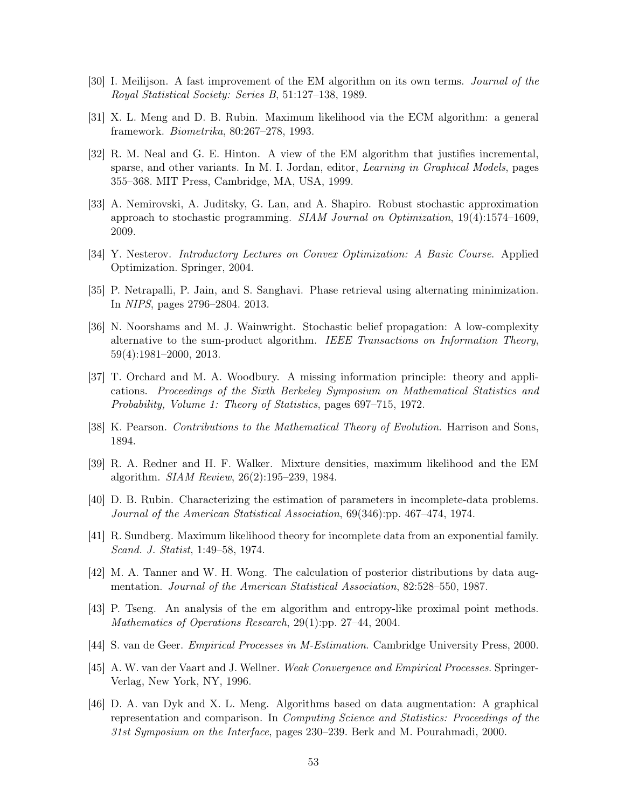- <span id="page-52-0"></span>[30] I. Meilijson. A fast improvement of the EM algorithm on its own terms. Journal of the Royal Statistical Society: Series B, 51:127–138, 1989.
- <span id="page-52-1"></span>[31] X. L. Meng and D. B. Rubin. Maximum likelihood via the ECM algorithm: a general framework. Biometrika, 80:267–278, 1993.
- <span id="page-52-2"></span>[32] R. M. Neal and G. E. Hinton. A view of the EM algorithm that justifies incremental, sparse, and other variants. In M. I. Jordan, editor, *Learning in Graphical Models*, pages 355–368. MIT Press, Cambridge, MA, USA, 1999.
- <span id="page-52-12"></span>[33] A. Nemirovski, A. Juditsky, G. Lan, and A. Shapiro. Robust stochastic approximation approach to stochastic programming. SIAM Journal on Optimization, 19(4):1574–1609, 2009.
- <span id="page-52-11"></span>[34] Y. Nesterov. Introductory Lectures on Convex Optimization: A Basic Course. Applied Optimization. Springer, 2004.
- <span id="page-52-9"></span>[35] P. Netrapalli, P. Jain, and S. Sanghavi. Phase retrieval using alternating minimization. In NIPS, pages 2796–2804. 2013.
- <span id="page-52-13"></span>[36] N. Noorshams and M. J. Wainwright. Stochastic belief propagation: A low-complexity alternative to the sum-product algorithm. IEEE Transactions on Information Theory, 59(4):1981–2000, 2013.
- <span id="page-52-5"></span>[37] T. Orchard and M. A. Woodbury. A missing information principle: theory and applications. Proceedings of the Sixth Berkeley Symposium on Mathematical Statistics and Probability, Volume 1: Theory of Statistics, pages 697–715, 1972.
- <span id="page-52-15"></span>[38] K. Pearson. Contributions to the Mathematical Theory of Evolution. Harrison and Sons, 1894.
- <span id="page-52-14"></span>[39] R. A. Redner and H. F. Walker. Mixture densities, maximum likelihood and the EM algorithm. SIAM Review, 26(2):195–239, 1984.
- <span id="page-52-6"></span>[40] D. B. Rubin. Characterizing the estimation of parameters in incomplete-data problems. Journal of the American Statistical Association, 69(346):pp. 467–474, 1974.
- <span id="page-52-7"></span>[41] R. Sundberg. Maximum likelihood theory for incomplete data from an exponential family. Scand. J. Statist, 1:49–58, 1974.
- <span id="page-52-3"></span>[42] M. A. Tanner and W. H. Wong. The calculation of posterior distributions by data augmentation. Journal of the American Statistical Association, 82:528–550, 1987.
- <span id="page-52-8"></span>[43] P. Tseng. An analysis of the em algorithm and entropy-like proximal point methods. Mathematics of Operations Research, 29(1):pp. 27–44, 2004.
- <span id="page-52-10"></span>[44] S. van de Geer. Empirical Processes in M-Estimation. Cambridge University Press, 2000.
- <span id="page-52-16"></span>[45] A. W. van der Vaart and J. Wellner. Weak Convergence and Empirical Processes. Springer-Verlag, New York, NY, 1996.
- <span id="page-52-4"></span>[46] D. A. van Dyk and X. L. Meng. Algorithms based on data augmentation: A graphical representation and comparison. In Computing Science and Statistics: Proceedings of the 31st Symposium on the Interface, pages 230–239. Berk and M. Pourahmadi, 2000.